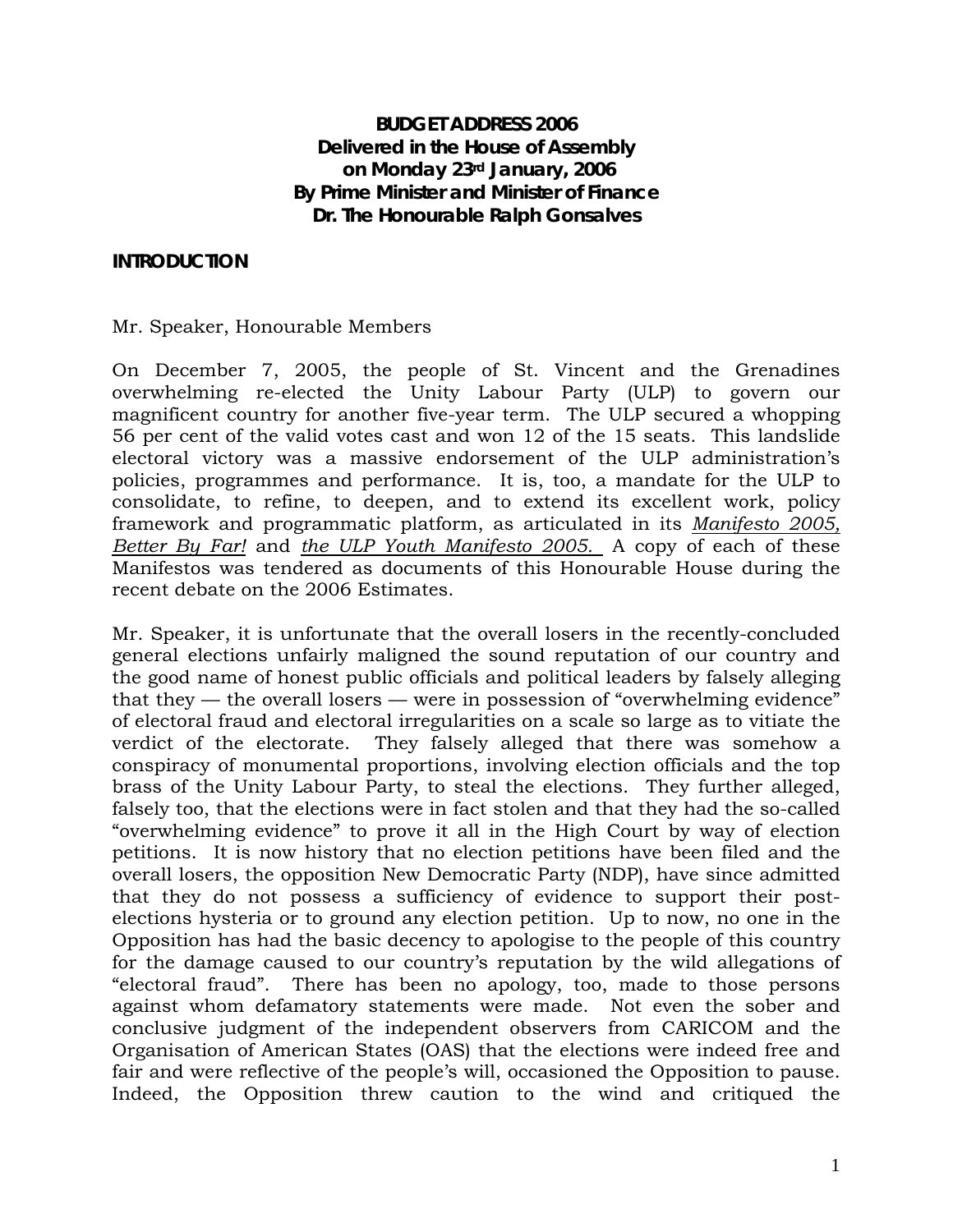# **BUDGET ADDRESS 2006 Delivered in the House of Assembly on Monday 23rd January, 2006 By Prime Minister and Minister of Finance Dr. The Honourable Ralph Gonsalves**

#### **INTRODUCTION**

#### Mr. Speaker, Honourable Members

On December 7, 2005, the people of St. Vincent and the Grenadines overwhelming re-elected the Unity Labour Party (ULP) to govern our magnificent country for another five-year term. The ULP secured a whopping 56 per cent of the valid votes cast and won 12 of the 15 seats. This landslide electoral victory was a massive endorsement of the ULP administration's policies, programmes and performance. It is, too, a mandate for the ULP to consolidate, to refine, to deepen, and to extend its excellent work, policy framework and programmatic platform, as articulated in its *Manifesto 2005, Better By Far!* and *the ULP Youth Manifesto 2005.* A copy of each of these Manifestos was tendered as documents of this Honourable House during the recent debate on the 2006 Estimates.

Mr. Speaker, it is unfortunate that the overall losers in the recently-concluded general elections unfairly maligned the sound reputation of our country and the good name of honest public officials and political leaders by falsely alleging that they  $-$  the overall losers  $-$  were in possession of "overwhelming evidence" of electoral fraud and electoral irregularities on a scale so large as to vitiate the verdict of the electorate. They falsely alleged that there was somehow a conspiracy of monumental proportions, involving election officials and the top brass of the Unity Labour Party, to steal the elections. They further alleged, falsely too, that the elections were in fact stolen and that they had the so-called "overwhelming evidence" to prove it all in the High Court by way of election petitions. It is now history that no election petitions have been filed and the overall losers, the opposition New Democratic Party (NDP), have since admitted that they do not possess a sufficiency of evidence to support their postelections hysteria or to ground any election petition. Up to now, no one in the Opposition has had the basic decency to apologise to the people of this country for the damage caused to our country's reputation by the wild allegations of "electoral fraud". There has been no apology, too, made to those persons against whom defamatory statements were made. Not even the sober and conclusive judgment of the independent observers from CARICOM and the Organisation of American States (OAS) that the elections were indeed free and fair and were reflective of the people's will, occasioned the Opposition to pause. Indeed, the Opposition threw caution to the wind and critiqued the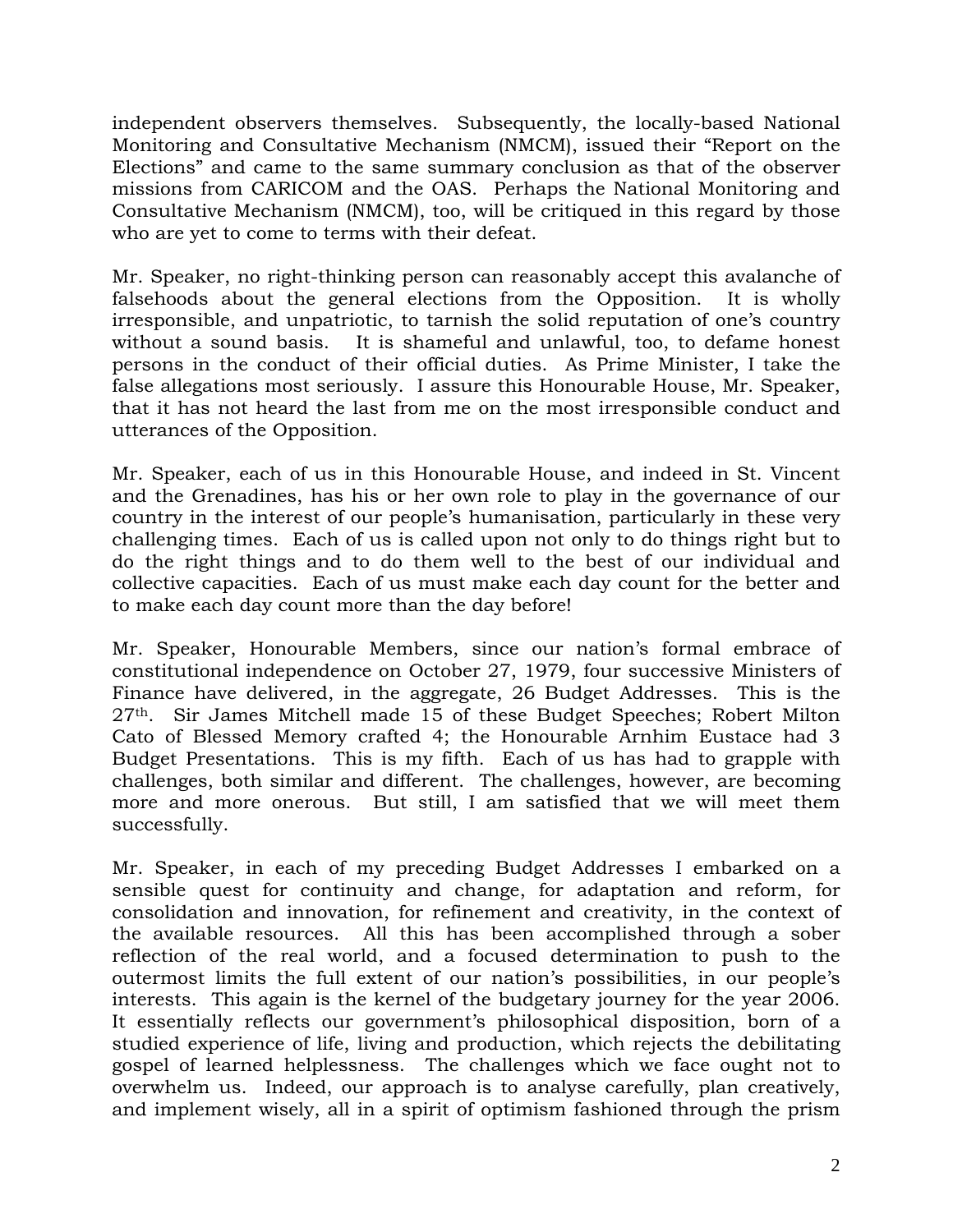independent observers themselves. Subsequently, the locally-based National Monitoring and Consultative Mechanism (NMCM), issued their "Report on the Elections" and came to the same summary conclusion as that of the observer missions from CARICOM and the OAS. Perhaps the National Monitoring and Consultative Mechanism (NMCM), too, will be critiqued in this regard by those who are yet to come to terms with their defeat.

Mr. Speaker, no right-thinking person can reasonably accept this avalanche of falsehoods about the general elections from the Opposition. It is wholly irresponsible, and unpatriotic, to tarnish the solid reputation of one's country without a sound basis. It is shameful and unlawful, too, to defame honest persons in the conduct of their official duties. As Prime Minister, I take the false allegations most seriously. I assure this Honourable House, Mr. Speaker, that it has not heard the last from me on the most irresponsible conduct and utterances of the Opposition.

Mr. Speaker, each of us in this Honourable House, and indeed in St. Vincent and the Grenadines, has his or her own role to play in the governance of our country in the interest of our people's humanisation, particularly in these very challenging times. Each of us is called upon not only to do things right but to do the right things and to do them well to the best of our individual and collective capacities. Each of us must make each day count for the better and to make each day count more than the day before!

Mr. Speaker, Honourable Members, since our nation's formal embrace of constitutional independence on October 27, 1979, four successive Ministers of Finance have delivered, in the aggregate, 26 Budget Addresses. This is the 27th. Sir James Mitchell made 15 of these Budget Speeches; Robert Milton Cato of Blessed Memory crafted 4; the Honourable Arnhim Eustace had 3 Budget Presentations. This is my fifth. Each of us has had to grapple with challenges, both similar and different. The challenges, however, are becoming more and more onerous. But still, I am satisfied that we will meet them successfully.

Mr. Speaker, in each of my preceding Budget Addresses I embarked on a sensible quest for continuity and change, for adaptation and reform, for consolidation and innovation, for refinement and creativity, in the context of the available resources. All this has been accomplished through a sober reflection of the real world, and a focused determination to push to the outermost limits the full extent of our nation's possibilities, in our people's interests. This again is the kernel of the budgetary journey for the year 2006. It essentially reflects our government's philosophical disposition, born of a studied experience of life, living and production, which rejects the debilitating gospel of learned helplessness. The challenges which we face ought not to overwhelm us. Indeed, our approach is to analyse carefully, plan creatively, and implement wisely, all in a spirit of optimism fashioned through the prism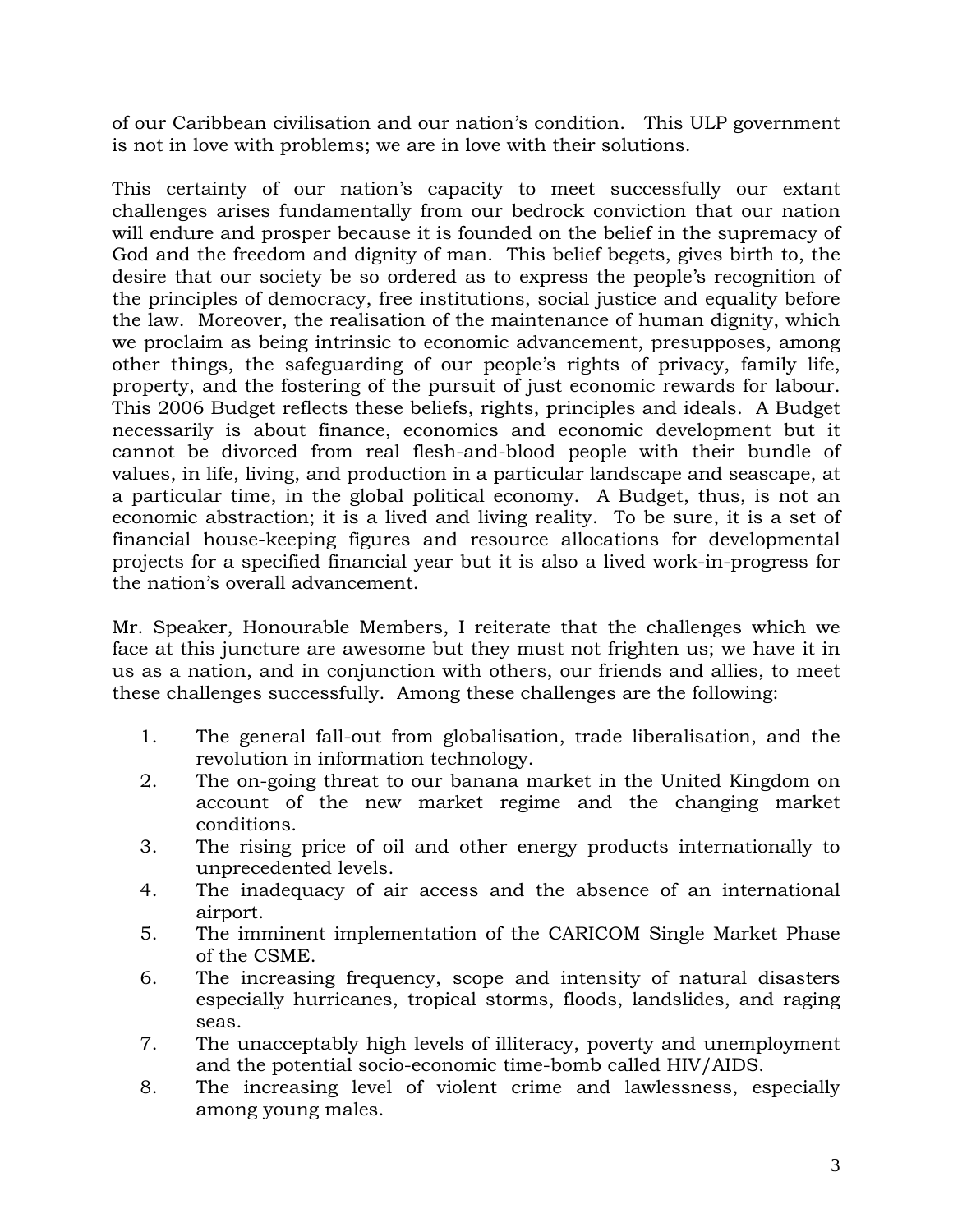of our Caribbean civilisation and our nation's condition. This ULP government is not in love with problems; we are in love with their solutions.

This certainty of our nation's capacity to meet successfully our extant challenges arises fundamentally from our bedrock conviction that our nation will endure and prosper because it is founded on the belief in the supremacy of God and the freedom and dignity of man. This belief begets, gives birth to, the desire that our society be so ordered as to express the people's recognition of the principles of democracy, free institutions, social justice and equality before the law. Moreover, the realisation of the maintenance of human dignity, which we proclaim as being intrinsic to economic advancement, presupposes, among other things, the safeguarding of our people's rights of privacy, family life, property, and the fostering of the pursuit of just economic rewards for labour. This 2006 Budget reflects these beliefs, rights, principles and ideals. A Budget necessarily is about finance, economics and economic development but it cannot be divorced from real flesh-and-blood people with their bundle of values, in life, living, and production in a particular landscape and seascape, at a particular time, in the global political economy. A Budget, thus, is not an economic abstraction; it is a lived and living reality. To be sure, it is a set of financial house-keeping figures and resource allocations for developmental projects for a specified financial year but it is also a lived work-in-progress for the nation's overall advancement.

Mr. Speaker, Honourable Members, I reiterate that the challenges which we face at this juncture are awesome but they must not frighten us; we have it in us as a nation, and in conjunction with others, our friends and allies, to meet these challenges successfully. Among these challenges are the following:

- 1. The general fall-out from globalisation, trade liberalisation, and the revolution in information technology.
- 2. The on-going threat to our banana market in the United Kingdom on account of the new market regime and the changing market conditions.
- 3. The rising price of oil and other energy products internationally to unprecedented levels.
- 4. The inadequacy of air access and the absence of an international airport.
- 5. The imminent implementation of the CARICOM Single Market Phase of the CSME.
- 6. The increasing frequency, scope and intensity of natural disasters especially hurricanes, tropical storms, floods, landslides, and raging seas.
- 7. The unacceptably high levels of illiteracy, poverty and unemployment and the potential socio-economic time-bomb called HIV/AIDS.
- 8. The increasing level of violent crime and lawlessness, especially among young males.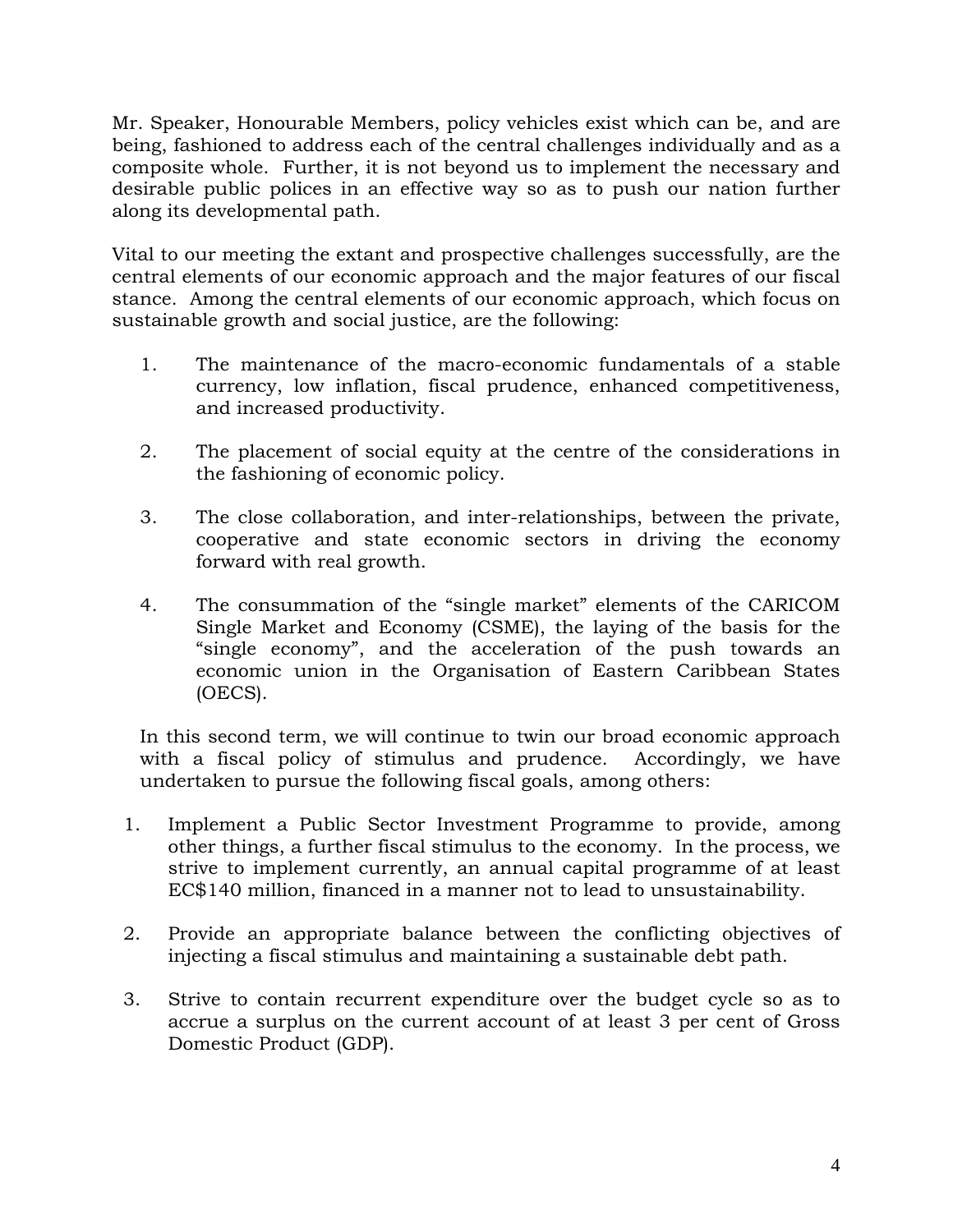Mr. Speaker, Honourable Members, policy vehicles exist which can be, and are being, fashioned to address each of the central challenges individually and as a composite whole. Further, it is not beyond us to implement the necessary and desirable public polices in an effective way so as to push our nation further along its developmental path.

Vital to our meeting the extant and prospective challenges successfully, are the central elements of our economic approach and the major features of our fiscal stance. Among the central elements of our economic approach, which focus on sustainable growth and social justice, are the following:

- 1. The maintenance of the macro-economic fundamentals of a stable currency, low inflation, fiscal prudence, enhanced competitiveness, and increased productivity.
- 2. The placement of social equity at the centre of the considerations in the fashioning of economic policy.
- 3. The close collaboration, and inter-relationships, between the private, cooperative and state economic sectors in driving the economy forward with real growth.
- 4. The consummation of the "single market" elements of the CARICOM Single Market and Economy (CSME), the laying of the basis for the "single economy", and the acceleration of the push towards an economic union in the Organisation of Eastern Caribbean States (OECS).

In this second term, we will continue to twin our broad economic approach with a fiscal policy of stimulus and prudence. Accordingly, we have undertaken to pursue the following fiscal goals, among others:

- 1. Implement a Public Sector Investment Programme to provide, among other things, a further fiscal stimulus to the economy. In the process, we strive to implement currently, an annual capital programme of at least EC\$140 million, financed in a manner not to lead to unsustainability.
- 2. Provide an appropriate balance between the conflicting objectives of injecting a fiscal stimulus and maintaining a sustainable debt path.
- 3. Strive to contain recurrent expenditure over the budget cycle so as to accrue a surplus on the current account of at least 3 per cent of Gross Domestic Product (GDP).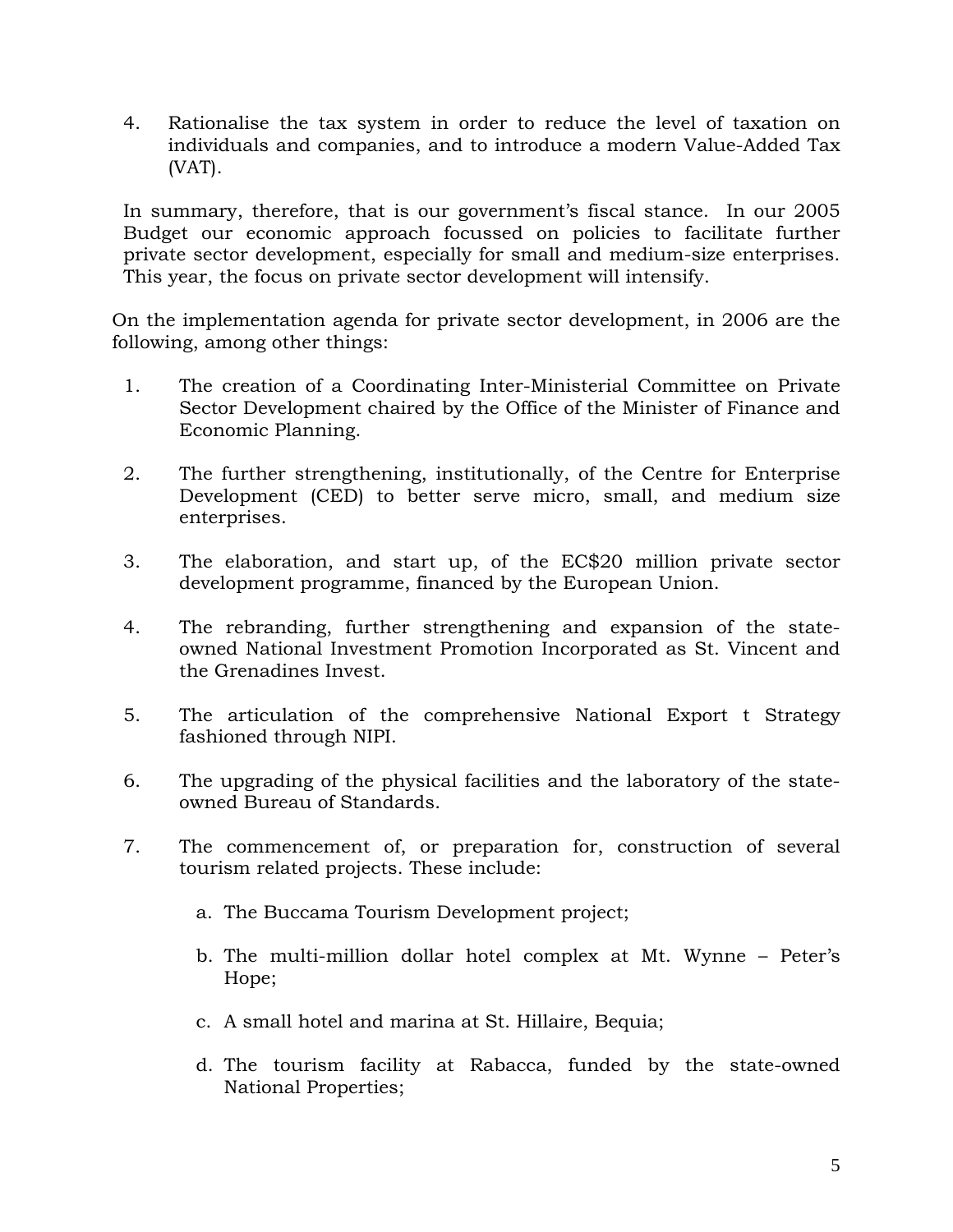4. Rationalise the tax system in order to reduce the level of taxation on individuals and companies, and to introduce a modern Value-Added Tax (VAT).

In summary, therefore, that is our government's fiscal stance. In our 2005 Budget our economic approach focussed on policies to facilitate further private sector development, especially for small and medium-size enterprises. This year, the focus on private sector development will intensify.

On the implementation agenda for private sector development, in 2006 are the following, among other things:

- 1. The creation of a Coordinating Inter-Ministerial Committee on Private Sector Development chaired by the Office of the Minister of Finance and Economic Planning.
- 2. The further strengthening, institutionally, of the Centre for Enterprise Development (CED) to better serve micro, small, and medium size enterprises.
- 3. The elaboration, and start up, of the EC\$20 million private sector development programme, financed by the European Union.
- 4. The rebranding, further strengthening and expansion of the stateowned National Investment Promotion Incorporated as St. Vincent and the Grenadines Invest.
- 5. The articulation of the comprehensive National Export t Strategy fashioned through NIPI.
- 6. The upgrading of the physical facilities and the laboratory of the stateowned Bureau of Standards.
- 7. The commencement of, or preparation for, construction of several tourism related projects. These include:
	- a. The Buccama Tourism Development project;
	- b. The multi-million dollar hotel complex at Mt. Wynne Peter's Hope;
	- c. A small hotel and marina at St. Hillaire, Bequia;
	- d. The tourism facility at Rabacca, funded by the state-owned National Properties;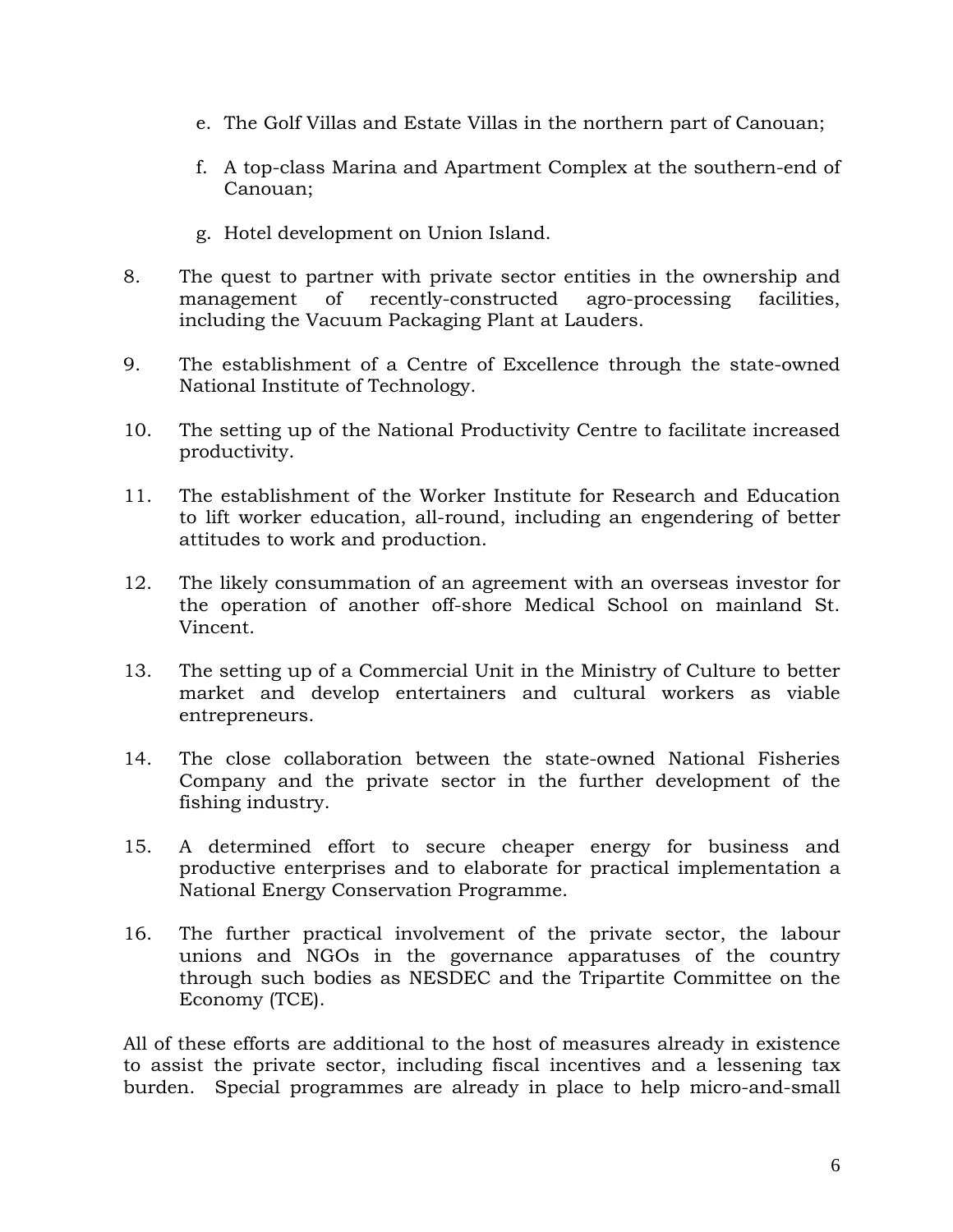- e. The Golf Villas and Estate Villas in the northern part of Canouan;
- f. A top-class Marina and Apartment Complex at the southern-end of Canouan;
- g. Hotel development on Union Island.
- 8. The quest to partner with private sector entities in the ownership and management of recently-constructed agro-processing facilities, including the Vacuum Packaging Plant at Lauders.
- 9. The establishment of a Centre of Excellence through the state-owned National Institute of Technology.
- 10. The setting up of the National Productivity Centre to facilitate increased productivity.
- 11. The establishment of the Worker Institute for Research and Education to lift worker education, all-round, including an engendering of better attitudes to work and production.
- 12. The likely consummation of an agreement with an overseas investor for the operation of another off-shore Medical School on mainland St. Vincent.
- 13. The setting up of a Commercial Unit in the Ministry of Culture to better market and develop entertainers and cultural workers as viable entrepreneurs.
- 14. The close collaboration between the state-owned National Fisheries Company and the private sector in the further development of the fishing industry.
- 15. A determined effort to secure cheaper energy for business and productive enterprises and to elaborate for practical implementation a National Energy Conservation Programme.
- 16. The further practical involvement of the private sector, the labour unions and NGOs in the governance apparatuses of the country through such bodies as NESDEC and the Tripartite Committee on the Economy (TCE).

All of these efforts are additional to the host of measures already in existence to assist the private sector, including fiscal incentives and a lessening tax burden. Special programmes are already in place to help micro-and-small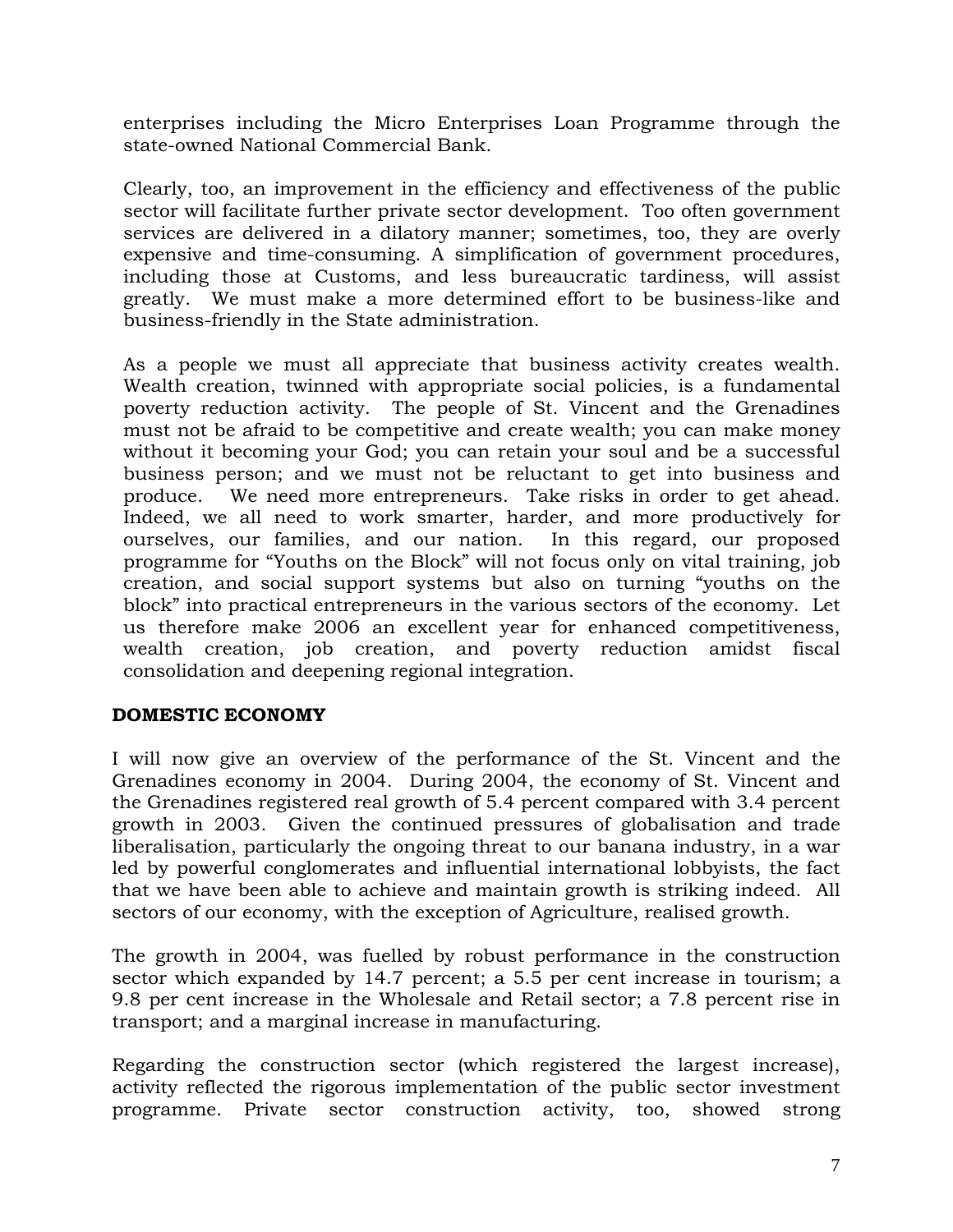enterprises including the Micro Enterprises Loan Programme through the state-owned National Commercial Bank.

Clearly, too, an improvement in the efficiency and effectiveness of the public sector will facilitate further private sector development. Too often government services are delivered in a dilatory manner; sometimes, too, they are overly expensive and time-consuming. A simplification of government procedures, including those at Customs, and less bureaucratic tardiness, will assist greatly. We must make a more determined effort to be business-like and business-friendly in the State administration.

As a people we must all appreciate that business activity creates wealth. Wealth creation, twinned with appropriate social policies, is a fundamental poverty reduction activity. The people of St. Vincent and the Grenadines must not be afraid to be competitive and create wealth; you can make money without it becoming your God; you can retain your soul and be a successful business person; and we must not be reluctant to get into business and produce. We need more entrepreneurs. Take risks in order to get ahead. Indeed, we all need to work smarter, harder, and more productively for ourselves, our families, and our nation. In this regard, our proposed programme for "Youths on the Block" will not focus only on vital training, job creation, and social support systems but also on turning "youths on the block" into practical entrepreneurs in the various sectors of the economy. Let us therefore make 2006 an excellent year for enhanced competitiveness, wealth creation, job creation, and poverty reduction amidst fiscal consolidation and deepening regional integration.

# **DOMESTIC ECONOMY**

I will now give an overview of the performance of the St. Vincent and the Grenadines economy in 2004. During 2004, the economy of St. Vincent and the Grenadines registered real growth of 5.4 percent compared with 3.4 percent growth in 2003. Given the continued pressures of globalisation and trade liberalisation, particularly the ongoing threat to our banana industry, in a war led by powerful conglomerates and influential international lobbyists, the fact that we have been able to achieve and maintain growth is striking indeed. All sectors of our economy, with the exception of Agriculture, realised growth.

The growth in 2004, was fuelled by robust performance in the construction sector which expanded by 14.7 percent; a 5.5 per cent increase in tourism; a 9.8 per cent increase in the Wholesale and Retail sector; a 7.8 percent rise in transport; and a marginal increase in manufacturing.

Regarding the construction sector (which registered the largest increase), activity reflected the rigorous implementation of the public sector investment programme. Private sector construction activity, too, showed strong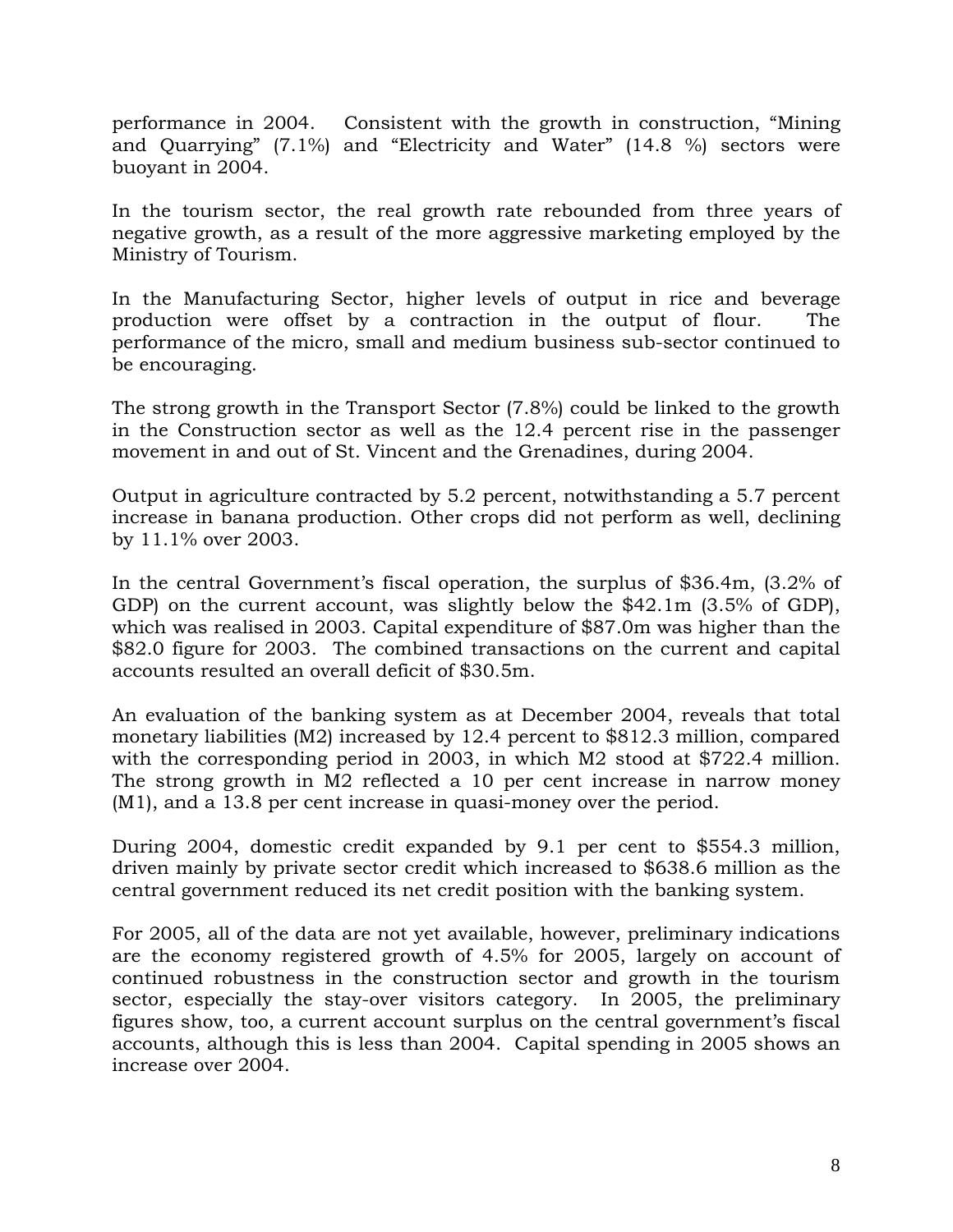performance in 2004. Consistent with the growth in construction, "Mining and Quarrying" (7.1%) and "Electricity and Water" (14.8 %) sectors were buoyant in 2004.

In the tourism sector, the real growth rate rebounded from three years of negative growth, as a result of the more aggressive marketing employed by the Ministry of Tourism.

In the Manufacturing Sector, higher levels of output in rice and beverage production were offset by a contraction in the output of flour. The performance of the micro, small and medium business sub-sector continued to be encouraging.

The strong growth in the Transport Sector (7.8%) could be linked to the growth in the Construction sector as well as the 12.4 percent rise in the passenger movement in and out of St. Vincent and the Grenadines, during 2004.

Output in agriculture contracted by 5.2 percent, notwithstanding a 5.7 percent increase in banana production. Other crops did not perform as well, declining by 11.1% over 2003.

In the central Government's fiscal operation, the surplus of \$36.4m, (3.2% of GDP) on the current account, was slightly below the \$42.1m (3.5% of GDP), which was realised in 2003. Capital expenditure of \$87.0m was higher than the \$82.0 figure for 2003. The combined transactions on the current and capital accounts resulted an overall deficit of \$30.5m.

An evaluation of the banking system as at December 2004, reveals that total monetary liabilities (M2) increased by 12.4 percent to \$812.3 million, compared with the corresponding period in 2003, in which M2 stood at \$722.4 million. The strong growth in M2 reflected a 10 per cent increase in narrow money (M1), and a 13.8 per cent increase in quasi-money over the period.

During 2004, domestic credit expanded by 9.1 per cent to \$554.3 million, driven mainly by private sector credit which increased to \$638.6 million as the central government reduced its net credit position with the banking system.

For 2005, all of the data are not yet available, however, preliminary indications are the economy registered growth of 4.5% for 2005, largely on account of continued robustness in the construction sector and growth in the tourism sector, especially the stay-over visitors category. In 2005, the preliminary figures show, too, a current account surplus on the central government's fiscal accounts, although this is less than 2004. Capital spending in 2005 shows an increase over 2004.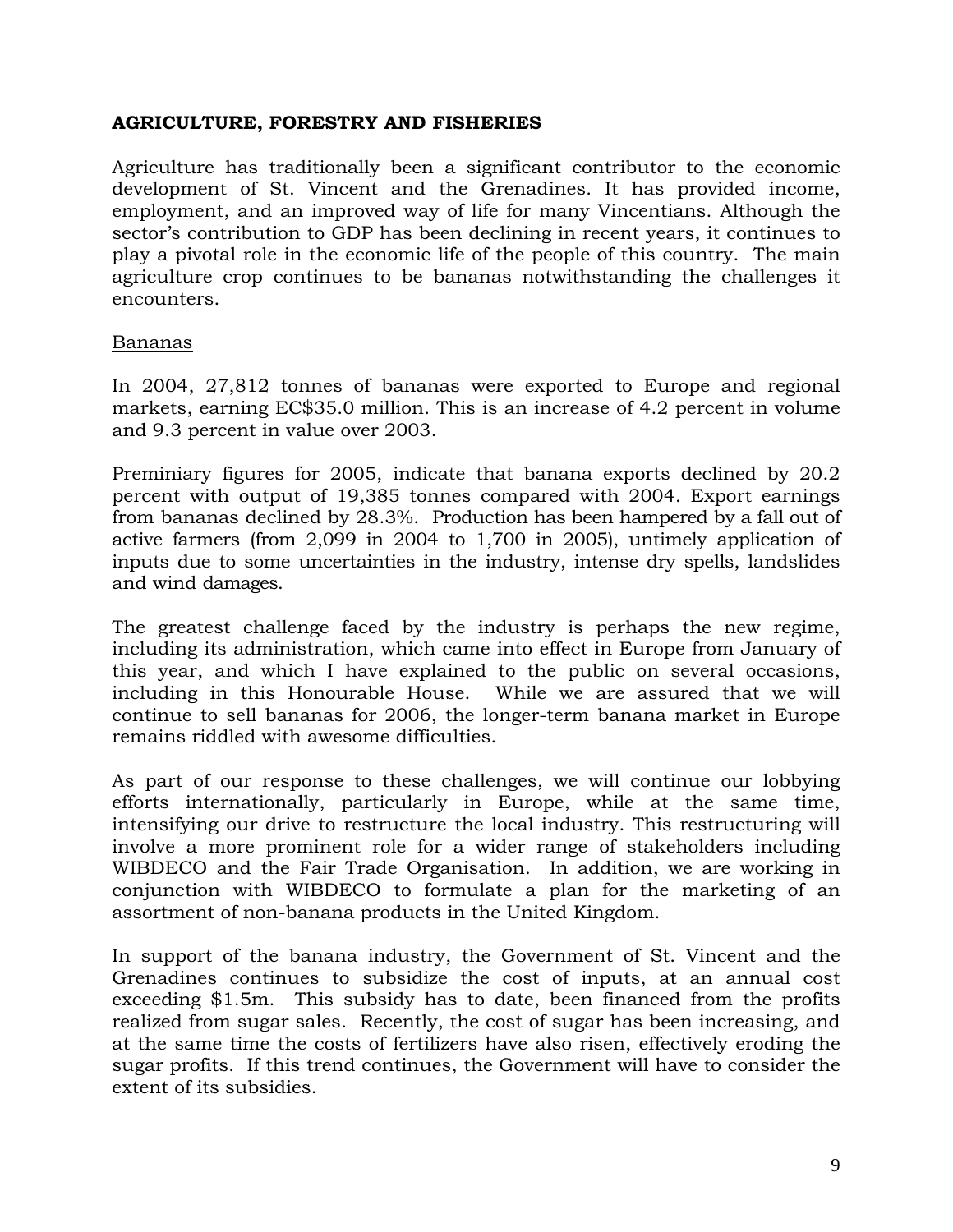### **AGRICULTURE, FORESTRY AND FISHERIES**

Agriculture has traditionally been a significant contributor to the economic development of St. Vincent and the Grenadines. It has provided income, employment, and an improved way of life for many Vincentians. Although the sector's contribution to GDP has been declining in recent years, it continues to play a pivotal role in the economic life of the people of this country. The main agriculture crop continues to be bananas notwithstanding the challenges it encounters.

#### Bananas

In 2004, 27,812 tonnes of bananas were exported to Europe and regional markets, earning EC\$35.0 million. This is an increase of 4.2 percent in volume and 9.3 percent in value over 2003.

Preminiary figures for 2005, indicate that banana exports declined by 20.2 percent with output of 19,385 tonnes compared with 2004. Export earnings from bananas declined by 28.3%. Production has been hampered by a fall out of active farmers (from 2,099 in 2004 to 1,700 in 2005), untimely application of inputs due to some uncertainties in the industry, intense dry spells, landslides and wind damages.

The greatest challenge faced by the industry is perhaps the new regime, including its administration, which came into effect in Europe from January of this year, and which I have explained to the public on several occasions, including in this Honourable House. While we are assured that we will continue to sell bananas for 2006, the longer-term banana market in Europe remains riddled with awesome difficulties.

As part of our response to these challenges, we will continue our lobbying efforts internationally, particularly in Europe, while at the same time, intensifying our drive to restructure the local industry. This restructuring will involve a more prominent role for a wider range of stakeholders including WIBDECO and the Fair Trade Organisation. In addition, we are working in conjunction with WIBDECO to formulate a plan for the marketing of an assortment of non-banana products in the United Kingdom.

In support of the banana industry, the Government of St. Vincent and the Grenadines continues to subsidize the cost of inputs, at an annual cost exceeding \$1.5m. This subsidy has to date, been financed from the profits realized from sugar sales. Recently, the cost of sugar has been increasing, and at the same time the costs of fertilizers have also risen, effectively eroding the sugar profits. If this trend continues, the Government will have to consider the extent of its subsidies.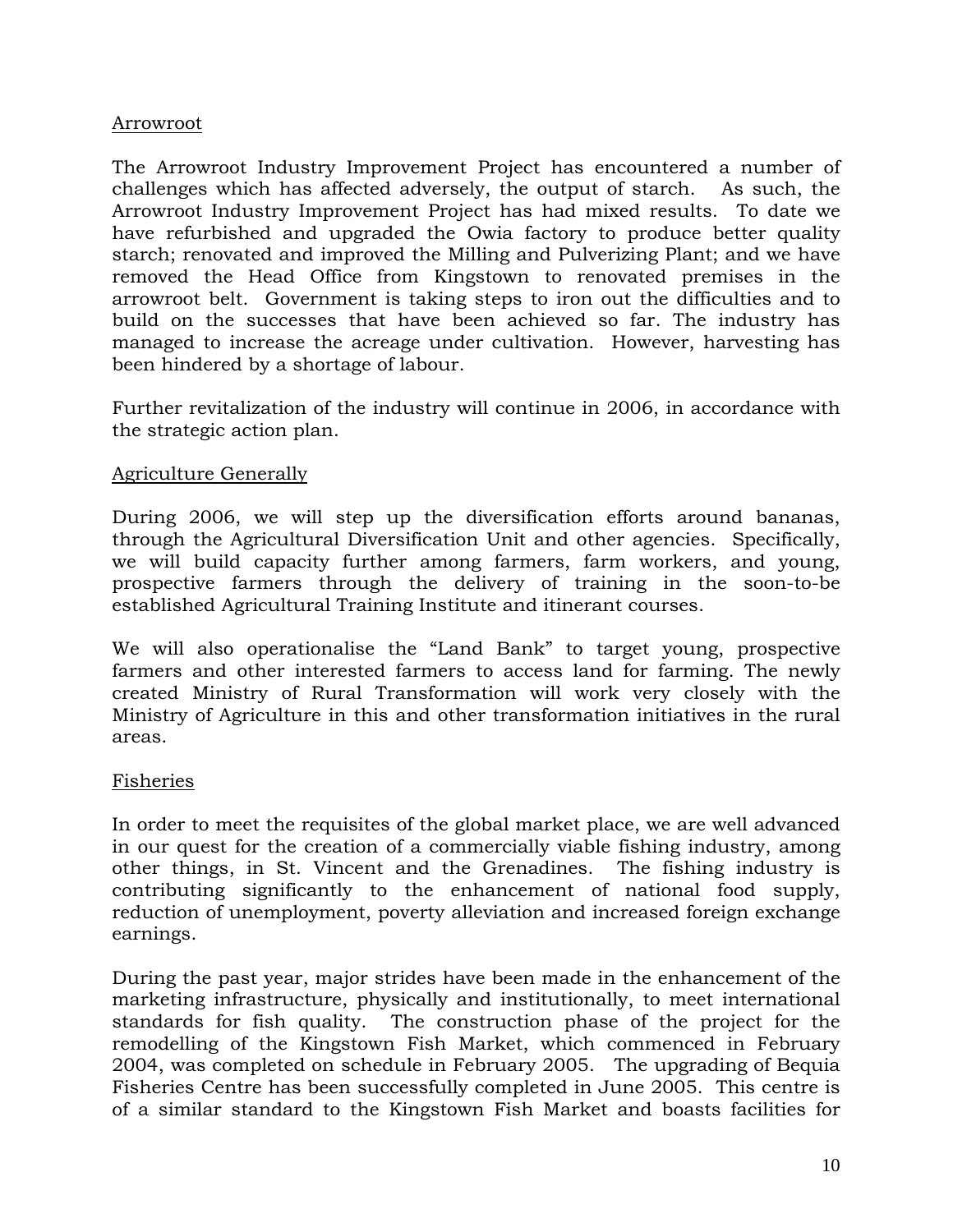### Arrowroot

The Arrowroot Industry Improvement Project has encountered a number of challenges which has affected adversely, the output of starch. As such, the Arrowroot Industry Improvement Project has had mixed results. To date we have refurbished and upgraded the Owia factory to produce better quality starch; renovated and improved the Milling and Pulverizing Plant; and we have removed the Head Office from Kingstown to renovated premises in the arrowroot belt. Government is taking steps to iron out the difficulties and to build on the successes that have been achieved so far. The industry has managed to increase the acreage under cultivation. However, harvesting has been hindered by a shortage of labour.

Further revitalization of the industry will continue in 2006, in accordance with the strategic action plan.

### Agriculture Generally

During 2006, we will step up the diversification efforts around bananas, through the Agricultural Diversification Unit and other agencies. Specifically, we will build capacity further among farmers, farm workers, and young, prospective farmers through the delivery of training in the soon-to-be established Agricultural Training Institute and itinerant courses.

We will also operationalise the "Land Bank" to target young, prospective farmers and other interested farmers to access land for farming. The newly created Ministry of Rural Transformation will work very closely with the Ministry of Agriculture in this and other transformation initiatives in the rural areas.

# Fisheries

In order to meet the requisites of the global market place, we are well advanced in our quest for the creation of a commercially viable fishing industry, among other things, in St. Vincent and the Grenadines. The fishing industry is contributing significantly to the enhancement of national food supply, reduction of unemployment, poverty alleviation and increased foreign exchange earnings.

During the past year, major strides have been made in the enhancement of the marketing infrastructure, physically and institutionally, to meet international standards for fish quality. The construction phase of the project for the remodelling of the Kingstown Fish Market, which commenced in February 2004, was completed on schedule in February 2005. The upgrading of Bequia Fisheries Centre has been successfully completed in June 2005. This centre is of a similar standard to the Kingstown Fish Market and boasts facilities for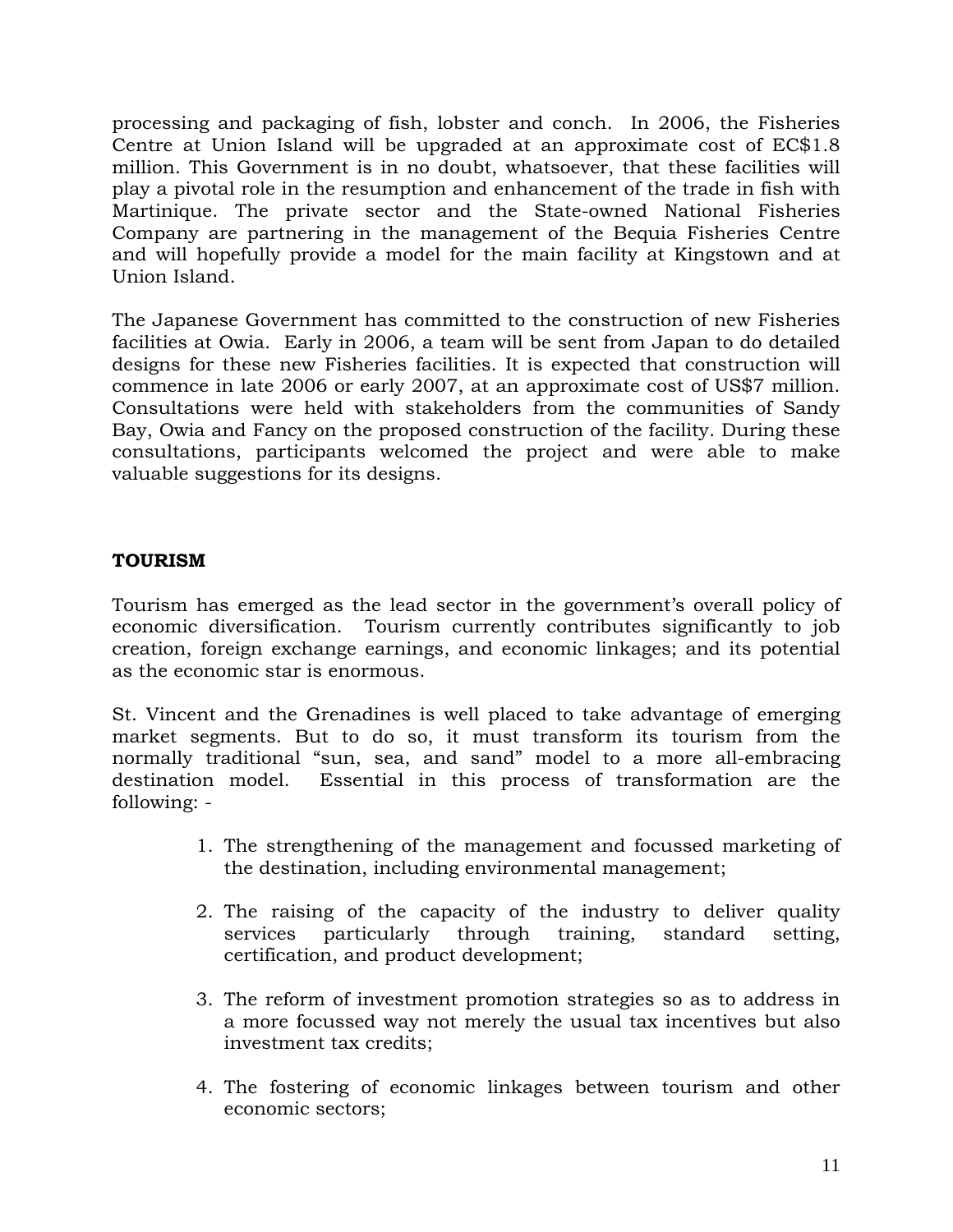processing and packaging of fish, lobster and conch. In 2006, the Fisheries Centre at Union Island will be upgraded at an approximate cost of EC\$1.8 million. This Government is in no doubt, whatsoever, that these facilities will play a pivotal role in the resumption and enhancement of the trade in fish with Martinique. The private sector and the State-owned National Fisheries Company are partnering in the management of the Bequia Fisheries Centre and will hopefully provide a model for the main facility at Kingstown and at Union Island.

The Japanese Government has committed to the construction of new Fisheries facilities at Owia. Early in 2006, a team will be sent from Japan to do detailed designs for these new Fisheries facilities. It is expected that construction will commence in late 2006 or early 2007, at an approximate cost of US\$7 million. Consultations were held with stakeholders from the communities of Sandy Bay, Owia and Fancy on the proposed construction of the facility. During these consultations, participants welcomed the project and were able to make valuable suggestions for its designs.

# **TOURISM**

Tourism has emerged as the lead sector in the government's overall policy of economic diversification. Tourism currently contributes significantly to job creation, foreign exchange earnings, and economic linkages; and its potential as the economic star is enormous.

St. Vincent and the Grenadines is well placed to take advantage of emerging market segments. But to do so, it must transform its tourism from the normally traditional "sun, sea, and sand" model to a more all-embracing destination model. Essential in this process of transformation are the following: -

- 1. The strengthening of the management and focussed marketing of the destination, including environmental management;
- 2. The raising of the capacity of the industry to deliver quality services particularly through training, standard setting, certification, and product development;
- 3. The reform of investment promotion strategies so as to address in a more focussed way not merely the usual tax incentives but also investment tax credits;
- 4. The fostering of economic linkages between tourism and other economic sectors;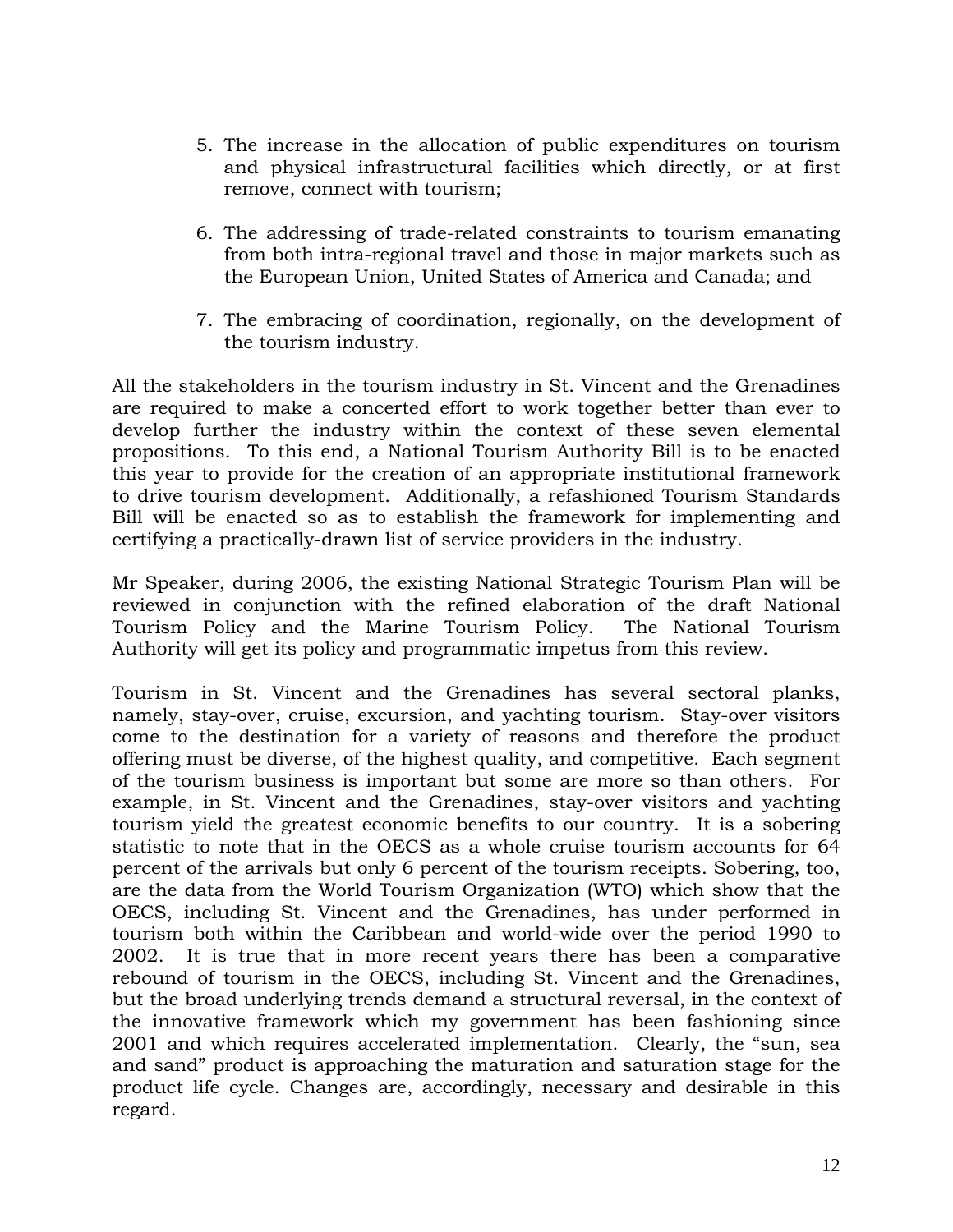- 5. The increase in the allocation of public expenditures on tourism and physical infrastructural facilities which directly, or at first remove, connect with tourism;
- 6. The addressing of trade-related constraints to tourism emanating from both intra-regional travel and those in major markets such as the European Union, United States of America and Canada; and
- 7. The embracing of coordination, regionally, on the development of the tourism industry.

All the stakeholders in the tourism industry in St. Vincent and the Grenadines are required to make a concerted effort to work together better than ever to develop further the industry within the context of these seven elemental propositions. To this end, a National Tourism Authority Bill is to be enacted this year to provide for the creation of an appropriate institutional framework to drive tourism development. Additionally, a refashioned Tourism Standards Bill will be enacted so as to establish the framework for implementing and certifying a practically-drawn list of service providers in the industry.

Mr Speaker, during 2006, the existing National Strategic Tourism Plan will be reviewed in conjunction with the refined elaboration of the draft National Tourism Policy and the Marine Tourism Policy. The National Tourism Authority will get its policy and programmatic impetus from this review.

Tourism in St. Vincent and the Grenadines has several sectoral planks, namely, stay-over, cruise, excursion, and yachting tourism. Stay-over visitors come to the destination for a variety of reasons and therefore the product offering must be diverse, of the highest quality, and competitive. Each segment of the tourism business is important but some are more so than others. For example, in St. Vincent and the Grenadines, stay-over visitors and yachting tourism yield the greatest economic benefits to our country. It is a sobering statistic to note that in the OECS as a whole cruise tourism accounts for 64 percent of the arrivals but only 6 percent of the tourism receipts. Sobering, too, are the data from the World Tourism Organization (WTO) which show that the OECS, including St. Vincent and the Grenadines, has under performed in tourism both within the Caribbean and world-wide over the period 1990 to 2002. It is true that in more recent years there has been a comparative rebound of tourism in the OECS, including St. Vincent and the Grenadines, but the broad underlying trends demand a structural reversal, in the context of the innovative framework which my government has been fashioning since 2001 and which requires accelerated implementation. Clearly, the "sun, sea and sand" product is approaching the maturation and saturation stage for the product life cycle. Changes are, accordingly, necessary and desirable in this regard.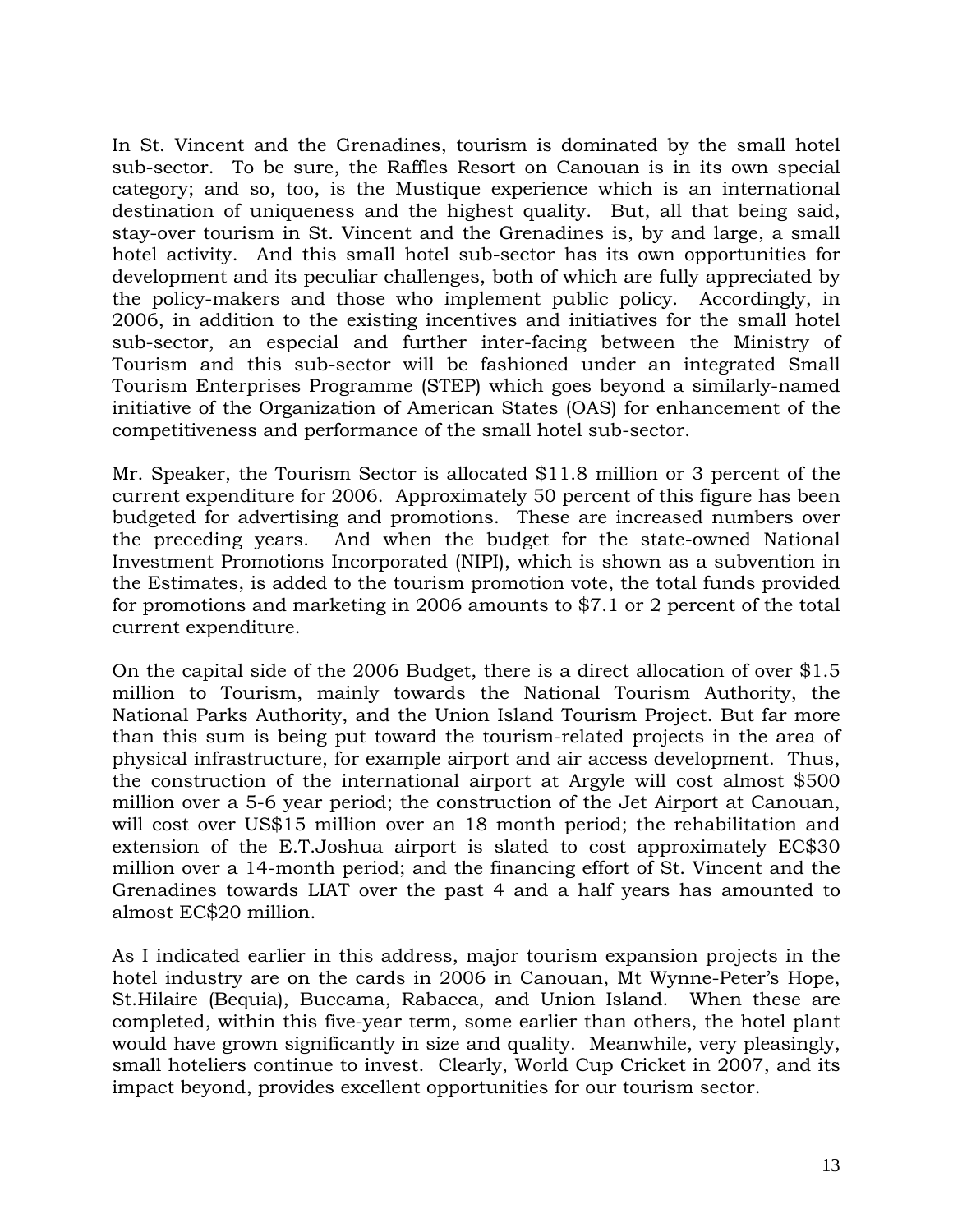In St. Vincent and the Grenadines, tourism is dominated by the small hotel sub-sector. To be sure, the Raffles Resort on Canouan is in its own special category; and so, too, is the Mustique experience which is an international destination of uniqueness and the highest quality. But, all that being said, stay-over tourism in St. Vincent and the Grenadines is, by and large, a small hotel activity. And this small hotel sub-sector has its own opportunities for development and its peculiar challenges, both of which are fully appreciated by the policy-makers and those who implement public policy. Accordingly, in 2006, in addition to the existing incentives and initiatives for the small hotel sub-sector, an especial and further inter-facing between the Ministry of Tourism and this sub-sector will be fashioned under an integrated Small Tourism Enterprises Programme (STEP) which goes beyond a similarly-named initiative of the Organization of American States (OAS) for enhancement of the competitiveness and performance of the small hotel sub-sector.

Mr. Speaker, the Tourism Sector is allocated \$11.8 million or 3 percent of the current expenditure for 2006. Approximately 50 percent of this figure has been budgeted for advertising and promotions. These are increased numbers over the preceding years. And when the budget for the state-owned National Investment Promotions Incorporated (NIPI), which is shown as a subvention in the Estimates, is added to the tourism promotion vote, the total funds provided for promotions and marketing in 2006 amounts to \$7.1 or 2 percent of the total current expenditure.

On the capital side of the 2006 Budget, there is a direct allocation of over \$1.5 million to Tourism, mainly towards the National Tourism Authority, the National Parks Authority, and the Union Island Tourism Project. But far more than this sum is being put toward the tourism-related projects in the area of physical infrastructure, for example airport and air access development. Thus, the construction of the international airport at Argyle will cost almost \$500 million over a 5-6 year period; the construction of the Jet Airport at Canouan, will cost over US\$15 million over an 18 month period; the rehabilitation and extension of the E.T.Joshua airport is slated to cost approximately EC\$30 million over a 14-month period; and the financing effort of St. Vincent and the Grenadines towards LIAT over the past 4 and a half years has amounted to almost EC\$20 million.

As I indicated earlier in this address, major tourism expansion projects in the hotel industry are on the cards in 2006 in Canouan, Mt Wynne-Peter's Hope, St.Hilaire (Bequia), Buccama, Rabacca, and Union Island. When these are completed, within this five-year term, some earlier than others, the hotel plant would have grown significantly in size and quality. Meanwhile, very pleasingly, small hoteliers continue to invest. Clearly, World Cup Cricket in 2007, and its impact beyond, provides excellent opportunities for our tourism sector.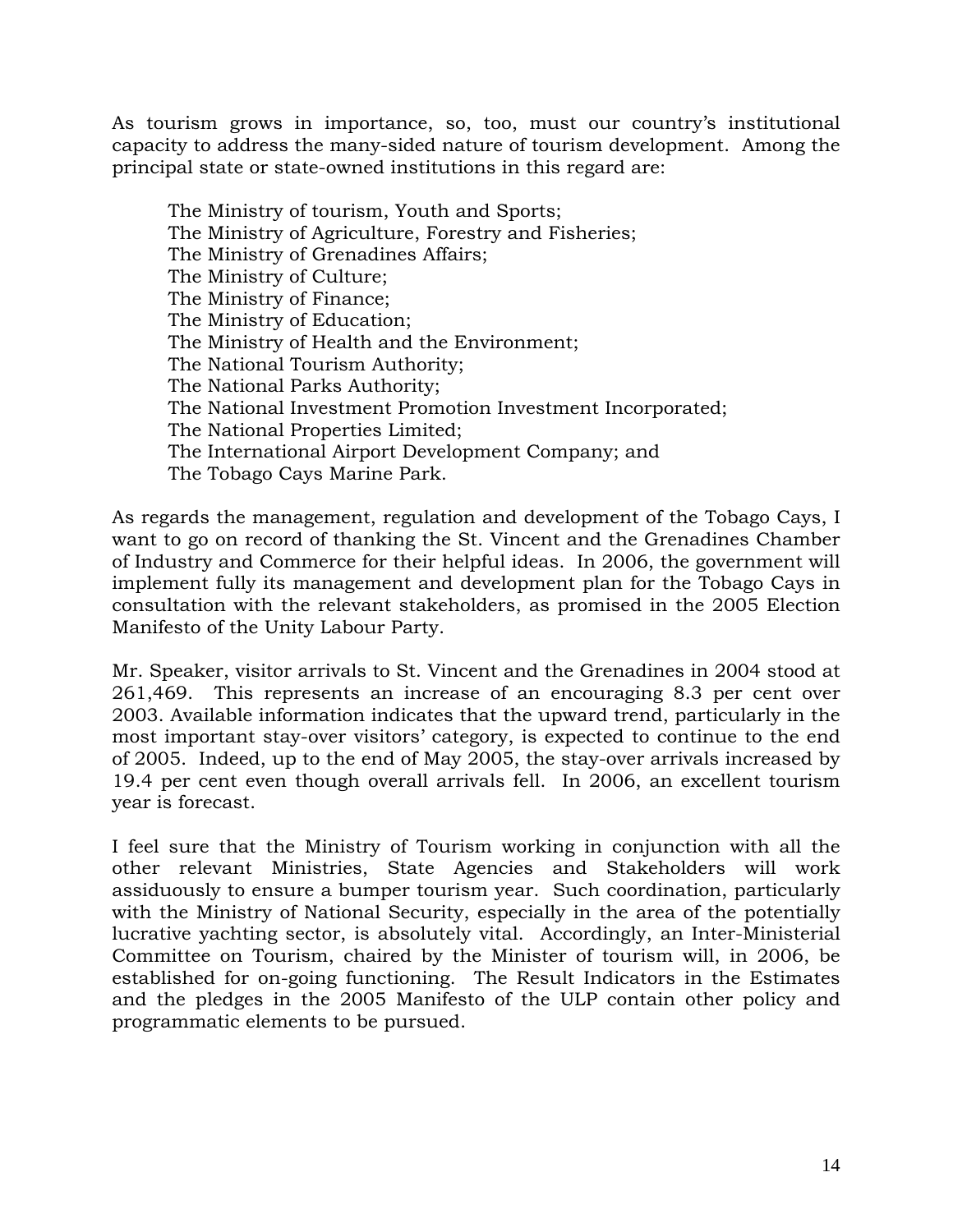As tourism grows in importance, so, too, must our country's institutional capacity to address the many-sided nature of tourism development. Among the principal state or state-owned institutions in this regard are:

The Ministry of tourism, Youth and Sports; The Ministry of Agriculture, Forestry and Fisheries; The Ministry of Grenadines Affairs; The Ministry of Culture; The Ministry of Finance; The Ministry of Education; The Ministry of Health and the Environment; The National Tourism Authority; The National Parks Authority; The National Investment Promotion Investment Incorporated; The National Properties Limited; The International Airport Development Company; and The Tobago Cays Marine Park.

As regards the management, regulation and development of the Tobago Cays, I want to go on record of thanking the St. Vincent and the Grenadines Chamber of Industry and Commerce for their helpful ideas. In 2006, the government will implement fully its management and development plan for the Tobago Cays in consultation with the relevant stakeholders, as promised in the 2005 Election Manifesto of the Unity Labour Party.

Mr. Speaker, visitor arrivals to St. Vincent and the Grenadines in 2004 stood at 261,469. This represents an increase of an encouraging 8.3 per cent over 2003. Available information indicates that the upward trend, particularly in the most important stay-over visitors' category, is expected to continue to the end of 2005. Indeed, up to the end of May 2005, the stay-over arrivals increased by 19.4 per cent even though overall arrivals fell. In 2006, an excellent tourism year is forecast.

I feel sure that the Ministry of Tourism working in conjunction with all the other relevant Ministries, State Agencies and Stakeholders will work assiduously to ensure a bumper tourism year. Such coordination, particularly with the Ministry of National Security, especially in the area of the potentially lucrative yachting sector, is absolutely vital. Accordingly, an Inter-Ministerial Committee on Tourism, chaired by the Minister of tourism will, in 2006, be established for on-going functioning. The Result Indicators in the Estimates and the pledges in the 2005 Manifesto of the ULP contain other policy and programmatic elements to be pursued.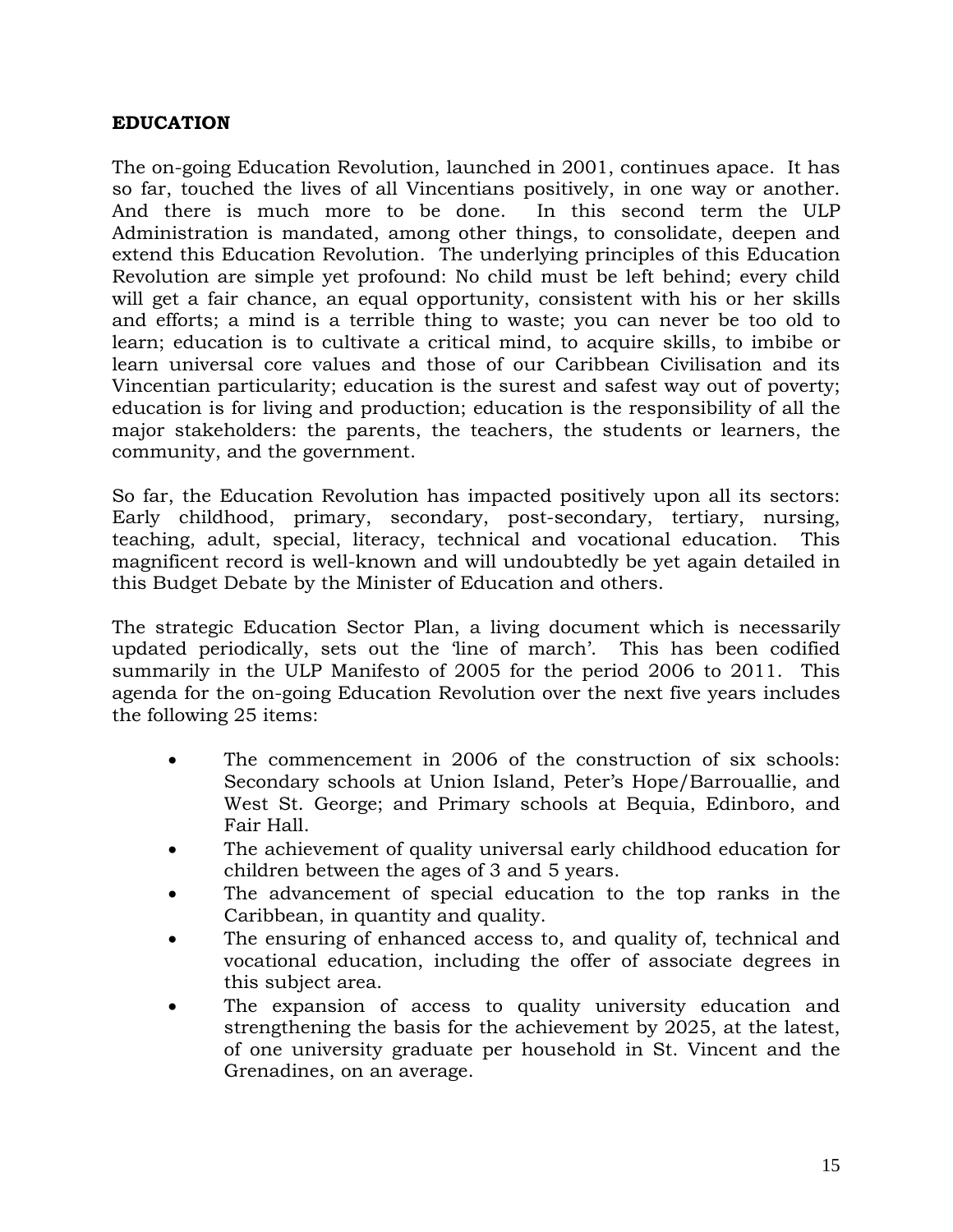### **EDUCATION**

The on-going Education Revolution, launched in 2001, continues apace. It has so far, touched the lives of all Vincentians positively, in one way or another. And there is much more to be done. In this second term the ULP Administration is mandated, among other things, to consolidate, deepen and extend this Education Revolution. The underlying principles of this Education Revolution are simple yet profound: No child must be left behind; every child will get a fair chance, an equal opportunity, consistent with his or her skills and efforts; a mind is a terrible thing to waste; you can never be too old to learn; education is to cultivate a critical mind, to acquire skills, to imbibe or learn universal core values and those of our Caribbean Civilisation and its Vincentian particularity; education is the surest and safest way out of poverty; education is for living and production; education is the responsibility of all the major stakeholders: the parents, the teachers, the students or learners, the community, and the government.

So far, the Education Revolution has impacted positively upon all its sectors: Early childhood, primary, secondary, post-secondary, tertiary, nursing, teaching, adult, special, literacy, technical and vocational education. This magnificent record is well-known and will undoubtedly be yet again detailed in this Budget Debate by the Minister of Education and others.

The strategic Education Sector Plan, a living document which is necessarily updated periodically, sets out the 'line of march'. This has been codified summarily in the ULP Manifesto of 2005 for the period 2006 to 2011. This agenda for the on-going Education Revolution over the next five years includes the following 25 items:

- The commencement in 2006 of the construction of six schools: Secondary schools at Union Island, Peter's Hope/Barrouallie, and West St. George; and Primary schools at Bequia, Edinboro, and Fair Hall.
- The achievement of quality universal early childhood education for children between the ages of 3 and 5 years.
- The advancement of special education to the top ranks in the Caribbean, in quantity and quality.
- The ensuring of enhanced access to, and quality of, technical and vocational education, including the offer of associate degrees in this subject area.
- The expansion of access to quality university education and strengthening the basis for the achievement by 2025, at the latest, of one university graduate per household in St. Vincent and the Grenadines, on an average.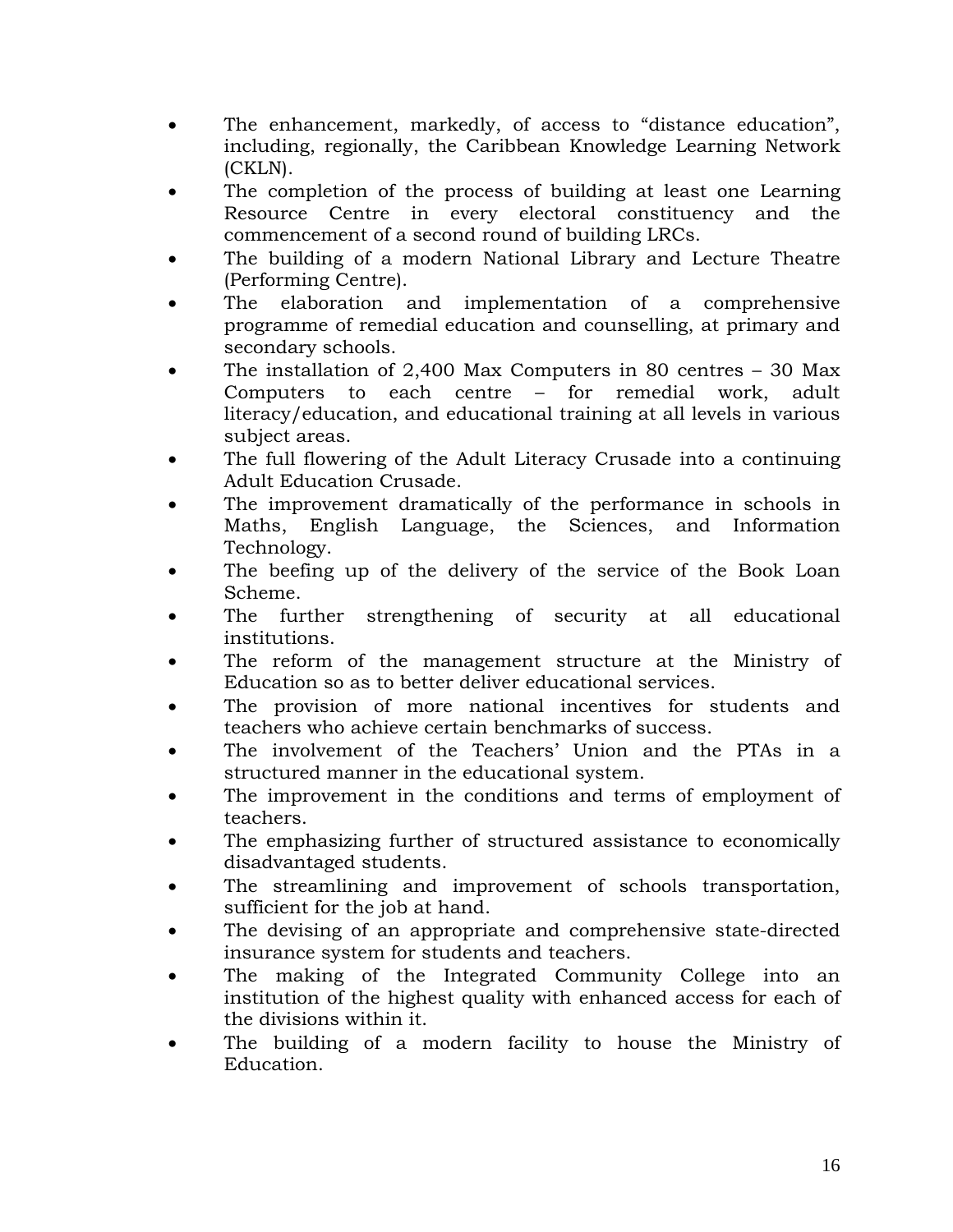- The enhancement, markedly, of access to "distance education", including, regionally, the Caribbean Knowledge Learning Network (CKLN).
- The completion of the process of building at least one Learning Resource Centre in every electoral constituency and the commencement of a second round of building LRCs.
- The building of a modern National Library and Lecture Theatre (Performing Centre).
- The elaboration and implementation of a comprehensive programme of remedial education and counselling, at primary and secondary schools.
- The installation of 2,400 Max Computers in 80 centres  $-30$  Max Computers to each centre – for remedial work, adult literacy/education, and educational training at all levels in various subject areas.
- The full flowering of the Adult Literacy Crusade into a continuing Adult Education Crusade.
- The improvement dramatically of the performance in schools in Maths, English Language, the Sciences, and Information Technology.
- The beefing up of the delivery of the service of the Book Loan Scheme.
- The further strengthening of security at all educational institutions.
- The reform of the management structure at the Ministry of Education so as to better deliver educational services.
- The provision of more national incentives for students and teachers who achieve certain benchmarks of success.
- The involvement of the Teachers' Union and the PTAs in a structured manner in the educational system.
- The improvement in the conditions and terms of employment of teachers.
- The emphasizing further of structured assistance to economically disadvantaged students.
- The streamlining and improvement of schools transportation, sufficient for the job at hand.
- The devising of an appropriate and comprehensive state-directed insurance system for students and teachers.
- The making of the Integrated Community College into an institution of the highest quality with enhanced access for each of the divisions within it.
- The building of a modern facility to house the Ministry of Education.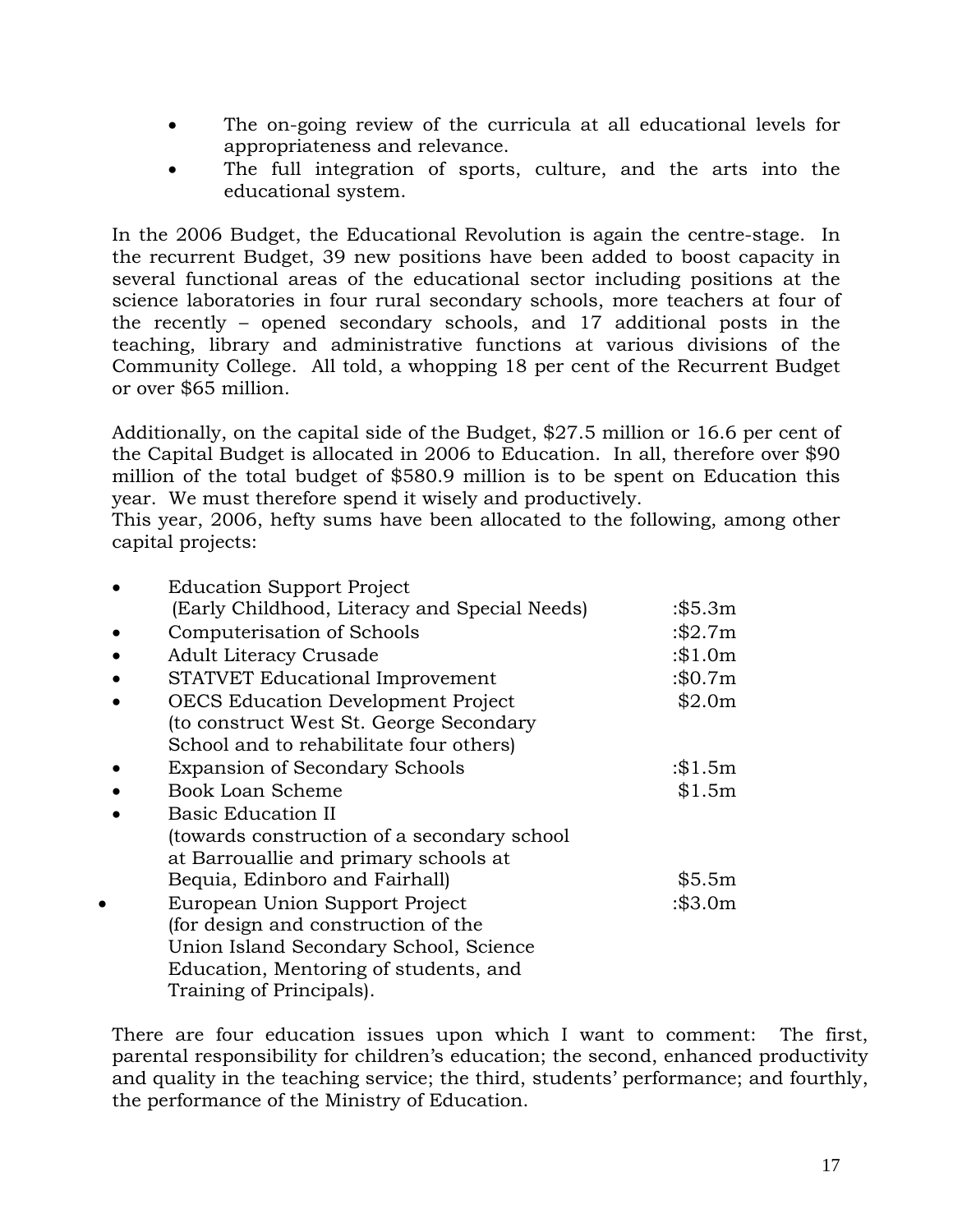- The on-going review of the curricula at all educational levels for appropriateness and relevance.
- The full integration of sports, culture, and the arts into the educational system.

In the 2006 Budget, the Educational Revolution is again the centre-stage. In the recurrent Budget, 39 new positions have been added to boost capacity in several functional areas of the educational sector including positions at the science laboratories in four rural secondary schools, more teachers at four of the recently – opened secondary schools, and 17 additional posts in the teaching, library and administrative functions at various divisions of the Community College. All told, a whopping 18 per cent of the Recurrent Budget or over \$65 million.

Additionally, on the capital side of the Budget, \$27.5 million or 16.6 per cent of the Capital Budget is allocated in 2006 to Education. In all, therefore over \$90 million of the total budget of \$580.9 million is to be spent on Education this year. We must therefore spend it wisely and productively.

This year, 2006, hefty sums have been allocated to the following, among other capital projects:

| <b>Education Support Project</b>              |           |
|-----------------------------------------------|-----------|
| (Early Childhood, Literacy and Special Needs) | :\$5.3m   |
| Computerisation of Schools                    | :\$2.7m   |
| Adult Literacy Crusade                        | $:\$1.0m$ |
| STATVET Educational Improvement               | :\$0.7m   |
| <b>OECS Education Development Project</b>     | \$2.0m    |
| (to construct West St. George Secondary       |           |
| School and to rehabilitate four others)       |           |
| <b>Expansion of Secondary Schools</b>         | $:\$1.5m$ |
| <b>Book Loan Scheme</b>                       | \$1.5m    |
| <b>Basic Education II</b>                     |           |
| (towards construction of a secondary school   |           |
| at Barrouallie and primary schools at         |           |
| Bequia, Edinboro and Fairhall)                | \$5.5m    |
| European Union Support Project                | :\$3.0m   |
| (for design and construction of the           |           |
| Union Island Secondary School, Science        |           |
| Education, Mentoring of students, and         |           |
| Training of Principals).                      |           |

There are four education issues upon which I want to comment: The first, parental responsibility for children's education; the second, enhanced productivity and quality in the teaching service; the third, students' performance; and fourthly, the performance of the Ministry of Education.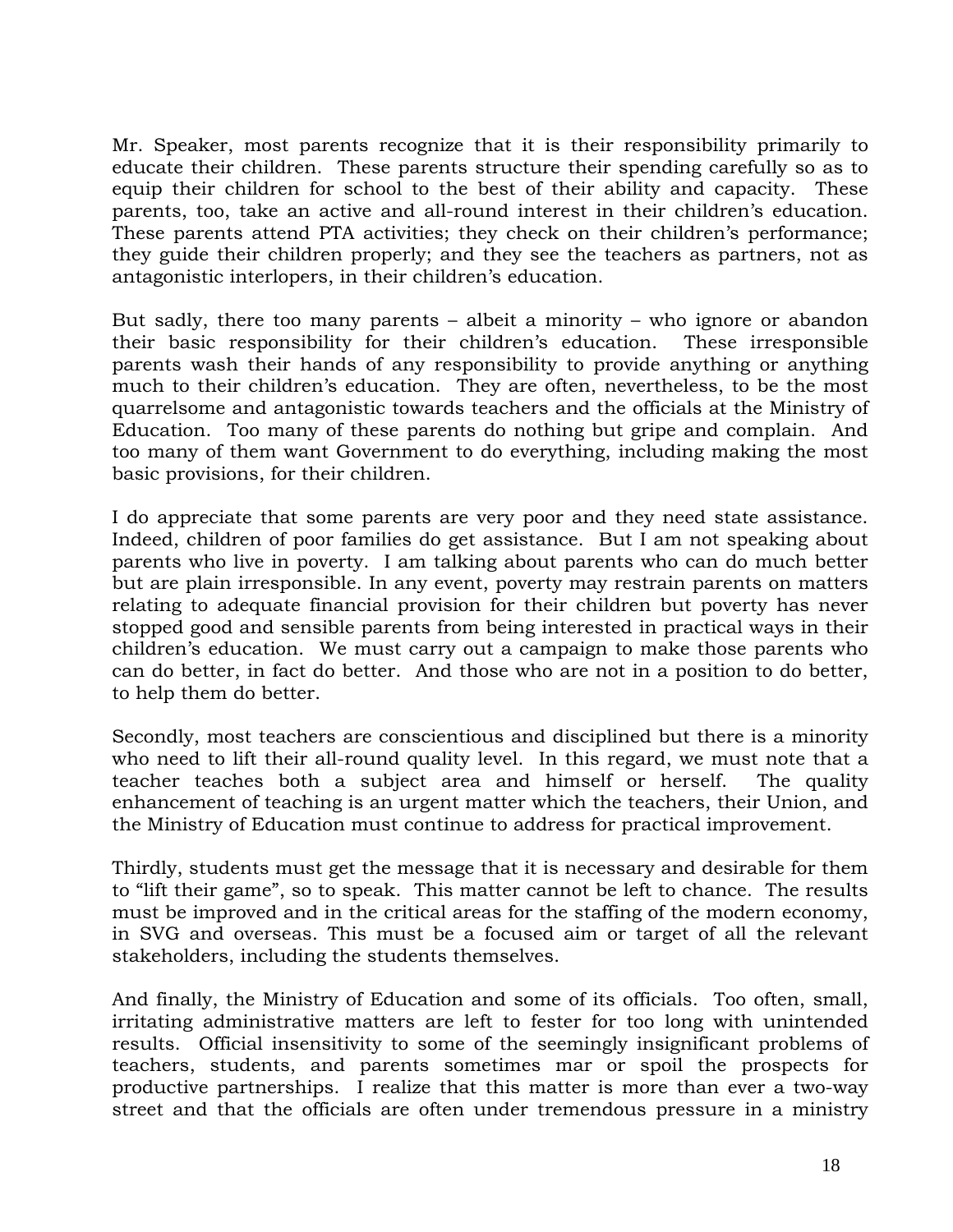Mr. Speaker, most parents recognize that it is their responsibility primarily to educate their children. These parents structure their spending carefully so as to equip their children for school to the best of their ability and capacity. These parents, too, take an active and all-round interest in their children's education. These parents attend PTA activities; they check on their children's performance; they guide their children properly; and they see the teachers as partners, not as antagonistic interlopers, in their children's education.

But sadly, there too many parents – albeit a minority – who ignore or abandon their basic responsibility for their children's education. These irresponsible parents wash their hands of any responsibility to provide anything or anything much to their children's education. They are often, nevertheless, to be the most quarrelsome and antagonistic towards teachers and the officials at the Ministry of Education. Too many of these parents do nothing but gripe and complain. And too many of them want Government to do everything, including making the most basic provisions, for their children.

I do appreciate that some parents are very poor and they need state assistance. Indeed, children of poor families do get assistance. But I am not speaking about parents who live in poverty. I am talking about parents who can do much better but are plain irresponsible. In any event, poverty may restrain parents on matters relating to adequate financial provision for their children but poverty has never stopped good and sensible parents from being interested in practical ways in their children's education. We must carry out a campaign to make those parents who can do better, in fact do better. And those who are not in a position to do better, to help them do better.

Secondly, most teachers are conscientious and disciplined but there is a minority who need to lift their all-round quality level. In this regard, we must note that a teacher teaches both a subject area and himself or herself. The quality enhancement of teaching is an urgent matter which the teachers, their Union, and the Ministry of Education must continue to address for practical improvement.

Thirdly, students must get the message that it is necessary and desirable for them to "lift their game", so to speak. This matter cannot be left to chance. The results must be improved and in the critical areas for the staffing of the modern economy, in SVG and overseas. This must be a focused aim or target of all the relevant stakeholders, including the students themselves.

And finally, the Ministry of Education and some of its officials. Too often, small, irritating administrative matters are left to fester for too long with unintended results. Official insensitivity to some of the seemingly insignificant problems of teachers, students, and parents sometimes mar or spoil the prospects for productive partnerships. I realize that this matter is more than ever a two-way street and that the officials are often under tremendous pressure in a ministry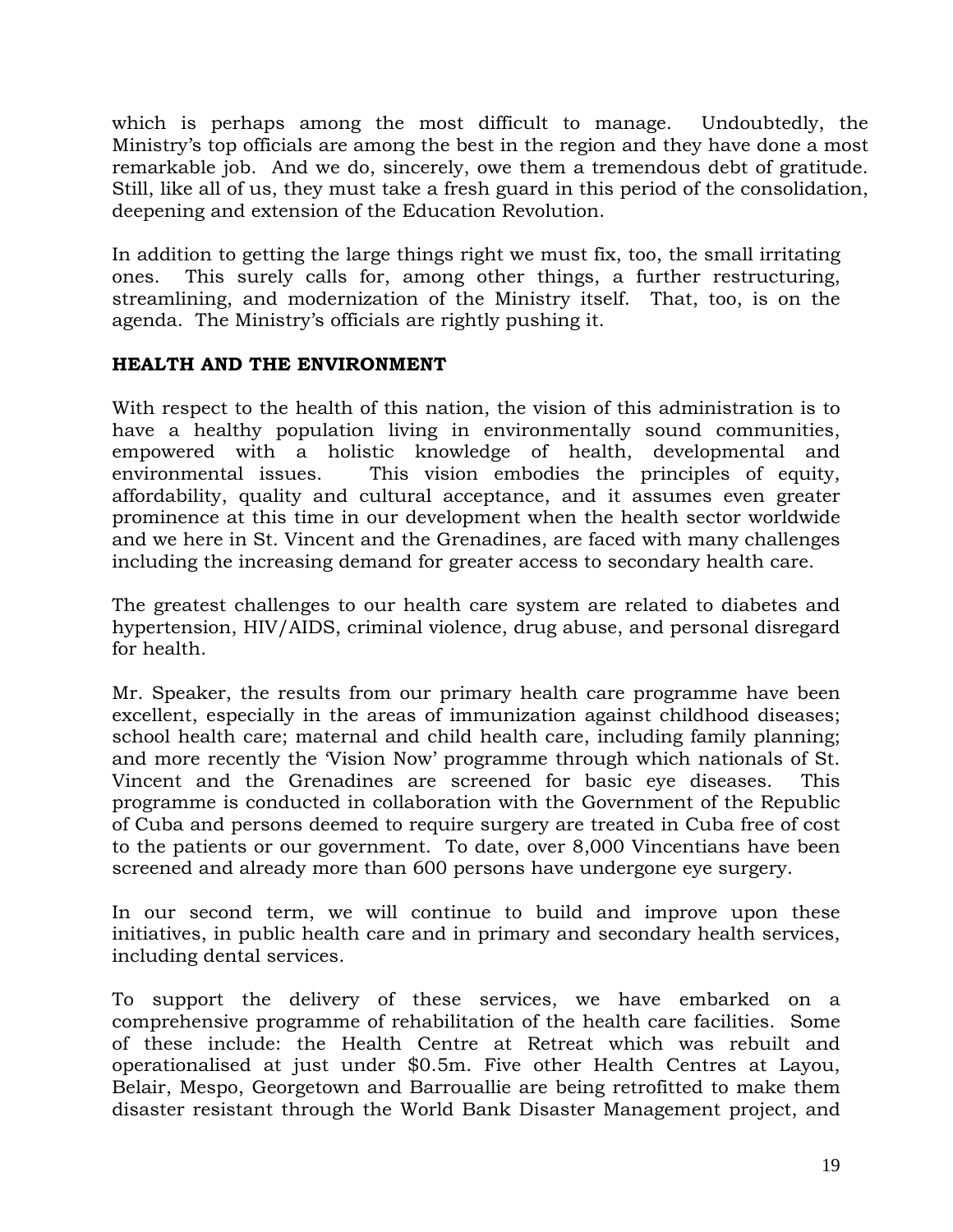which is perhaps among the most difficult to manage. Undoubtedly, the Ministry's top officials are among the best in the region and they have done a most remarkable job. And we do, sincerely, owe them a tremendous debt of gratitude. Still, like all of us, they must take a fresh guard in this period of the consolidation, deepening and extension of the Education Revolution.

In addition to getting the large things right we must fix, too, the small irritating ones. This surely calls for, among other things, a further restructuring, streamlining, and modernization of the Ministry itself. That, too, is on the agenda. The Ministry's officials are rightly pushing it.

### **HEALTH AND THE ENVIRONMENT**

With respect to the health of this nation, the vision of this administration is to have a healthy population living in environmentally sound communities, empowered with a holistic knowledge of health, developmental and environmental issues. This vision embodies the principles of equity, affordability, quality and cultural acceptance, and it assumes even greater prominence at this time in our development when the health sector worldwide and we here in St. Vincent and the Grenadines, are faced with many challenges including the increasing demand for greater access to secondary health care.

The greatest challenges to our health care system are related to diabetes and hypertension, HIV/AIDS, criminal violence, drug abuse, and personal disregard for health.

Mr. Speaker, the results from our primary health care programme have been excellent, especially in the areas of immunization against childhood diseases; school health care; maternal and child health care, including family planning; and more recently the 'Vision Now' programme through which nationals of St. Vincent and the Grenadines are screened for basic eye diseases. This programme is conducted in collaboration with the Government of the Republic of Cuba and persons deemed to require surgery are treated in Cuba free of cost to the patients or our government. To date, over 8,000 Vincentians have been screened and already more than 600 persons have undergone eye surgery.

In our second term, we will continue to build and improve upon these initiatives, in public health care and in primary and secondary health services, including dental services.

To support the delivery of these services, we have embarked on a comprehensive programme of rehabilitation of the health care facilities. Some of these include: the Health Centre at Retreat which was rebuilt and operationalised at just under \$0.5m. Five other Health Centres at Layou, Belair, Mespo, Georgetown and Barrouallie are being retrofitted to make them disaster resistant through the World Bank Disaster Management project, and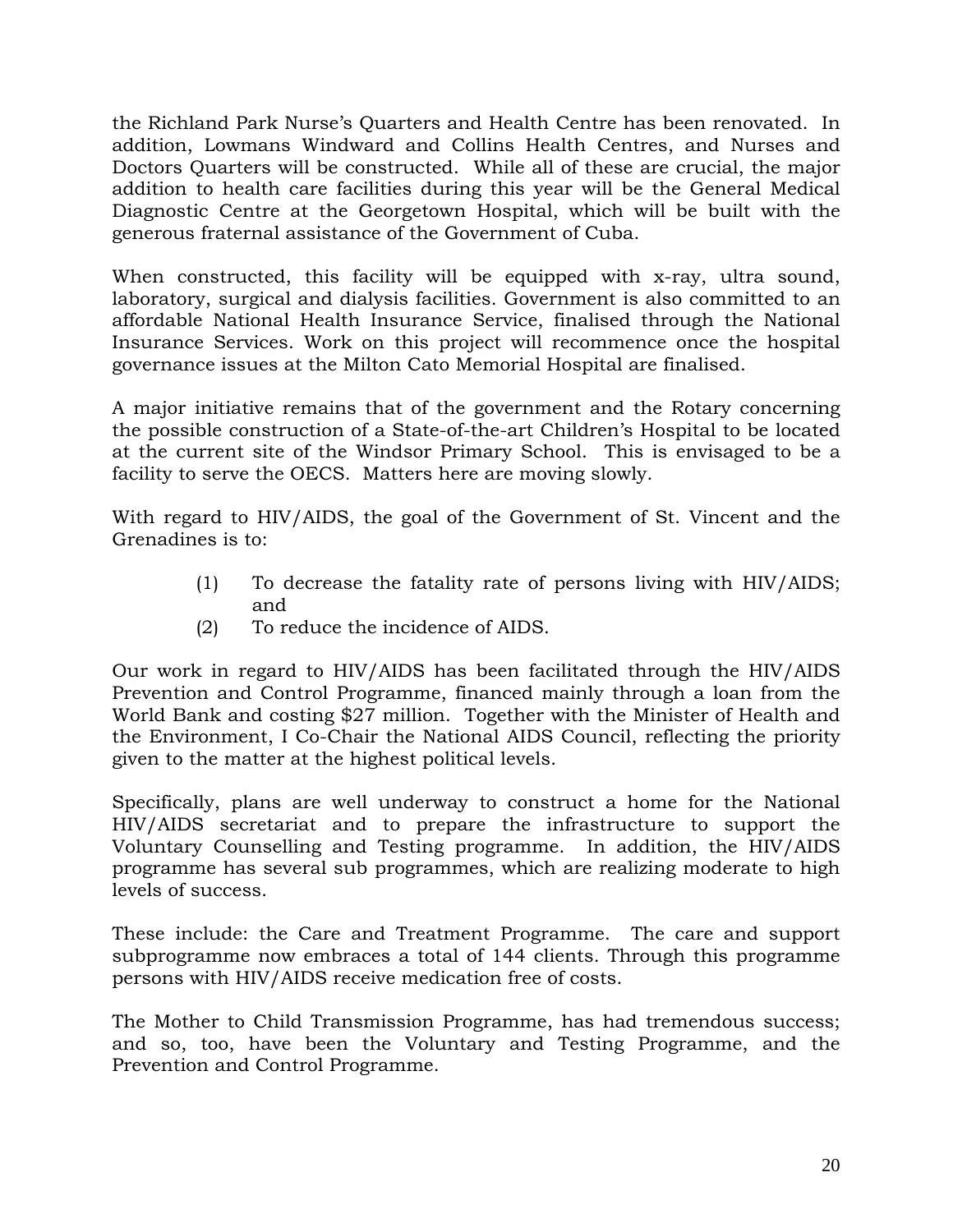the Richland Park Nurse's Quarters and Health Centre has been renovated. In addition, Lowmans Windward and Collins Health Centres, and Nurses and Doctors Quarters will be constructed. While all of these are crucial, the major addition to health care facilities during this year will be the General Medical Diagnostic Centre at the Georgetown Hospital, which will be built with the generous fraternal assistance of the Government of Cuba.

When constructed, this facility will be equipped with x-ray, ultra sound, laboratory, surgical and dialysis facilities. Government is also committed to an affordable National Health Insurance Service, finalised through the National Insurance Services. Work on this project will recommence once the hospital governance issues at the Milton Cato Memorial Hospital are finalised.

A major initiative remains that of the government and the Rotary concerning the possible construction of a State-of-the-art Children's Hospital to be located at the current site of the Windsor Primary School. This is envisaged to be a facility to serve the OECS. Matters here are moving slowly.

With regard to HIV/AIDS, the goal of the Government of St. Vincent and the Grenadines is to:

- (1) To decrease the fatality rate of persons living with HIV/AIDS; and
- (2) To reduce the incidence of AIDS.

Our work in regard to HIV/AIDS has been facilitated through the HIV/AIDS Prevention and Control Programme, financed mainly through a loan from the World Bank and costing \$27 million. Together with the Minister of Health and the Environment, I Co-Chair the National AIDS Council, reflecting the priority given to the matter at the highest political levels.

Specifically, plans are well underway to construct a home for the National HIV/AIDS secretariat and to prepare the infrastructure to support the Voluntary Counselling and Testing programme. In addition, the HIV/AIDS programme has several sub programmes, which are realizing moderate to high levels of success.

These include: the Care and Treatment Programme. The care and support subprogramme now embraces a total of 144 clients. Through this programme persons with HIV/AIDS receive medication free of costs.

The Mother to Child Transmission Programme, has had tremendous success; and so, too, have been the Voluntary and Testing Programme, and the Prevention and Control Programme.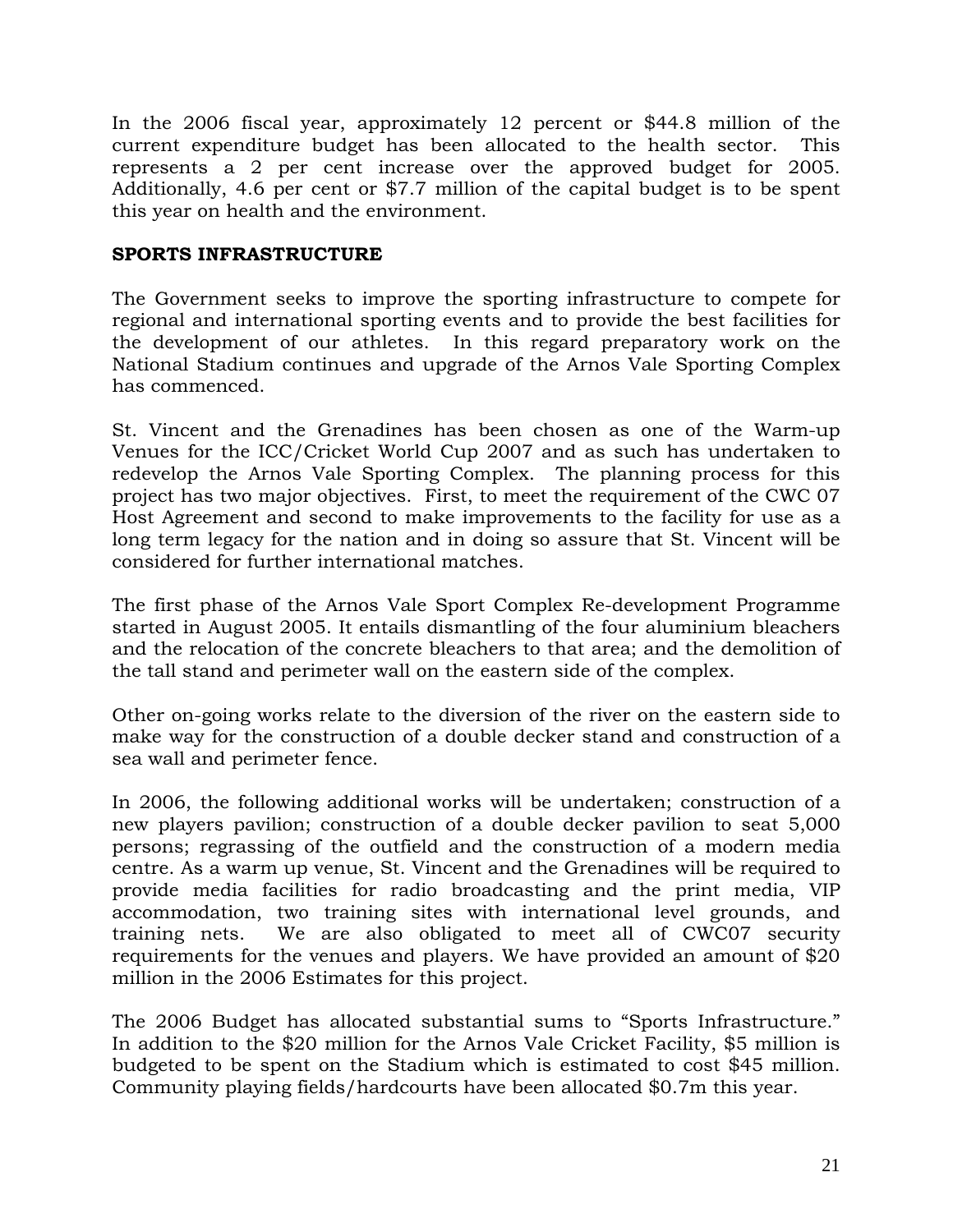In the 2006 fiscal year, approximately 12 percent or \$44.8 million of the current expenditure budget has been allocated to the health sector. This represents a 2 per cent increase over the approved budget for 2005. Additionally, 4.6 per cent or \$7.7 million of the capital budget is to be spent this year on health and the environment.

### **SPORTS INFRASTRUCTURE**

The Government seeks to improve the sporting infrastructure to compete for regional and international sporting events and to provide the best facilities for the development of our athletes. In this regard preparatory work on the National Stadium continues and upgrade of the Arnos Vale Sporting Complex has commenced.

St. Vincent and the Grenadines has been chosen as one of the Warm-up Venues for the ICC/Cricket World Cup 2007 and as such has undertaken to redevelop the Arnos Vale Sporting Complex. The planning process for this project has two major objectives. First, to meet the requirement of the CWC 07 Host Agreement and second to make improvements to the facility for use as a long term legacy for the nation and in doing so assure that St. Vincent will be considered for further international matches.

The first phase of the Arnos Vale Sport Complex Re-development Programme started in August 2005. It entails dismantling of the four aluminium bleachers and the relocation of the concrete bleachers to that area; and the demolition of the tall stand and perimeter wall on the eastern side of the complex.

Other on-going works relate to the diversion of the river on the eastern side to make way for the construction of a double decker stand and construction of a sea wall and perimeter fence.

In 2006, the following additional works will be undertaken; construction of a new players pavilion; construction of a double decker pavilion to seat 5,000 persons; regrassing of the outfield and the construction of a modern media centre. As a warm up venue, St. Vincent and the Grenadines will be required to provide media facilities for radio broadcasting and the print media, VIP accommodation, two training sites with international level grounds, and training nets. We are also obligated to meet all of CWC07 security requirements for the venues and players. We have provided an amount of \$20 million in the 2006 Estimates for this project.

The 2006 Budget has allocated substantial sums to "Sports Infrastructure." In addition to the \$20 million for the Arnos Vale Cricket Facility, \$5 million is budgeted to be spent on the Stadium which is estimated to cost \$45 million. Community playing fields/hardcourts have been allocated \$0.7m this year.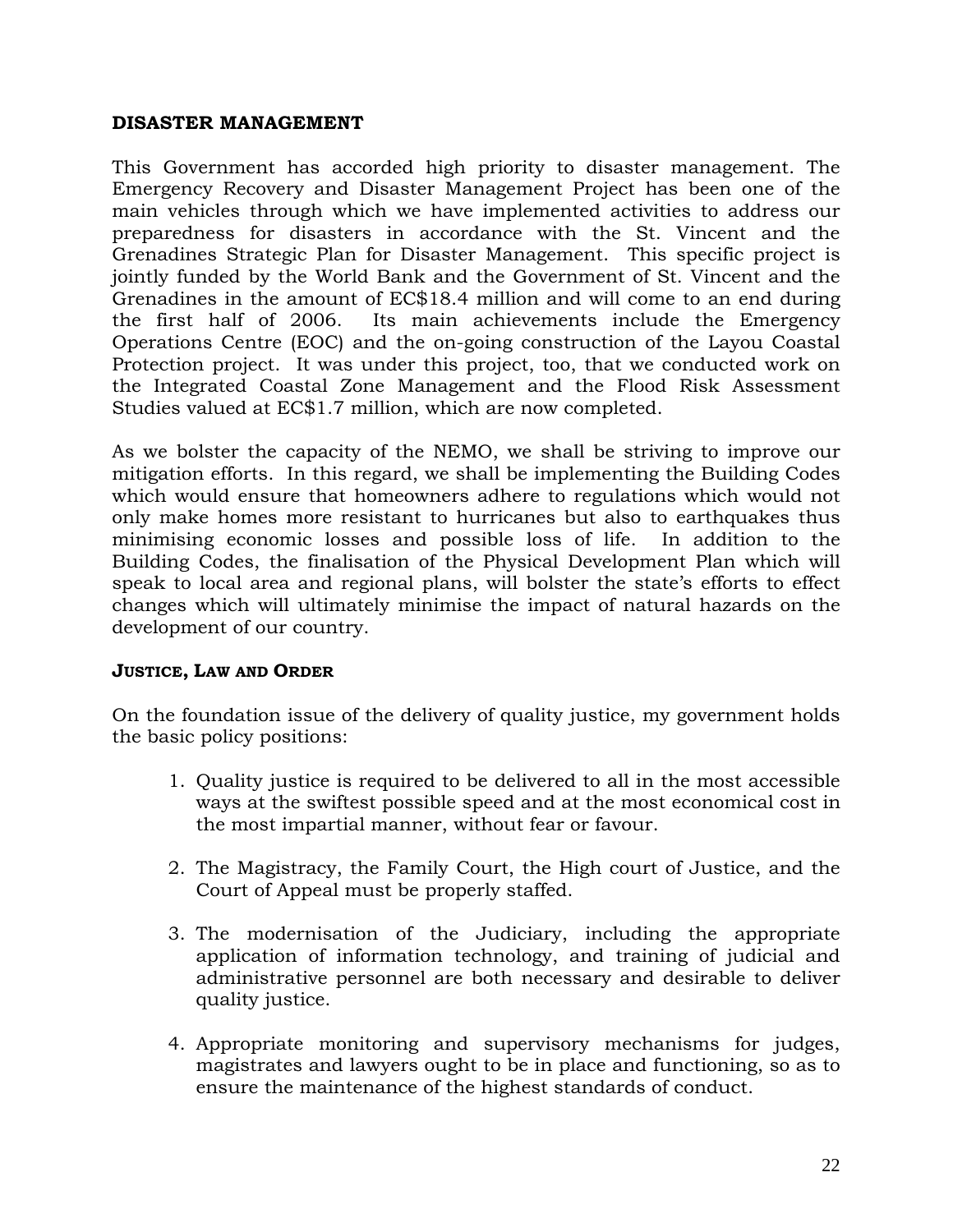### **DISASTER MANAGEMENT**

This Government has accorded high priority to disaster management. The Emergency Recovery and Disaster Management Project has been one of the main vehicles through which we have implemented activities to address our preparedness for disasters in accordance with the St. Vincent and the Grenadines Strategic Plan for Disaster Management. This specific project is jointly funded by the World Bank and the Government of St. Vincent and the Grenadines in the amount of EC\$18.4 million and will come to an end during the first half of 2006. Its main achievements include the Emergency Operations Centre (EOC) and the on-going construction of the Layou Coastal Protection project. It was under this project, too, that we conducted work on the Integrated Coastal Zone Management and the Flood Risk Assessment Studies valued at EC\$1.7 million, which are now completed.

As we bolster the capacity of the NEMO, we shall be striving to improve our mitigation efforts. In this regard, we shall be implementing the Building Codes which would ensure that homeowners adhere to regulations which would not only make homes more resistant to hurricanes but also to earthquakes thus minimising economic losses and possible loss of life. In addition to the Building Codes, the finalisation of the Physical Development Plan which will speak to local area and regional plans, will bolster the state's efforts to effect changes which will ultimately minimise the impact of natural hazards on the development of our country.

### **JUSTICE, LAW AND ORDER**

On the foundation issue of the delivery of quality justice, my government holds the basic policy positions:

- 1. Quality justice is required to be delivered to all in the most accessible ways at the swiftest possible speed and at the most economical cost in the most impartial manner, without fear or favour.
- 2. The Magistracy, the Family Court, the High court of Justice, and the Court of Appeal must be properly staffed.
- 3. The modernisation of the Judiciary, including the appropriate application of information technology, and training of judicial and administrative personnel are both necessary and desirable to deliver quality justice.
- 4. Appropriate monitoring and supervisory mechanisms for judges, magistrates and lawyers ought to be in place and functioning, so as to ensure the maintenance of the highest standards of conduct.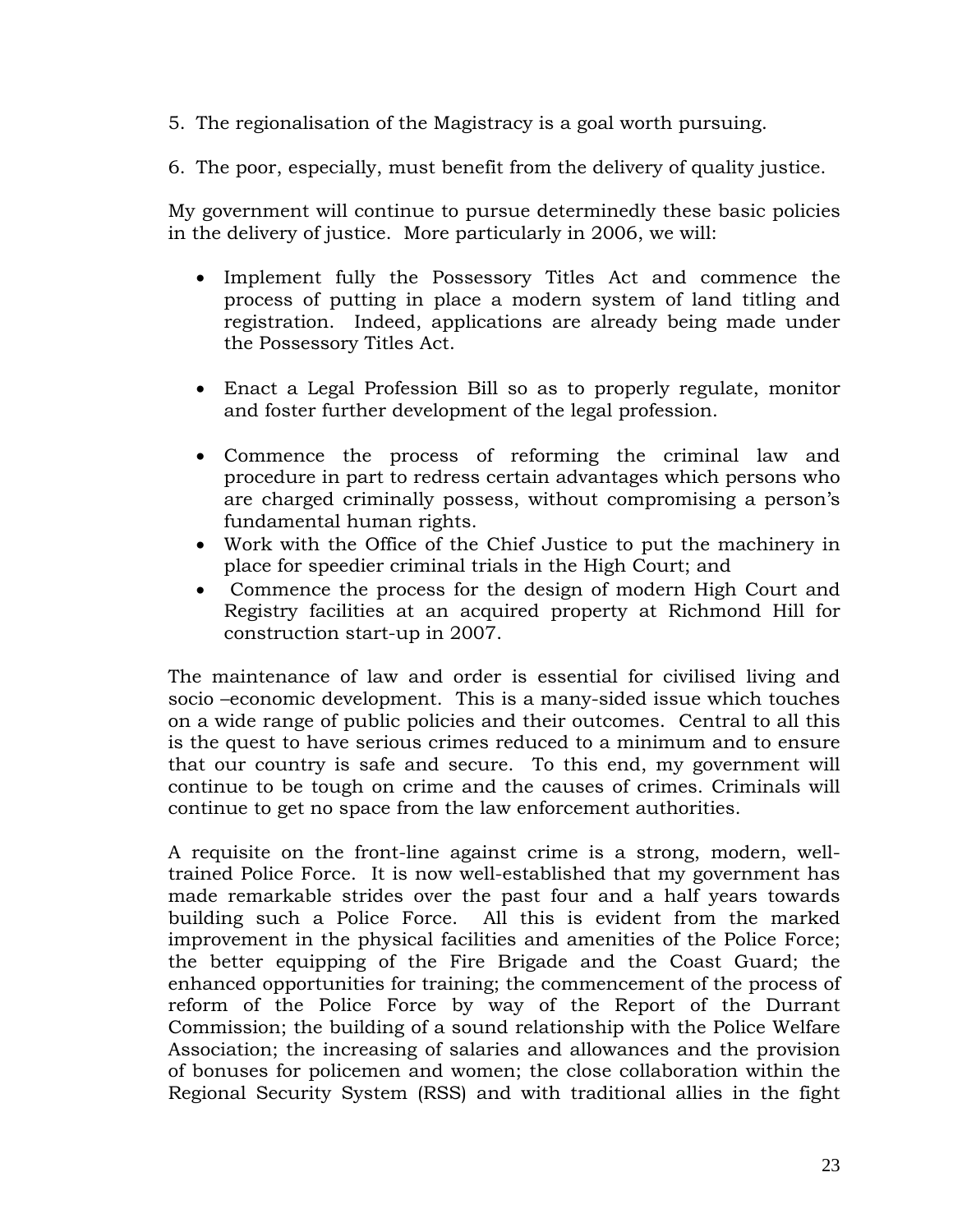5. The regionalisation of the Magistracy is a goal worth pursuing.

6. The poor, especially, must benefit from the delivery of quality justice.

My government will continue to pursue determinedly these basic policies in the delivery of justice. More particularly in 2006, we will:

- Implement fully the Possessory Titles Act and commence the process of putting in place a modern system of land titling and registration. Indeed, applications are already being made under the Possessory Titles Act.
- Enact a Legal Profession Bill so as to properly regulate, monitor and foster further development of the legal profession.
- Commence the process of reforming the criminal law and procedure in part to redress certain advantages which persons who are charged criminally possess, without compromising a person's fundamental human rights.
- Work with the Office of the Chief Justice to put the machinery in place for speedier criminal trials in the High Court; and
- Commence the process for the design of modern High Court and Registry facilities at an acquired property at Richmond Hill for construction start-up in 2007.

The maintenance of law and order is essential for civilised living and socio –economic development. This is a many-sided issue which touches on a wide range of public policies and their outcomes. Central to all this is the quest to have serious crimes reduced to a minimum and to ensure that our country is safe and secure. To this end, my government will continue to be tough on crime and the causes of crimes. Criminals will continue to get no space from the law enforcement authorities.

A requisite on the front-line against crime is a strong, modern, welltrained Police Force. It is now well-established that my government has made remarkable strides over the past four and a half years towards building such a Police Force. All this is evident from the marked improvement in the physical facilities and amenities of the Police Force; the better equipping of the Fire Brigade and the Coast Guard; the enhanced opportunities for training; the commencement of the process of reform of the Police Force by way of the Report of the Durrant Commission; the building of a sound relationship with the Police Welfare Association; the increasing of salaries and allowances and the provision of bonuses for policemen and women; the close collaboration within the Regional Security System (RSS) and with traditional allies in the fight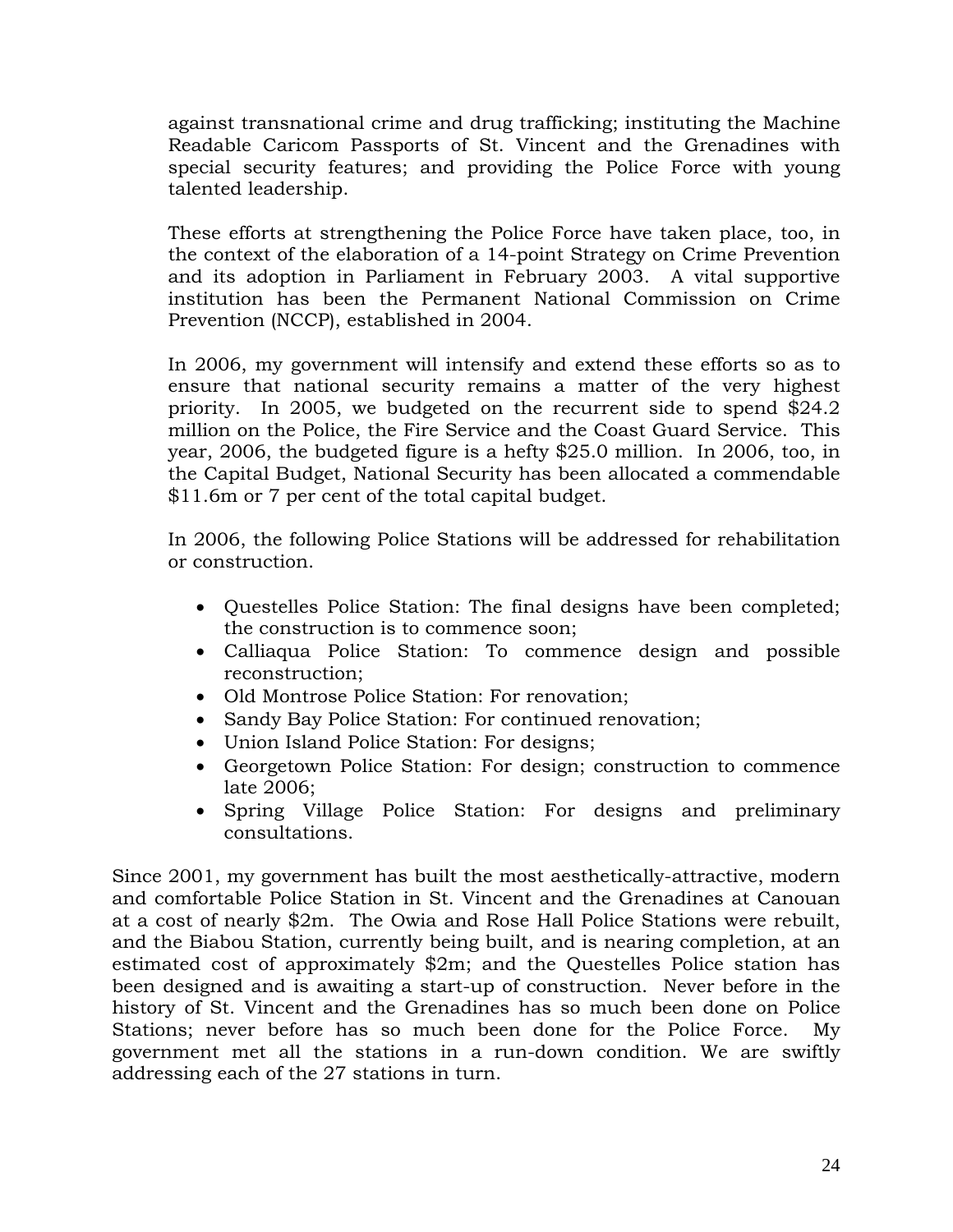against transnational crime and drug trafficking; instituting the Machine Readable Caricom Passports of St. Vincent and the Grenadines with special security features; and providing the Police Force with young talented leadership.

These efforts at strengthening the Police Force have taken place, too, in the context of the elaboration of a 14-point Strategy on Crime Prevention and its adoption in Parliament in February 2003. A vital supportive institution has been the Permanent National Commission on Crime Prevention (NCCP), established in 2004.

In 2006, my government will intensify and extend these efforts so as to ensure that national security remains a matter of the very highest priority. In 2005, we budgeted on the recurrent side to spend \$24.2 million on the Police, the Fire Service and the Coast Guard Service. This year, 2006, the budgeted figure is a hefty \$25.0 million. In 2006, too, in the Capital Budget, National Security has been allocated a commendable \$11.6m or 7 per cent of the total capital budget.

In 2006, the following Police Stations will be addressed for rehabilitation or construction.

- Questelles Police Station: The final designs have been completed; the construction is to commence soon;
- Calliaqua Police Station: To commence design and possible reconstruction;
- Old Montrose Police Station: For renovation;
- Sandy Bay Police Station: For continued renovation;
- Union Island Police Station: For designs;
- Georgetown Police Station: For design; construction to commence late 2006;
- Spring Village Police Station: For designs and preliminary consultations.

Since 2001, my government has built the most aesthetically-attractive, modern and comfortable Police Station in St. Vincent and the Grenadines at Canouan at a cost of nearly \$2m. The Owia and Rose Hall Police Stations were rebuilt, and the Biabou Station, currently being built, and is nearing completion, at an estimated cost of approximately \$2m; and the Questelles Police station has been designed and is awaiting a start-up of construction. Never before in the history of St. Vincent and the Grenadines has so much been done on Police Stations; never before has so much been done for the Police Force. My government met all the stations in a run-down condition. We are swiftly addressing each of the 27 stations in turn.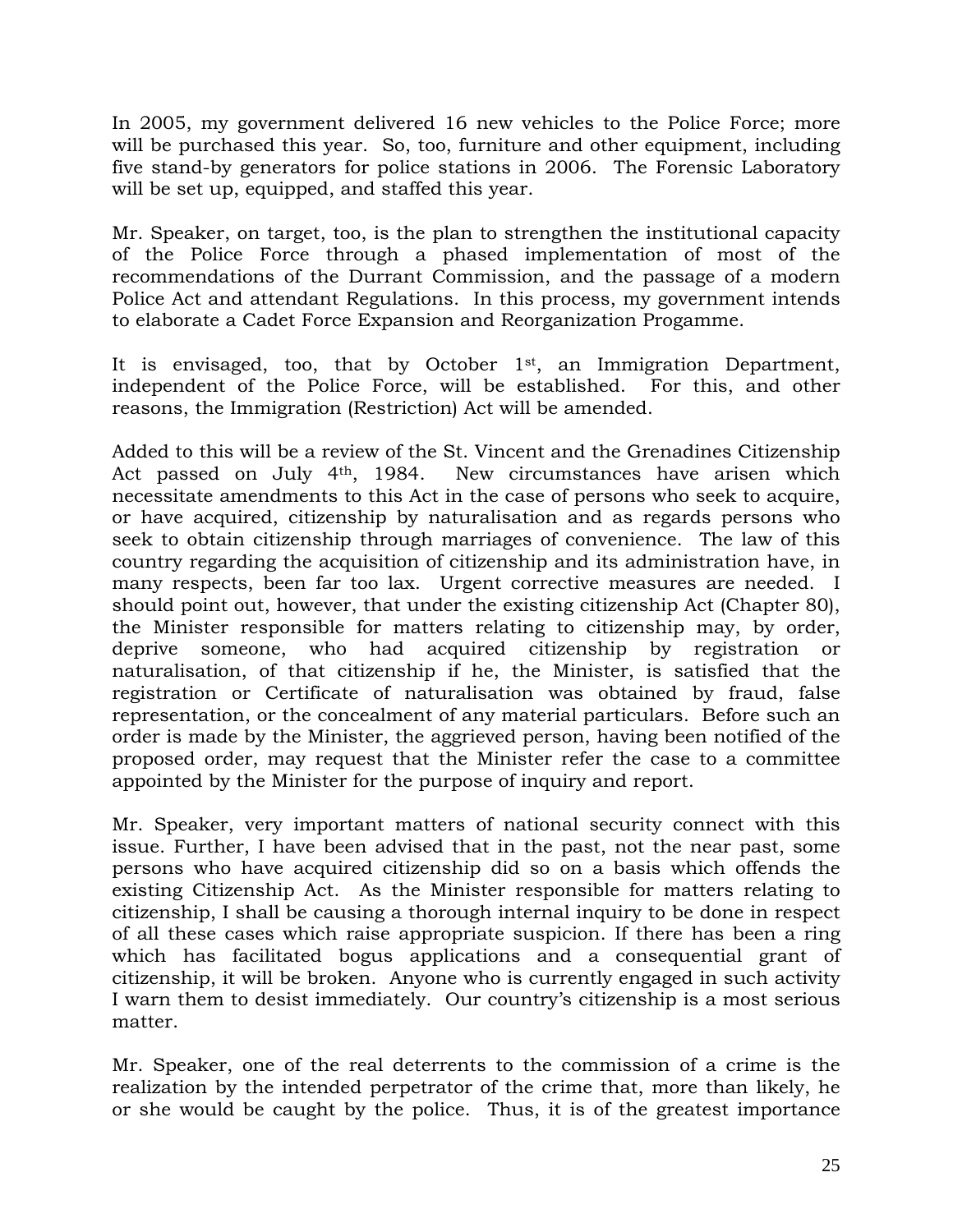In 2005, my government delivered 16 new vehicles to the Police Force; more will be purchased this year. So, too, furniture and other equipment, including five stand-by generators for police stations in 2006. The Forensic Laboratory will be set up, equipped, and staffed this year.

Mr. Speaker, on target, too, is the plan to strengthen the institutional capacity of the Police Force through a phased implementation of most of the recommendations of the Durrant Commission, and the passage of a modern Police Act and attendant Regulations. In this process, my government intends to elaborate a Cadet Force Expansion and Reorganization Progamme.

It is envisaged, too, that by October  $1<sup>st</sup>$ , an Immigration Department, independent of the Police Force, will be established. For this, and other reasons, the Immigration (Restriction) Act will be amended.

Added to this will be a review of the St. Vincent and the Grenadines Citizenship Act passed on July 4th, 1984. New circumstances have arisen which necessitate amendments to this Act in the case of persons who seek to acquire, or have acquired, citizenship by naturalisation and as regards persons who seek to obtain citizenship through marriages of convenience. The law of this country regarding the acquisition of citizenship and its administration have, in many respects, been far too lax. Urgent corrective measures are needed. I should point out, however, that under the existing citizenship Act (Chapter 80), the Minister responsible for matters relating to citizenship may, by order, deprive someone, who had acquired citizenship by registration or naturalisation, of that citizenship if he, the Minister, is satisfied that the registration or Certificate of naturalisation was obtained by fraud, false representation, or the concealment of any material particulars. Before such an order is made by the Minister, the aggrieved person, having been notified of the proposed order, may request that the Minister refer the case to a committee appointed by the Minister for the purpose of inquiry and report.

Mr. Speaker, very important matters of national security connect with this issue. Further, I have been advised that in the past, not the near past, some persons who have acquired citizenship did so on a basis which offends the existing Citizenship Act. As the Minister responsible for matters relating to citizenship, I shall be causing a thorough internal inquiry to be done in respect of all these cases which raise appropriate suspicion. If there has been a ring which has facilitated bogus applications and a consequential grant of citizenship, it will be broken. Anyone who is currently engaged in such activity I warn them to desist immediately. Our country's citizenship is a most serious matter.

Mr. Speaker, one of the real deterrents to the commission of a crime is the realization by the intended perpetrator of the crime that, more than likely, he or she would be caught by the police. Thus, it is of the greatest importance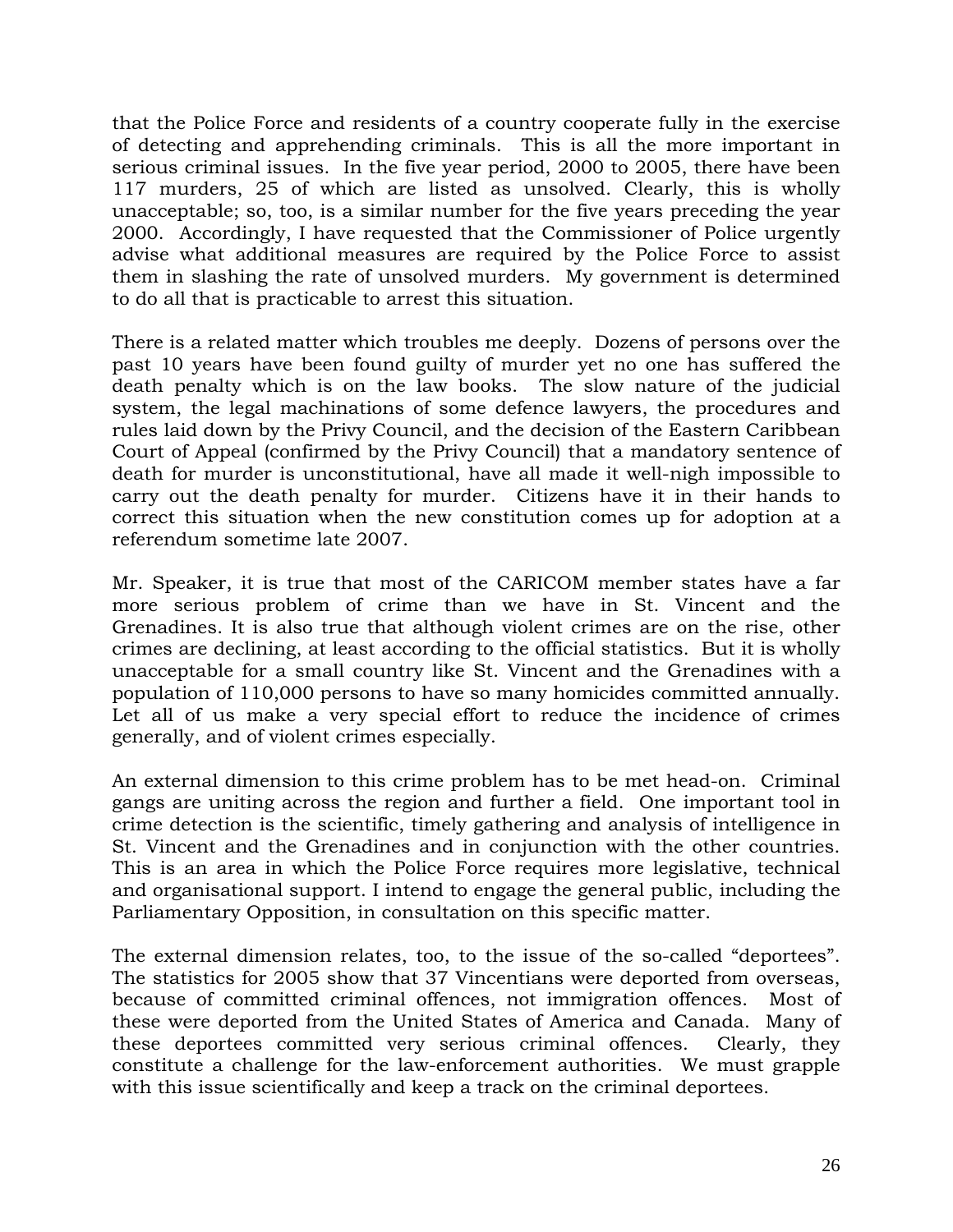that the Police Force and residents of a country cooperate fully in the exercise of detecting and apprehending criminals. This is all the more important in serious criminal issues. In the five year period, 2000 to 2005, there have been 117 murders, 25 of which are listed as unsolved. Clearly, this is wholly unacceptable; so, too, is a similar number for the five years preceding the year 2000. Accordingly, I have requested that the Commissioner of Police urgently advise what additional measures are required by the Police Force to assist them in slashing the rate of unsolved murders. My government is determined to do all that is practicable to arrest this situation.

There is a related matter which troubles me deeply. Dozens of persons over the past 10 years have been found guilty of murder yet no one has suffered the death penalty which is on the law books. The slow nature of the judicial system, the legal machinations of some defence lawyers, the procedures and rules laid down by the Privy Council, and the decision of the Eastern Caribbean Court of Appeal (confirmed by the Privy Council) that a mandatory sentence of death for murder is unconstitutional, have all made it well-nigh impossible to carry out the death penalty for murder. Citizens have it in their hands to correct this situation when the new constitution comes up for adoption at a referendum sometime late 2007.

Mr. Speaker, it is true that most of the CARICOM member states have a far more serious problem of crime than we have in St. Vincent and the Grenadines. It is also true that although violent crimes are on the rise, other crimes are declining, at least according to the official statistics. But it is wholly unacceptable for a small country like St. Vincent and the Grenadines with a population of 110,000 persons to have so many homicides committed annually. Let all of us make a very special effort to reduce the incidence of crimes generally, and of violent crimes especially.

An external dimension to this crime problem has to be met head-on. Criminal gangs are uniting across the region and further a field. One important tool in crime detection is the scientific, timely gathering and analysis of intelligence in St. Vincent and the Grenadines and in conjunction with the other countries. This is an area in which the Police Force requires more legislative, technical and organisational support. I intend to engage the general public, including the Parliamentary Opposition, in consultation on this specific matter.

The external dimension relates, too, to the issue of the so-called "deportees". The statistics for 2005 show that 37 Vincentians were deported from overseas, because of committed criminal offences, not immigration offences. Most of these were deported from the United States of America and Canada. Many of these deportees committed very serious criminal offences. Clearly, they constitute a challenge for the law-enforcement authorities. We must grapple with this issue scientifically and keep a track on the criminal deportees.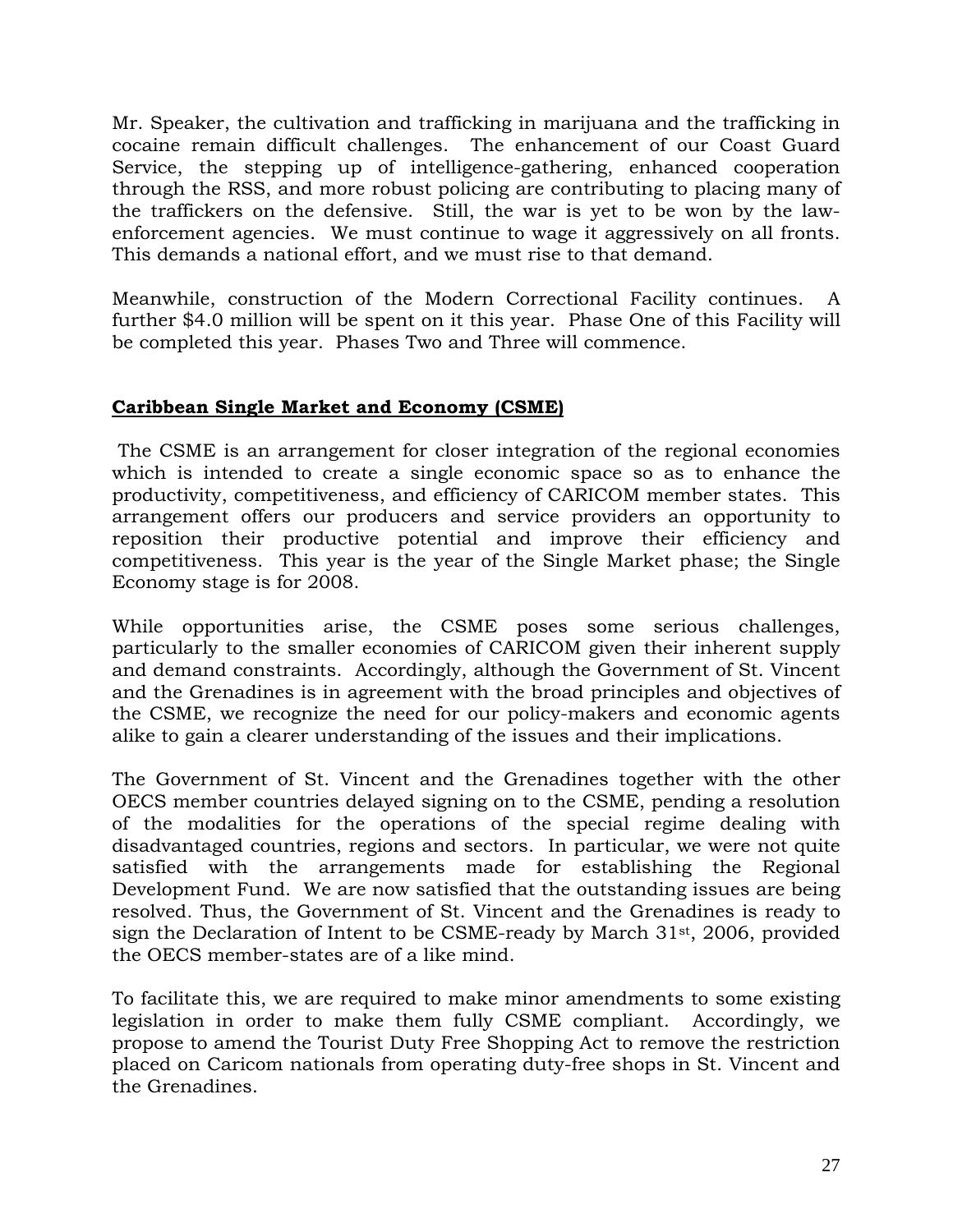Mr. Speaker, the cultivation and trafficking in marijuana and the trafficking in cocaine remain difficult challenges. The enhancement of our Coast Guard Service, the stepping up of intelligence-gathering, enhanced cooperation through the RSS, and more robust policing are contributing to placing many of the traffickers on the defensive. Still, the war is yet to be won by the lawenforcement agencies. We must continue to wage it aggressively on all fronts. This demands a national effort, and we must rise to that demand.

Meanwhile, construction of the Modern Correctional Facility continues. A further \$4.0 million will be spent on it this year. Phase One of this Facility will be completed this year. Phases Two and Three will commence.

# **Caribbean Single Market and Economy (CSME)**

 The CSME is an arrangement for closer integration of the regional economies which is intended to create a single economic space so as to enhance the productivity, competitiveness, and efficiency of CARICOM member states. This arrangement offers our producers and service providers an opportunity to reposition their productive potential and improve their efficiency and competitiveness. This year is the year of the Single Market phase; the Single Economy stage is for 2008.

While opportunities arise, the CSME poses some serious challenges, particularly to the smaller economies of CARICOM given their inherent supply and demand constraints. Accordingly, although the Government of St. Vincent and the Grenadines is in agreement with the broad principles and objectives of the CSME, we recognize the need for our policy-makers and economic agents alike to gain a clearer understanding of the issues and their implications.

The Government of St. Vincent and the Grenadines together with the other OECS member countries delayed signing on to the CSME, pending a resolution of the modalities for the operations of the special regime dealing with disadvantaged countries, regions and sectors. In particular, we were not quite satisfied with the arrangements made for establishing the Regional Development Fund. We are now satisfied that the outstanding issues are being resolved. Thus, the Government of St. Vincent and the Grenadines is ready to sign the Declaration of Intent to be CSME-ready by March 31st, 2006, provided the OECS member-states are of a like mind.

To facilitate this, we are required to make minor amendments to some existing legislation in order to make them fully CSME compliant. Accordingly, we propose to amend the Tourist Duty Free Shopping Act to remove the restriction placed on Caricom nationals from operating duty-free shops in St. Vincent and the Grenadines.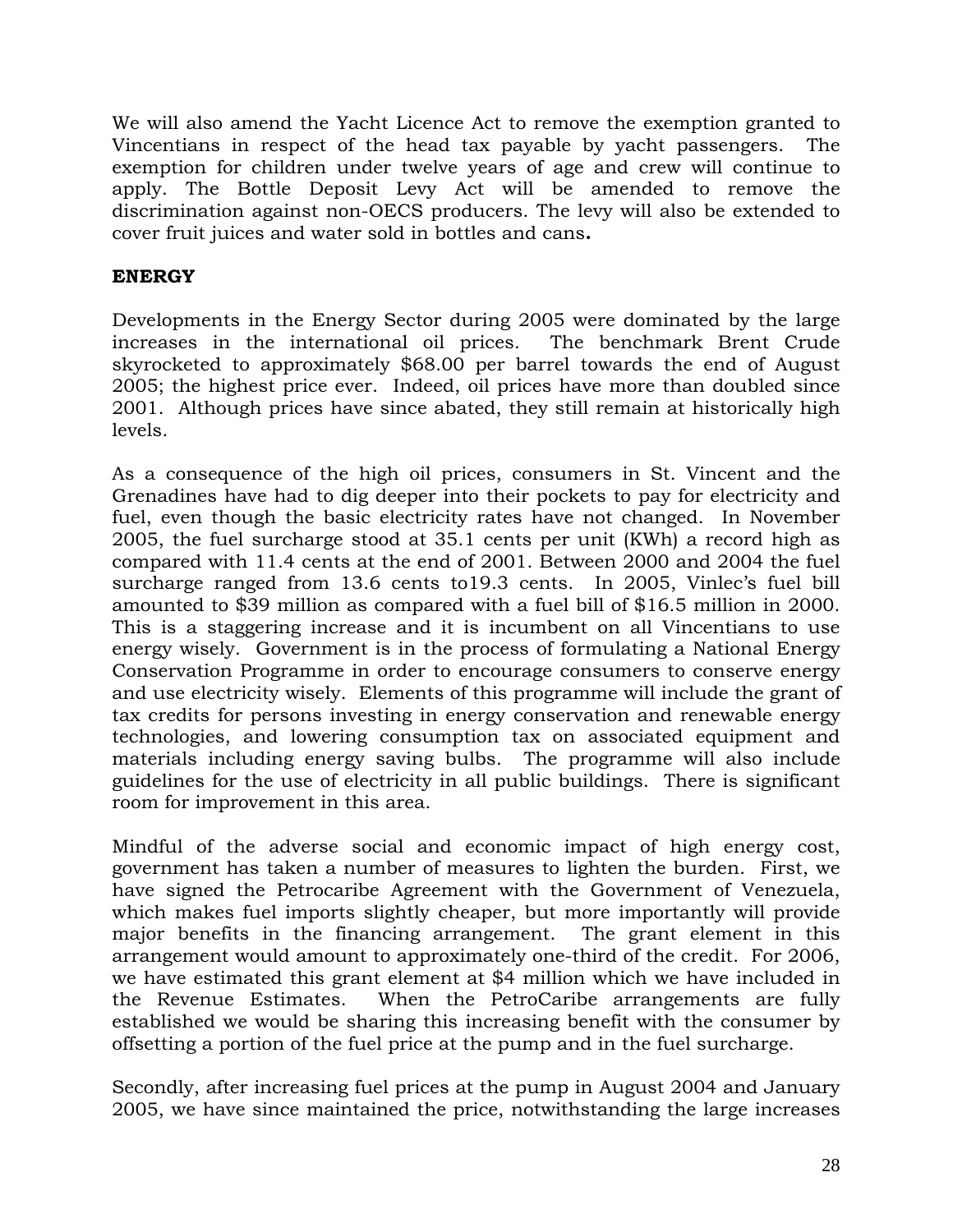We will also amend the Yacht Licence Act to remove the exemption granted to Vincentians in respect of the head tax payable by yacht passengers. The exemption for children under twelve years of age and crew will continue to apply. The Bottle Deposit Levy Act will be amended to remove the discrimination against non-OECS producers. The levy will also be extended to cover fruit juices and water sold in bottles and cans**.** 

# **ENERGY**

Developments in the Energy Sector during 2005 were dominated by the large increases in the international oil prices. The benchmark Brent Crude skyrocketed to approximately \$68.00 per barrel towards the end of August 2005; the highest price ever. Indeed, oil prices have more than doubled since 2001. Although prices have since abated, they still remain at historically high levels.

As a consequence of the high oil prices, consumers in St. Vincent and the Grenadines have had to dig deeper into their pockets to pay for electricity and fuel, even though the basic electricity rates have not changed. In November 2005, the fuel surcharge stood at 35.1 cents per unit (KWh) a record high as compared with 11.4 cents at the end of 2001. Between 2000 and 2004 the fuel surcharge ranged from 13.6 cents to19.3 cents. In 2005, Vinlec's fuel bill amounted to \$39 million as compared with a fuel bill of \$16.5 million in 2000. This is a staggering increase and it is incumbent on all Vincentians to use energy wisely. Government is in the process of formulating a National Energy Conservation Programme in order to encourage consumers to conserve energy and use electricity wisely. Elements of this programme will include the grant of tax credits for persons investing in energy conservation and renewable energy technologies, and lowering consumption tax on associated equipment and materials including energy saving bulbs. The programme will also include guidelines for the use of electricity in all public buildings. There is significant room for improvement in this area.

Mindful of the adverse social and economic impact of high energy cost, government has taken a number of measures to lighten the burden. First, we have signed the Petrocaribe Agreement with the Government of Venezuela, which makes fuel imports slightly cheaper, but more importantly will provide major benefits in the financing arrangement. The grant element in this arrangement would amount to approximately one-third of the credit. For 2006, we have estimated this grant element at \$4 million which we have included in the Revenue Estimates. When the PetroCaribe arrangements are fully established we would be sharing this increasing benefit with the consumer by offsetting a portion of the fuel price at the pump and in the fuel surcharge.

Secondly, after increasing fuel prices at the pump in August 2004 and January 2005, we have since maintained the price, notwithstanding the large increases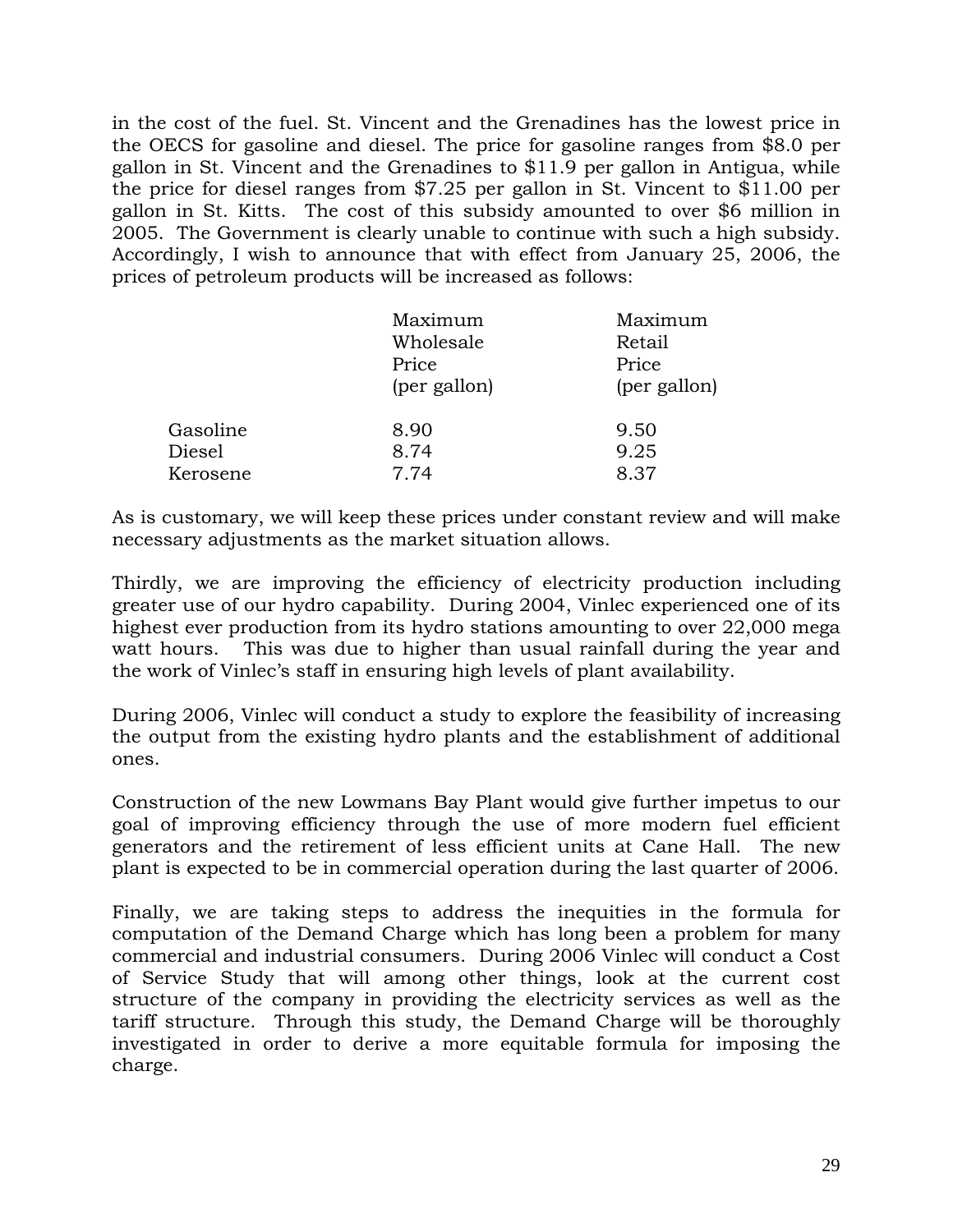in the cost of the fuel. St. Vincent and the Grenadines has the lowest price in the OECS for gasoline and diesel. The price for gasoline ranges from \$8.0 per gallon in St. Vincent and the Grenadines to \$11.9 per gallon in Antigua, while the price for diesel ranges from \$7.25 per gallon in St. Vincent to \$11.00 per gallon in St. Kitts. The cost of this subsidy amounted to over \$6 million in 2005. The Government is clearly unable to continue with such a high subsidy. Accordingly, I wish to announce that with effect from January 25, 2006, the prices of petroleum products will be increased as follows:

|          | Maximum<br>Wholesale<br>Price<br>(per gallon) | Maximum<br>Retail<br>Price<br>(per gallon) |
|----------|-----------------------------------------------|--------------------------------------------|
| Gasoline | 8.90                                          | 9.50                                       |
| Diesel   | 8.74                                          | 9.25                                       |
| Kerosene | 7.74                                          | 8.37                                       |

As is customary, we will keep these prices under constant review and will make necessary adjustments as the market situation allows.

Thirdly, we are improving the efficiency of electricity production including greater use of our hydro capability. During 2004, Vinlec experienced one of its highest ever production from its hydro stations amounting to over 22,000 mega watt hours. This was due to higher than usual rainfall during the year and the work of Vinlec's staff in ensuring high levels of plant availability.

During 2006, Vinlec will conduct a study to explore the feasibility of increasing the output from the existing hydro plants and the establishment of additional ones.

Construction of the new Lowmans Bay Plant would give further impetus to our goal of improving efficiency through the use of more modern fuel efficient generators and the retirement of less efficient units at Cane Hall. The new plant is expected to be in commercial operation during the last quarter of 2006.

Finally, we are taking steps to address the inequities in the formula for computation of the Demand Charge which has long been a problem for many commercial and industrial consumers. During 2006 Vinlec will conduct a Cost of Service Study that will among other things, look at the current cost structure of the company in providing the electricity services as well as the tariff structure. Through this study, the Demand Charge will be thoroughly investigated in order to derive a more equitable formula for imposing the charge.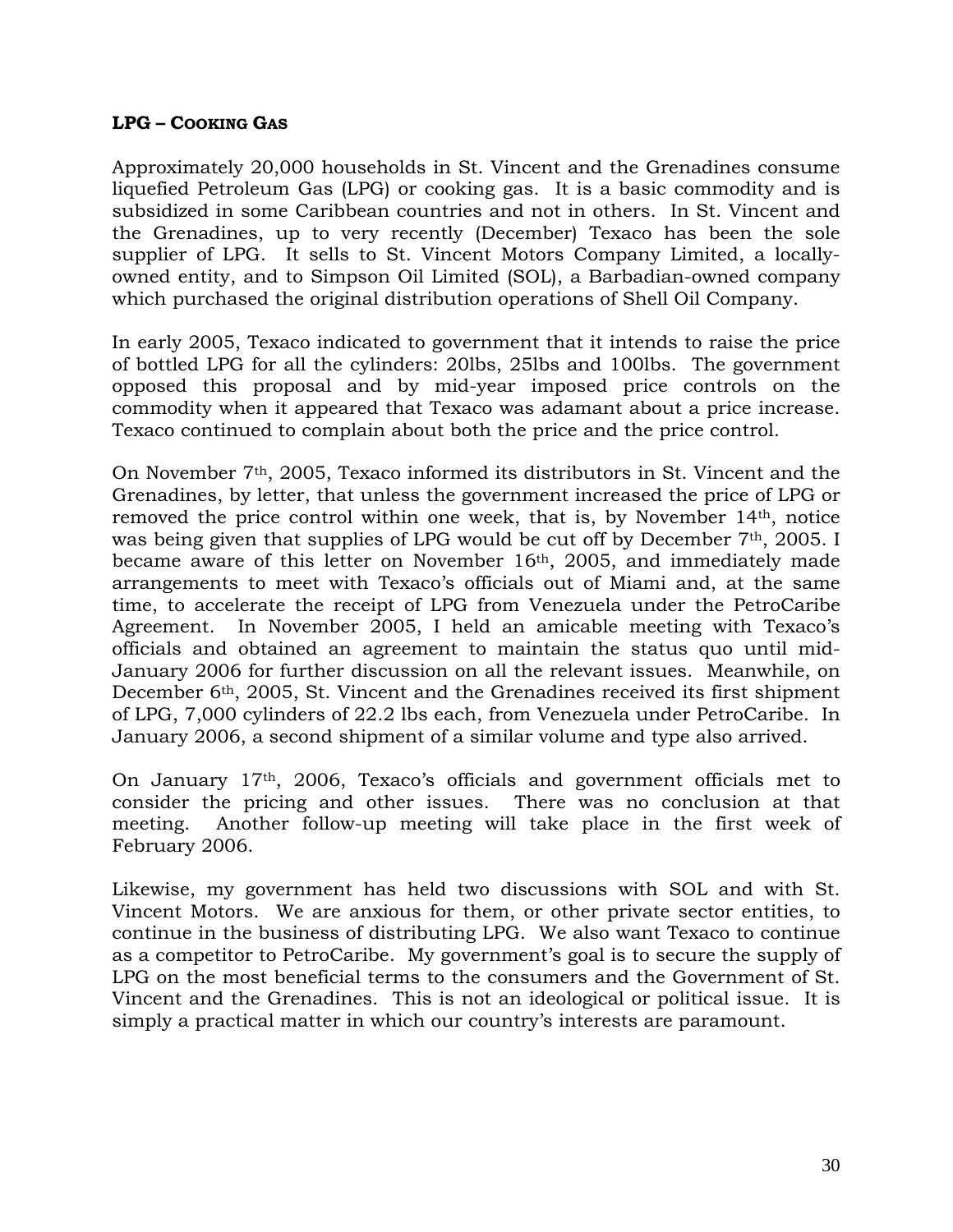#### **LPG – COOKING GAS**

Approximately 20,000 households in St. Vincent and the Grenadines consume liquefied Petroleum Gas (LPG) or cooking gas. It is a basic commodity and is subsidized in some Caribbean countries and not in others. In St. Vincent and the Grenadines, up to very recently (December) Texaco has been the sole supplier of LPG. It sells to St. Vincent Motors Company Limited, a locallyowned entity, and to Simpson Oil Limited (SOL), a Barbadian-owned company which purchased the original distribution operations of Shell Oil Company.

In early 2005, Texaco indicated to government that it intends to raise the price of bottled LPG for all the cylinders: 20lbs, 25lbs and 100lbs. The government opposed this proposal and by mid-year imposed price controls on the commodity when it appeared that Texaco was adamant about a price increase. Texaco continued to complain about both the price and the price control.

On November 7th, 2005, Texaco informed its distributors in St. Vincent and the Grenadines, by letter, that unless the government increased the price of LPG or removed the price control within one week, that is, by November 14th, notice was being given that supplies of LPG would be cut off by December 7<sup>th</sup>, 2005. I became aware of this letter on November 16th, 2005, and immediately made arrangements to meet with Texaco's officials out of Miami and, at the same time, to accelerate the receipt of LPG from Venezuela under the PetroCaribe Agreement. In November 2005, I held an amicable meeting with Texaco's officials and obtained an agreement to maintain the status quo until mid-January 2006 for further discussion on all the relevant issues. Meanwhile, on December 6<sup>th</sup>, 2005, St. Vincent and the Grenadines received its first shipment of LPG, 7,000 cylinders of 22.2 lbs each, from Venezuela under PetroCaribe. In January 2006, a second shipment of a similar volume and type also arrived.

On January 17th, 2006, Texaco's officials and government officials met to consider the pricing and other issues. There was no conclusion at that meeting. Another follow-up meeting will take place in the first week of February 2006.

Likewise, my government has held two discussions with SOL and with St. Vincent Motors. We are anxious for them, or other private sector entities, to continue in the business of distributing LPG. We also want Texaco to continue as a competitor to PetroCaribe. My government's goal is to secure the supply of LPG on the most beneficial terms to the consumers and the Government of St. Vincent and the Grenadines. This is not an ideological or political issue. It is simply a practical matter in which our country's interests are paramount.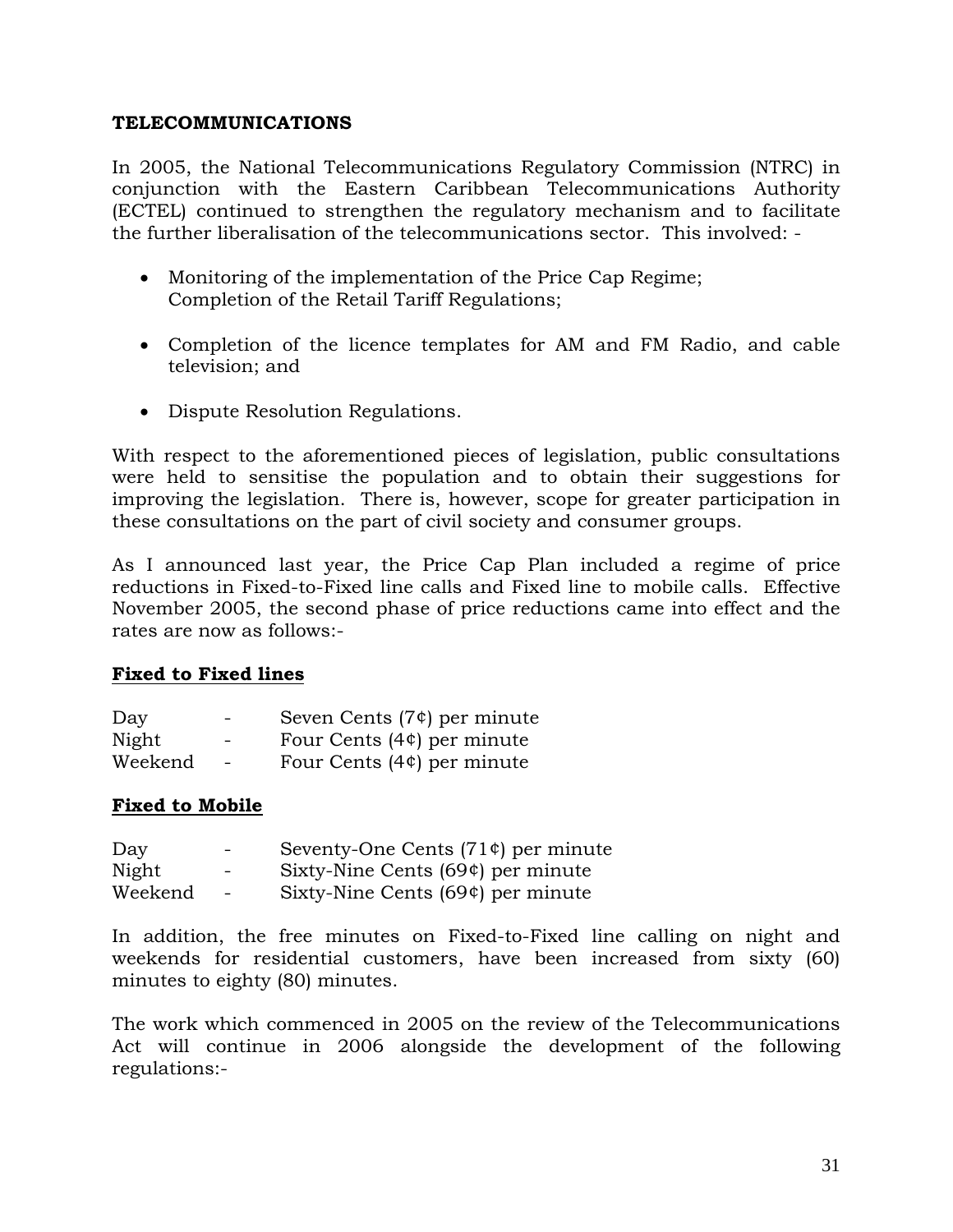### **TELECOMMUNICATIONS**

In 2005, the National Telecommunications Regulatory Commission (NTRC) in conjunction with the Eastern Caribbean Telecommunications Authority (ECTEL) continued to strengthen the regulatory mechanism and to facilitate the further liberalisation of the telecommunications sector. This involved: -

- Monitoring of the implementation of the Price Cap Regime; Completion of the Retail Tariff Regulations;
- Completion of the licence templates for AM and FM Radio, and cable television; and
- Dispute Resolution Regulations.

With respect to the aforementioned pieces of legislation, public consultations were held to sensitise the population and to obtain their suggestions for improving the legislation. There is, however, scope for greater participation in these consultations on the part of civil society and consumer groups.

As I announced last year, the Price Cap Plan included a regime of price reductions in Fixed-to-Fixed line calls and Fixed line to mobile calls. Effective November 2005, the second phase of price reductions came into effect and the rates are now as follows:-

### **Fixed to Fixed lines**

| Day     | $\sim$ | Seven Cents $(7¢)$ per minute |
|---------|--------|-------------------------------|
| Night   | $\sim$ | Four Cents $(4¢)$ per minute  |
| Weekend | $\sim$ | Four Cents $(4¢)$ per minute  |

### **Fixed to Mobile**

| Day     | $\sim$ 100 $\mu$         | Seventy-One Cents $(71¢$ per minute |
|---------|--------------------------|-------------------------------------|
| Night   | $\sim$                   | Sixty-Nine Cents $(69¢)$ per minute |
| Weekend | <b>Contract Contract</b> | Sixty-Nine Cents $(69¢)$ per minute |

In addition, the free minutes on Fixed-to-Fixed line calling on night and weekends for residential customers, have been increased from sixty (60) minutes to eighty (80) minutes.

The work which commenced in 2005 on the review of the Telecommunications Act will continue in 2006 alongside the development of the following regulations:-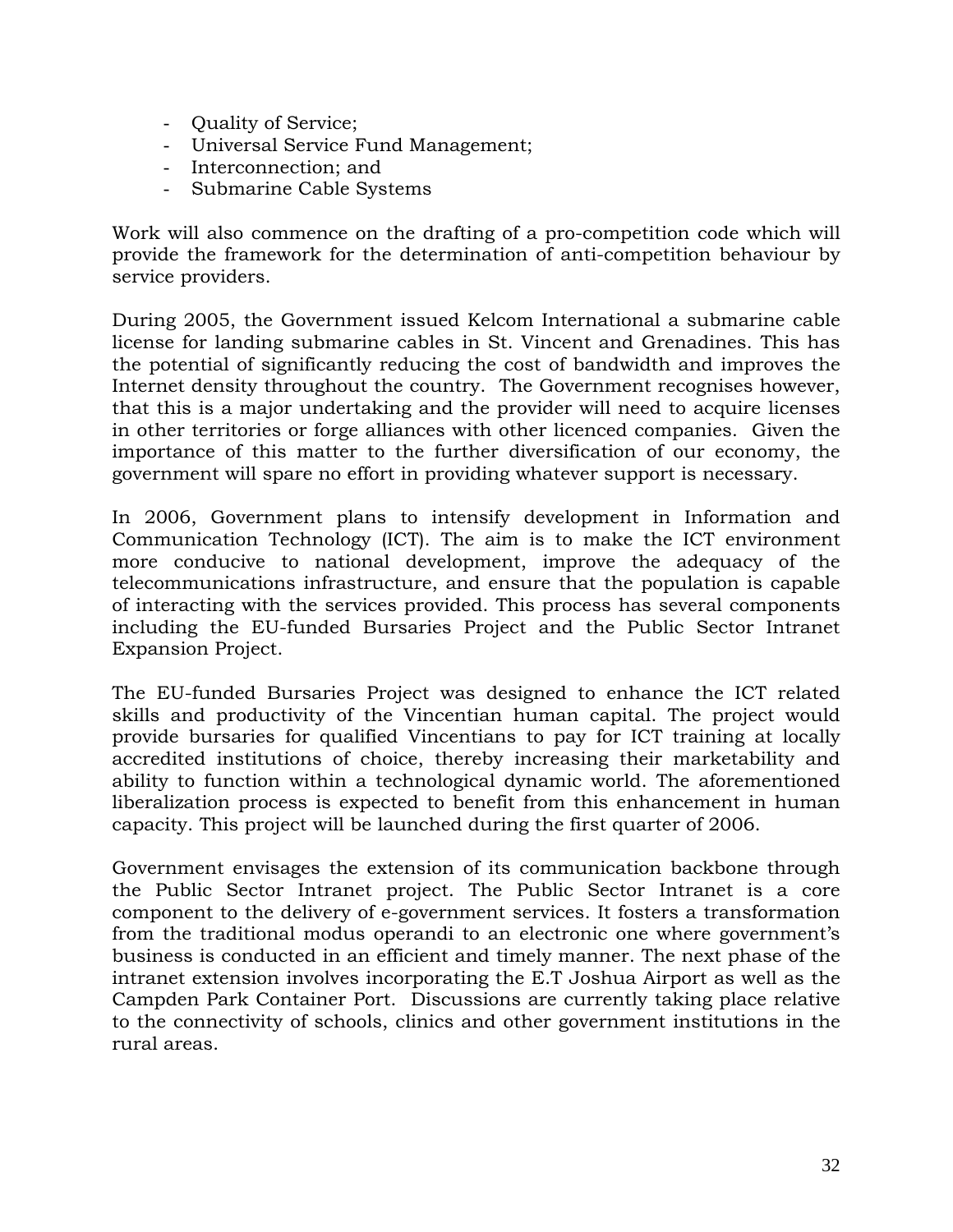- Quality of Service;
- Universal Service Fund Management;
- Interconnection; and
- Submarine Cable Systems

Work will also commence on the drafting of a pro-competition code which will provide the framework for the determination of anti-competition behaviour by service providers.

During 2005, the Government issued Kelcom International a submarine cable license for landing submarine cables in St. Vincent and Grenadines. This has the potential of significantly reducing the cost of bandwidth and improves the Internet density throughout the country. The Government recognises however, that this is a major undertaking and the provider will need to acquire licenses in other territories or forge alliances with other licenced companies. Given the importance of this matter to the further diversification of our economy, the government will spare no effort in providing whatever support is necessary.

In 2006, Government plans to intensify development in Information and Communication Technology (ICT). The aim is to make the ICT environment more conducive to national development, improve the adequacy of the telecommunications infrastructure, and ensure that the population is capable of interacting with the services provided. This process has several components including the EU-funded Bursaries Project and the Public Sector Intranet Expansion Project.

The EU-funded Bursaries Project was designed to enhance the ICT related skills and productivity of the Vincentian human capital. The project would provide bursaries for qualified Vincentians to pay for ICT training at locally accredited institutions of choice, thereby increasing their marketability and ability to function within a technological dynamic world. The aforementioned liberalization process is expected to benefit from this enhancement in human capacity. This project will be launched during the first quarter of 2006.

Government envisages the extension of its communication backbone through the Public Sector Intranet project. The Public Sector Intranet is a core component to the delivery of e-government services. It fosters a transformation from the traditional modus operandi to an electronic one where government's business is conducted in an efficient and timely manner. The next phase of the intranet extension involves incorporating the E.T Joshua Airport as well as the Campden Park Container Port. Discussions are currently taking place relative to the connectivity of schools, clinics and other government institutions in the rural areas.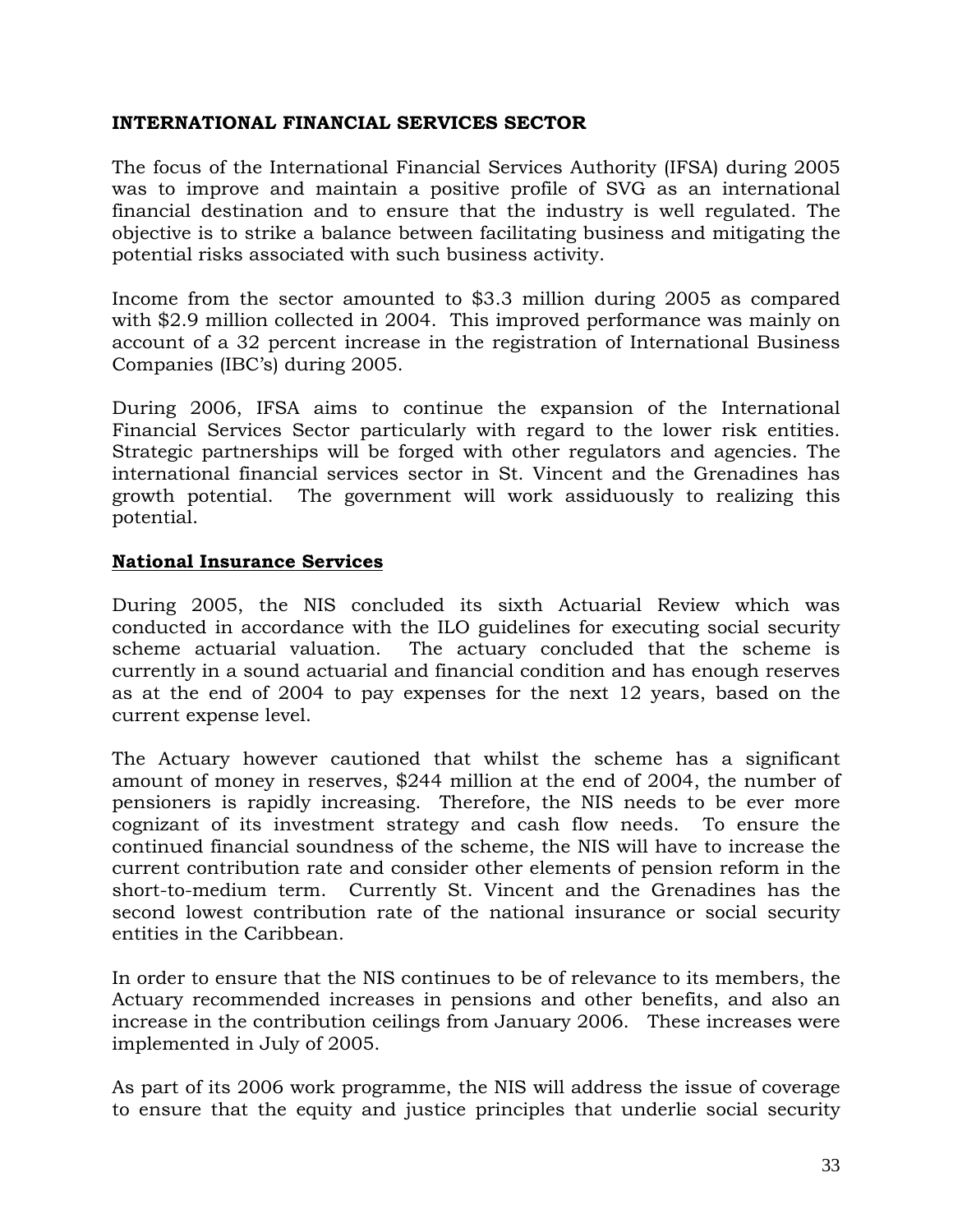### **INTERNATIONAL FINANCIAL SERVICES SECTOR**

The focus of the International Financial Services Authority (IFSA) during 2005 was to improve and maintain a positive profile of SVG as an international financial destination and to ensure that the industry is well regulated. The objective is to strike a balance between facilitating business and mitigating the potential risks associated with such business activity.

Income from the sector amounted to \$3.3 million during 2005 as compared with \$2.9 million collected in 2004. This improved performance was mainly on account of a 32 percent increase in the registration of International Business Companies (IBC's) during 2005.

During 2006, IFSA aims to continue the expansion of the International Financial Services Sector particularly with regard to the lower risk entities. Strategic partnerships will be forged with other regulators and agencies. The international financial services sector in St. Vincent and the Grenadines has growth potential. The government will work assiduously to realizing this potential.

# **National Insurance Services**

During 2005, the NIS concluded its sixth Actuarial Review which was conducted in accordance with the ILO guidelines for executing social security scheme actuarial valuation. The actuary concluded that the scheme is currently in a sound actuarial and financial condition and has enough reserves as at the end of 2004 to pay expenses for the next 12 years, based on the current expense level.

The Actuary however cautioned that whilst the scheme has a significant amount of money in reserves, \$244 million at the end of 2004, the number of pensioners is rapidly increasing. Therefore, the NIS needs to be ever more cognizant of its investment strategy and cash flow needs. To ensure the continued financial soundness of the scheme, the NIS will have to increase the current contribution rate and consider other elements of pension reform in the short-to-medium term. Currently St. Vincent and the Grenadines has the second lowest contribution rate of the national insurance or social security entities in the Caribbean.

In order to ensure that the NIS continues to be of relevance to its members, the Actuary recommended increases in pensions and other benefits, and also an increase in the contribution ceilings from January 2006. These increases were implemented in July of 2005.

As part of its 2006 work programme, the NIS will address the issue of coverage to ensure that the equity and justice principles that underlie social security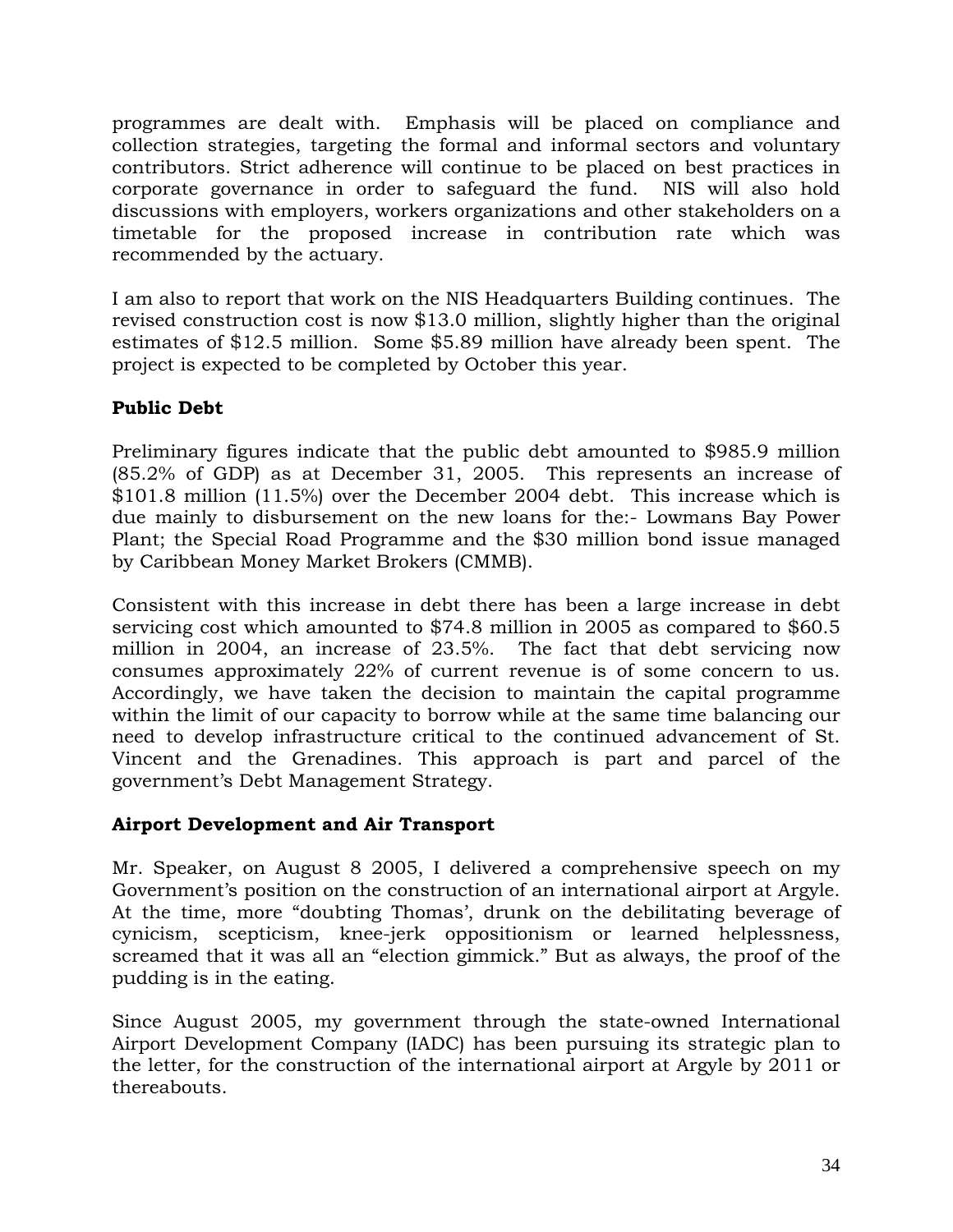programmes are dealt with. Emphasis will be placed on compliance and collection strategies, targeting the formal and informal sectors and voluntary contributors. Strict adherence will continue to be placed on best practices in corporate governance in order to safeguard the fund. NIS will also hold discussions with employers, workers organizations and other stakeholders on a timetable for the proposed increase in contribution rate which was recommended by the actuary.

I am also to report that work on the NIS Headquarters Building continues. The revised construction cost is now \$13.0 million, slightly higher than the original estimates of \$12.5 million. Some \$5.89 million have already been spent. The project is expected to be completed by October this year.

# **Public Debt**

Preliminary figures indicate that the public debt amounted to \$985.9 million (85.2% of GDP) as at December 31, 2005. This represents an increase of \$101.8 million (11.5%) over the December 2004 debt. This increase which is due mainly to disbursement on the new loans for the:- Lowmans Bay Power Plant; the Special Road Programme and the \$30 million bond issue managed by Caribbean Money Market Brokers (CMMB).

Consistent with this increase in debt there has been a large increase in debt servicing cost which amounted to \$74.8 million in 2005 as compared to \$60.5 million in 2004, an increase of 23.5%. The fact that debt servicing now consumes approximately 22% of current revenue is of some concern to us. Accordingly, we have taken the decision to maintain the capital programme within the limit of our capacity to borrow while at the same time balancing our need to develop infrastructure critical to the continued advancement of St. Vincent and the Grenadines. This approach is part and parcel of the government's Debt Management Strategy.

# **Airport Development and Air Transport**

Mr. Speaker, on August 8 2005, I delivered a comprehensive speech on my Government's position on the construction of an international airport at Argyle. At the time, more "doubting Thomas', drunk on the debilitating beverage of cynicism, scepticism, knee-jerk oppositionism or learned helplessness, screamed that it was all an "election gimmick." But as always, the proof of the pudding is in the eating.

Since August 2005, my government through the state-owned International Airport Development Company (IADC) has been pursuing its strategic plan to the letter, for the construction of the international airport at Argyle by 2011 or thereabouts.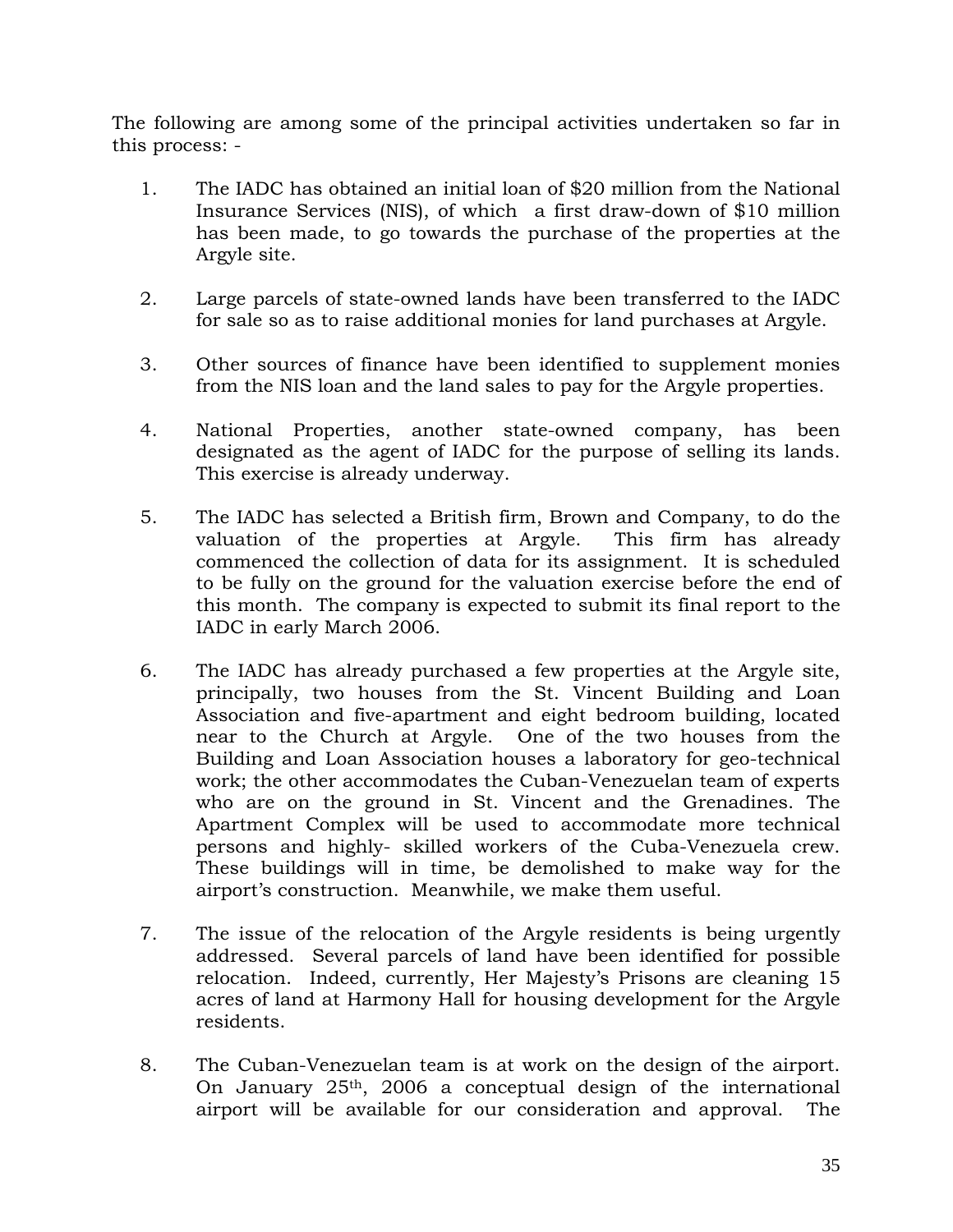The following are among some of the principal activities undertaken so far in this process: -

- 1. The IADC has obtained an initial loan of \$20 million from the National Insurance Services (NIS), of which a first draw-down of \$10 million has been made, to go towards the purchase of the properties at the Argyle site.
- 2. Large parcels of state-owned lands have been transferred to the IADC for sale so as to raise additional monies for land purchases at Argyle.
- 3. Other sources of finance have been identified to supplement monies from the NIS loan and the land sales to pay for the Argyle properties.
- 4. National Properties, another state-owned company, has been designated as the agent of IADC for the purpose of selling its lands. This exercise is already underway.
- 5. The IADC has selected a British firm, Brown and Company, to do the valuation of the properties at Argyle. This firm has already commenced the collection of data for its assignment. It is scheduled to be fully on the ground for the valuation exercise before the end of this month. The company is expected to submit its final report to the IADC in early March 2006.
- 6. The IADC has already purchased a few properties at the Argyle site, principally, two houses from the St. Vincent Building and Loan Association and five-apartment and eight bedroom building, located near to the Church at Argyle. One of the two houses from the Building and Loan Association houses a laboratory for geo-technical work; the other accommodates the Cuban-Venezuelan team of experts who are on the ground in St. Vincent and the Grenadines. The Apartment Complex will be used to accommodate more technical persons and highly- skilled workers of the Cuba-Venezuela crew. These buildings will in time, be demolished to make way for the airport's construction. Meanwhile, we make them useful.
- 7. The issue of the relocation of the Argyle residents is being urgently addressed. Several parcels of land have been identified for possible relocation. Indeed, currently, Her Majesty's Prisons are cleaning 15 acres of land at Harmony Hall for housing development for the Argyle residents.
- 8. The Cuban-Venezuelan team is at work on the design of the airport. On January 25th, 2006 a conceptual design of the international airport will be available for our consideration and approval. The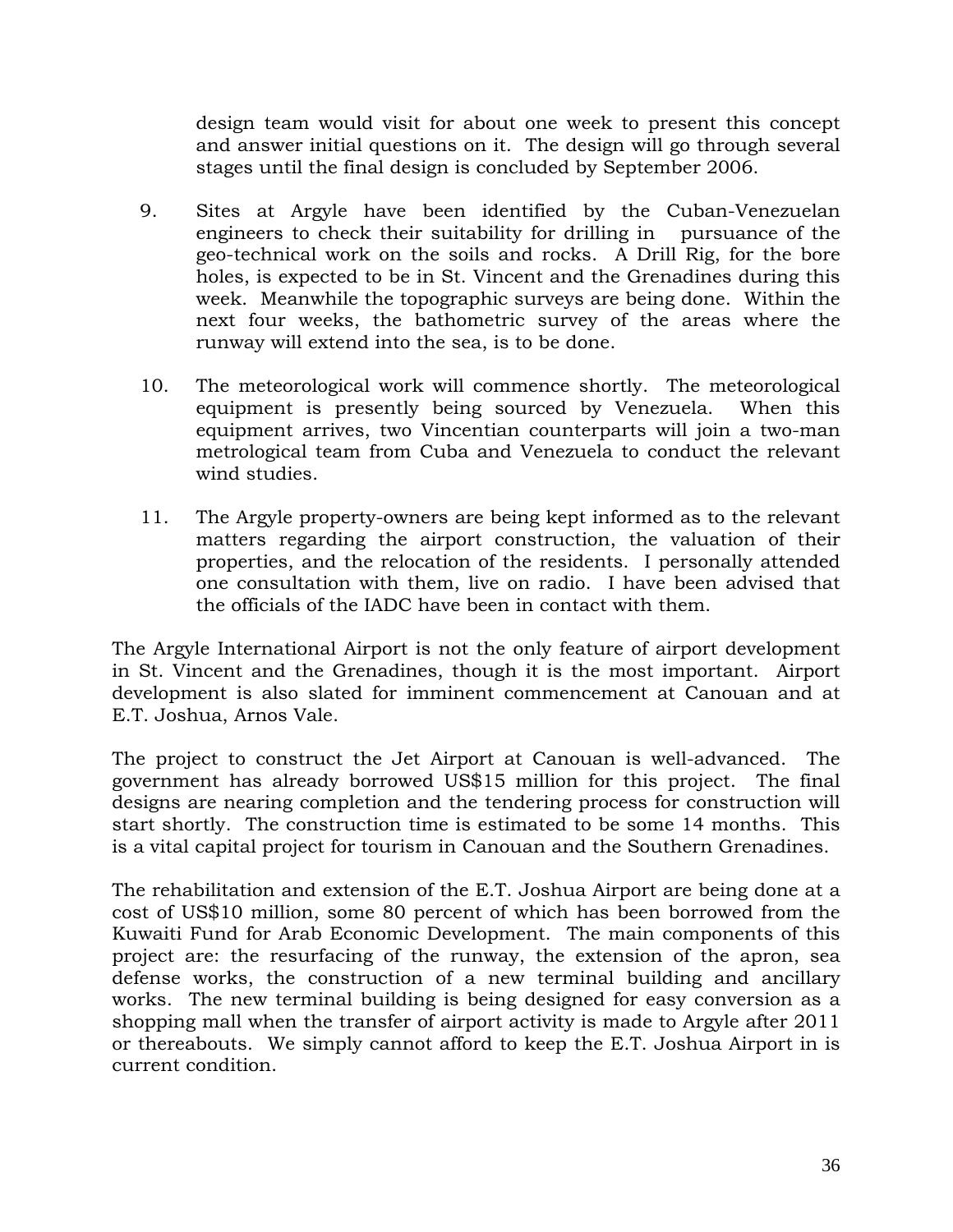design team would visit for about one week to present this concept and answer initial questions on it. The design will go through several stages until the final design is concluded by September 2006.

- 9. Sites at Argyle have been identified by the Cuban-Venezuelan engineers to check their suitability for drilling in pursuance of the geo-technical work on the soils and rocks. A Drill Rig, for the bore holes, is expected to be in St. Vincent and the Grenadines during this week. Meanwhile the topographic surveys are being done. Within the next four weeks, the bathometric survey of the areas where the runway will extend into the sea, is to be done.
- 10. The meteorological work will commence shortly. The meteorological equipment is presently being sourced by Venezuela. When this equipment arrives, two Vincentian counterparts will join a two-man metrological team from Cuba and Venezuela to conduct the relevant wind studies.
- 11. The Argyle property-owners are being kept informed as to the relevant matters regarding the airport construction, the valuation of their properties, and the relocation of the residents. I personally attended one consultation with them, live on radio. I have been advised that the officials of the IADC have been in contact with them.

The Argyle International Airport is not the only feature of airport development in St. Vincent and the Grenadines, though it is the most important. Airport development is also slated for imminent commencement at Canouan and at E.T. Joshua, Arnos Vale.

The project to construct the Jet Airport at Canouan is well-advanced. The government has already borrowed US\$15 million for this project. The final designs are nearing completion and the tendering process for construction will start shortly. The construction time is estimated to be some 14 months. This is a vital capital project for tourism in Canouan and the Southern Grenadines.

The rehabilitation and extension of the E.T. Joshua Airport are being done at a cost of US\$10 million, some 80 percent of which has been borrowed from the Kuwaiti Fund for Arab Economic Development. The main components of this project are: the resurfacing of the runway, the extension of the apron, sea defense works, the construction of a new terminal building and ancillary works. The new terminal building is being designed for easy conversion as a shopping mall when the transfer of airport activity is made to Argyle after 2011 or thereabouts. We simply cannot afford to keep the E.T. Joshua Airport in is current condition.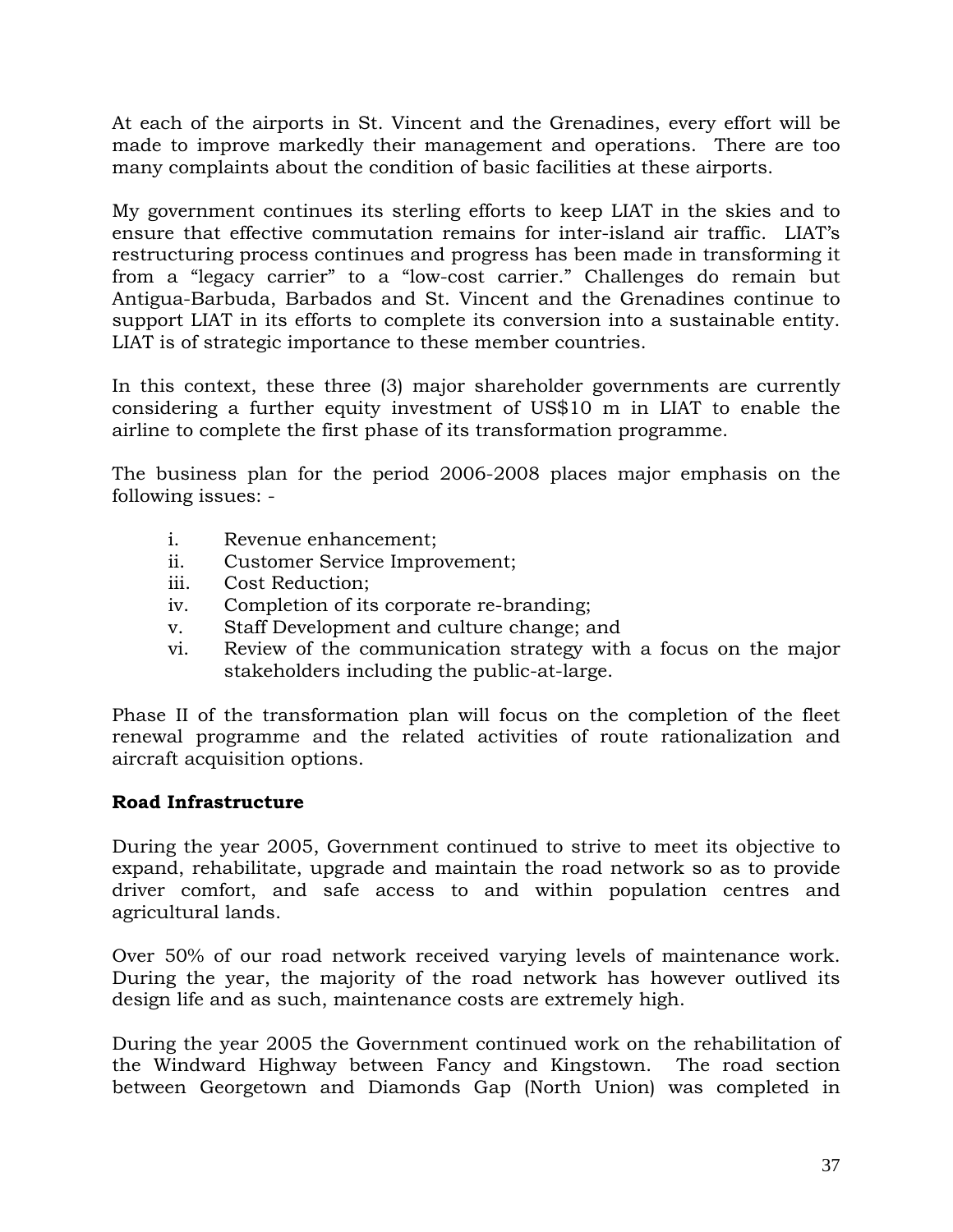At each of the airports in St. Vincent and the Grenadines, every effort will be made to improve markedly their management and operations. There are too many complaints about the condition of basic facilities at these airports.

My government continues its sterling efforts to keep LIAT in the skies and to ensure that effective commutation remains for inter-island air traffic. LIAT's restructuring process continues and progress has been made in transforming it from a "legacy carrier" to a "low-cost carrier." Challenges do remain but Antigua-Barbuda, Barbados and St. Vincent and the Grenadines continue to support LIAT in its efforts to complete its conversion into a sustainable entity. LIAT is of strategic importance to these member countries.

In this context, these three (3) major shareholder governments are currently considering a further equity investment of US\$10 m in LIAT to enable the airline to complete the first phase of its transformation programme.

The business plan for the period 2006-2008 places major emphasis on the following issues: -

- i. Revenue enhancement;
- ii. Customer Service Improvement;
- iii. Cost Reduction;
- iv. Completion of its corporate re-branding;
- v. Staff Development and culture change; and
- vi. Review of the communication strategy with a focus on the major stakeholders including the public-at-large.

Phase II of the transformation plan will focus on the completion of the fleet renewal programme and the related activities of route rationalization and aircraft acquisition options.

# **Road Infrastructure**

During the year 2005, Government continued to strive to meet its objective to expand, rehabilitate, upgrade and maintain the road network so as to provide driver comfort, and safe access to and within population centres and agricultural lands.

Over 50% of our road network received varying levels of maintenance work. During the year, the majority of the road network has however outlived its design life and as such, maintenance costs are extremely high.

During the year 2005 the Government continued work on the rehabilitation of the Windward Highway between Fancy and Kingstown. The road section between Georgetown and Diamonds Gap (North Union) was completed in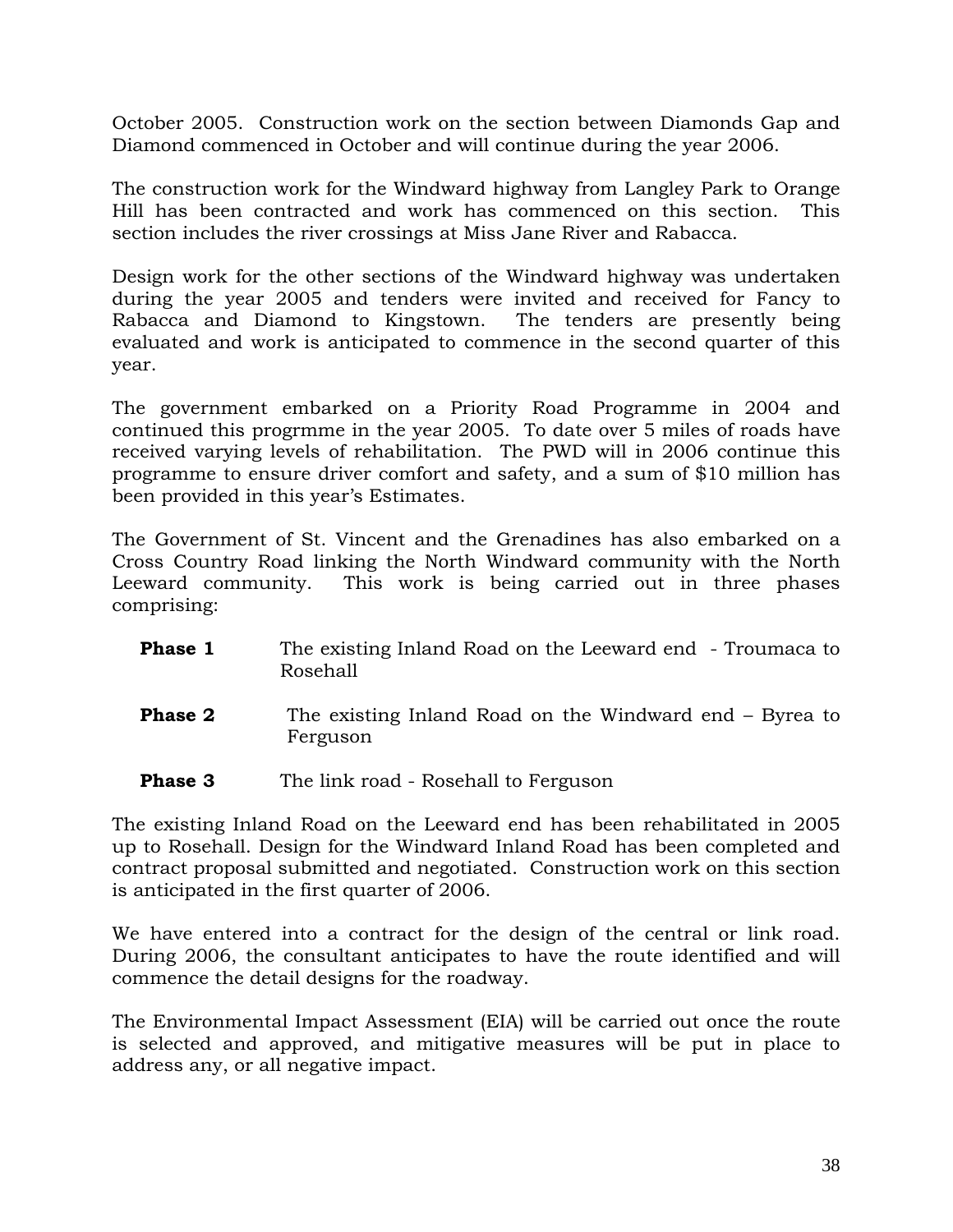October 2005. Construction work on the section between Diamonds Gap and Diamond commenced in October and will continue during the year 2006.

The construction work for the Windward highway from Langley Park to Orange Hill has been contracted and work has commenced on this section. This section includes the river crossings at Miss Jane River and Rabacca.

Design work for the other sections of the Windward highway was undertaken during the year 2005 and tenders were invited and received for Fancy to Rabacca and Diamond to Kingstown. The tenders are presently being evaluated and work is anticipated to commence in the second quarter of this year.

The government embarked on a Priority Road Programme in 2004 and continued this progrmme in the year 2005. To date over 5 miles of roads have received varying levels of rehabilitation. The PWD will in 2006 continue this programme to ensure driver comfort and safety, and a sum of \$10 million has been provided in this year's Estimates.

The Government of St. Vincent and the Grenadines has also embarked on a Cross Country Road linking the North Windward community with the North Leeward community. This work is being carried out in three phases comprising:

- **Phase 1** The existing Inland Road on the Leeward end Troumaca to Rosehall
- **Phase 2** The existing Inland Road on the Windward end Byrea to Ferguson
- **Phase 3** The link road Rosehall to Ferguson

The existing Inland Road on the Leeward end has been rehabilitated in 2005 up to Rosehall. Design for the Windward Inland Road has been completed and contract proposal submitted and negotiated. Construction work on this section is anticipated in the first quarter of 2006.

We have entered into a contract for the design of the central or link road. During 2006, the consultant anticipates to have the route identified and will commence the detail designs for the roadway.

The Environmental Impact Assessment (EIA) will be carried out once the route is selected and approved, and mitigative measures will be put in place to address any, or all negative impact.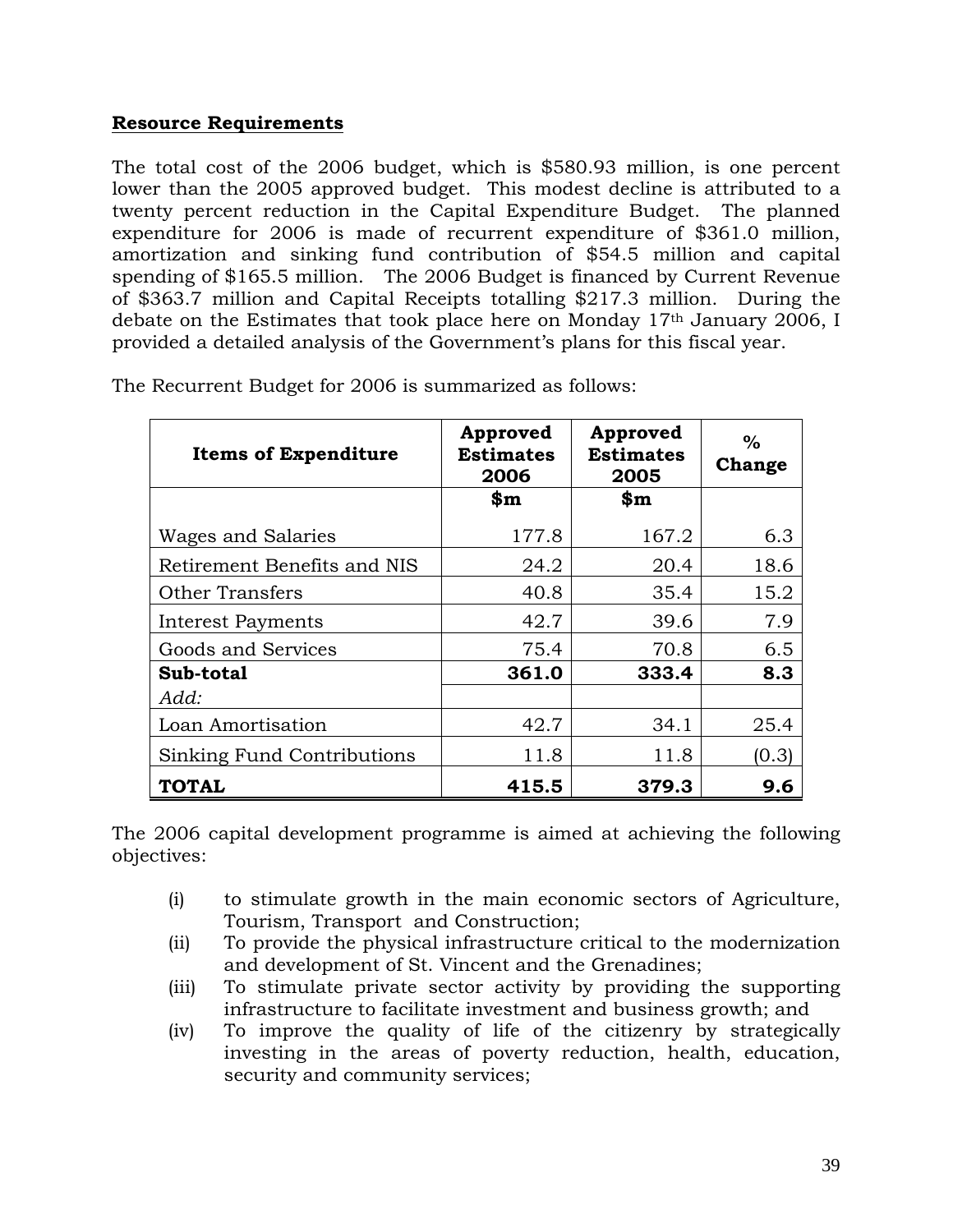### **Resource Requirements**

The total cost of the 2006 budget, which is \$580.93 million, is one percent lower than the 2005 approved budget. This modest decline is attributed to a twenty percent reduction in the Capital Expenditure Budget. The planned expenditure for 2006 is made of recurrent expenditure of \$361.0 million, amortization and sinking fund contribution of \$54.5 million and capital spending of \$165.5 million. The 2006 Budget is financed by Current Revenue of \$363.7 million and Capital Receipts totalling \$217.3 million. During the debate on the Estimates that took place here on Monday 17th January 2006, I provided a detailed analysis of the Government's plans for this fiscal year.

| <b>Items of Expenditure</b>       | Approved<br><b>Estimates</b><br>2006 | Approved<br><b>Estimates</b><br>2005 | $\%$<br>Change |
|-----------------------------------|--------------------------------------|--------------------------------------|----------------|
|                                   | $\mathbf{\$m}$                       | $\mathbf{\$m}$                       |                |
| Wages and Salaries                | 177.8                                | 167.2                                | 6.3            |
| Retirement Benefits and NIS       | 24.2                                 | 20.4                                 | 18.6           |
| Other Transfers                   | 40.8                                 | 35.4                                 | 15.2           |
| <b>Interest Payments</b>          | 42.7                                 | 39.6                                 | 7.9            |
| Goods and Services                | 75.4                                 | 70.8                                 | 6.5            |
| Sub-total                         | 361.0                                | 333.4                                | 8.3            |
| Add:                              |                                      |                                      |                |
| Loan Amortisation                 | 42.7                                 | 34.1                                 | 25.4           |
| <b>Sinking Fund Contributions</b> | 11.8                                 | 11.8                                 | (0.3)          |
| <b>TOTAL</b>                      | 415.5                                | 379.3                                | 9.6            |

The Recurrent Budget for 2006 is summarized as follows:

The 2006 capital development programme is aimed at achieving the following objectives:

- (i) to stimulate growth in the main economic sectors of Agriculture, Tourism, Transport and Construction;
- (ii) To provide the physical infrastructure critical to the modernization and development of St. Vincent and the Grenadines;
- (iii) To stimulate private sector activity by providing the supporting infrastructure to facilitate investment and business growth; and
- (iv) To improve the quality of life of the citizenry by strategically investing in the areas of poverty reduction, health, education, security and community services;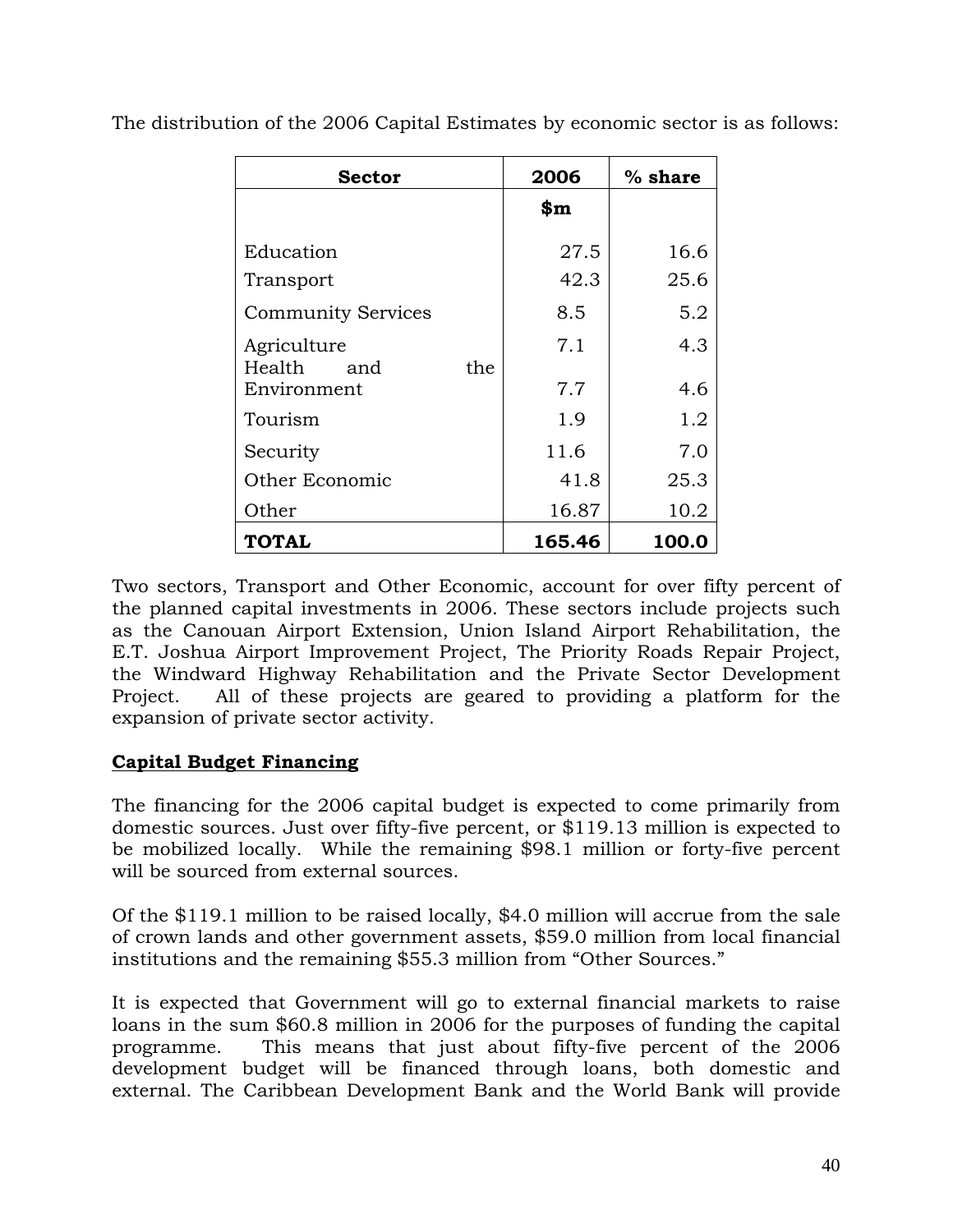| <b>Sector</b>                       | 2006           | $%$ share |
|-------------------------------------|----------------|-----------|
|                                     | $\mathbf{\$m}$ |           |
| Education                           | 27.5           | 16.6      |
| Transport                           | 42.3           | 25.6      |
| <b>Community Services</b>           | 8.5            | 5.2       |
| Agriculture<br>Health<br>the<br>and | 7.1            | 4.3       |
| Environment                         | 7.7            | 4.6       |
| Tourism                             | 1.9            | 1.2       |
| Security                            | 11.6           | 7.0       |
| Other Economic                      | 41.8           | 25.3      |
| Other                               | 16.87          | 10.2      |
| <b>TOTAL</b>                        | 165.46         | 100.0     |

The distribution of the 2006 Capital Estimates by economic sector is as follows:

Two sectors, Transport and Other Economic, account for over fifty percent of the planned capital investments in 2006. These sectors include projects such as the Canouan Airport Extension, Union Island Airport Rehabilitation, the E.T. Joshua Airport Improvement Project, The Priority Roads Repair Project, the Windward Highway Rehabilitation and the Private Sector Development Project. All of these projects are geared to providing a platform for the expansion of private sector activity.

# **Capital Budget Financing**

The financing for the 2006 capital budget is expected to come primarily from domestic sources. Just over fifty-five percent, or \$119.13 million is expected to be mobilized locally. While the remaining \$98.1 million or forty-five percent will be sourced from external sources.

Of the \$119.1 million to be raised locally, \$4.0 million will accrue from the sale of crown lands and other government assets, \$59.0 million from local financial institutions and the remaining \$55.3 million from "Other Sources."

It is expected that Government will go to external financial markets to raise loans in the sum \$60.8 million in 2006 for the purposes of funding the capital programme. This means that just about fifty-five percent of the 2006 development budget will be financed through loans, both domestic and external. The Caribbean Development Bank and the World Bank will provide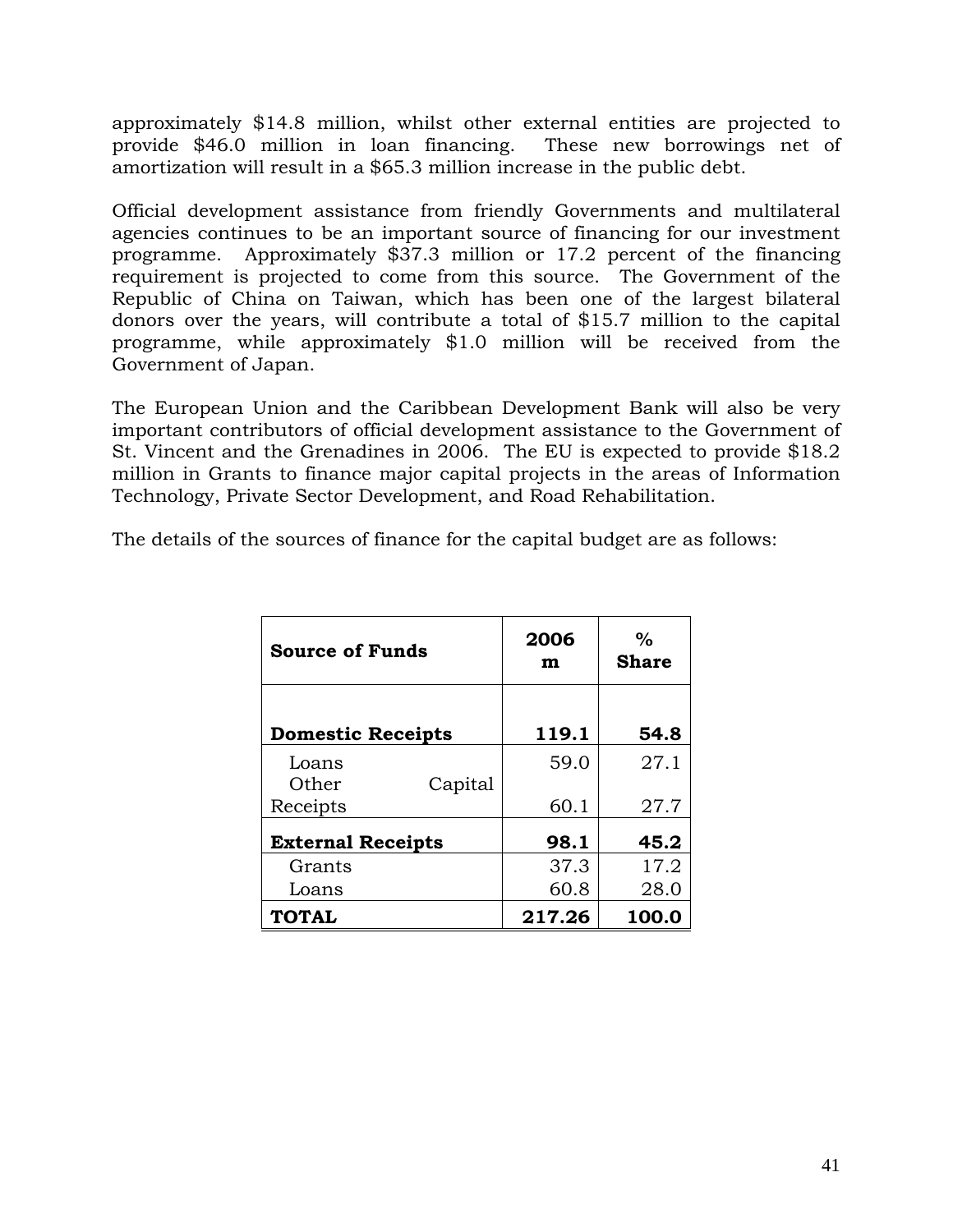approximately \$14.8 million, whilst other external entities are projected to provide \$46.0 million in loan financing. These new borrowings net of amortization will result in a \$65.3 million increase in the public debt.

Official development assistance from friendly Governments and multilateral agencies continues to be an important source of financing for our investment programme. Approximately \$37.3 million or 17.2 percent of the financing requirement is projected to come from this source. The Government of the Republic of China on Taiwan, which has been one of the largest bilateral donors over the years, will contribute a total of \$15.7 million to the capital programme, while approximately \$1.0 million will be received from the Government of Japan.

The European Union and the Caribbean Development Bank will also be very important contributors of official development assistance to the Government of St. Vincent and the Grenadines in 2006. The EU is expected to provide \$18.2 million in Grants to finance major capital projects in the areas of Information Technology, Private Sector Development, and Road Rehabilitation.

The details of the sources of finance for the capital budget are as follows:

| <b>Source of Funds</b>   | 2006<br>m | $\%$<br><b>Share</b> |
|--------------------------|-----------|----------------------|
| <b>Domestic Receipts</b> | 119.1     | 54.8                 |
| Loans                    | 59.0      | 27.1                 |
| Other<br>Capital         |           |                      |
| Receipts                 | 60.1      | 27.7                 |
| <b>External Receipts</b> | 98.1      | 45.2                 |
| Grants                   | 37.3      | 17.2                 |
| Loans                    | 60.8      | 28.0                 |
| <b>TOTAL</b>             | 217.26    | 100.0                |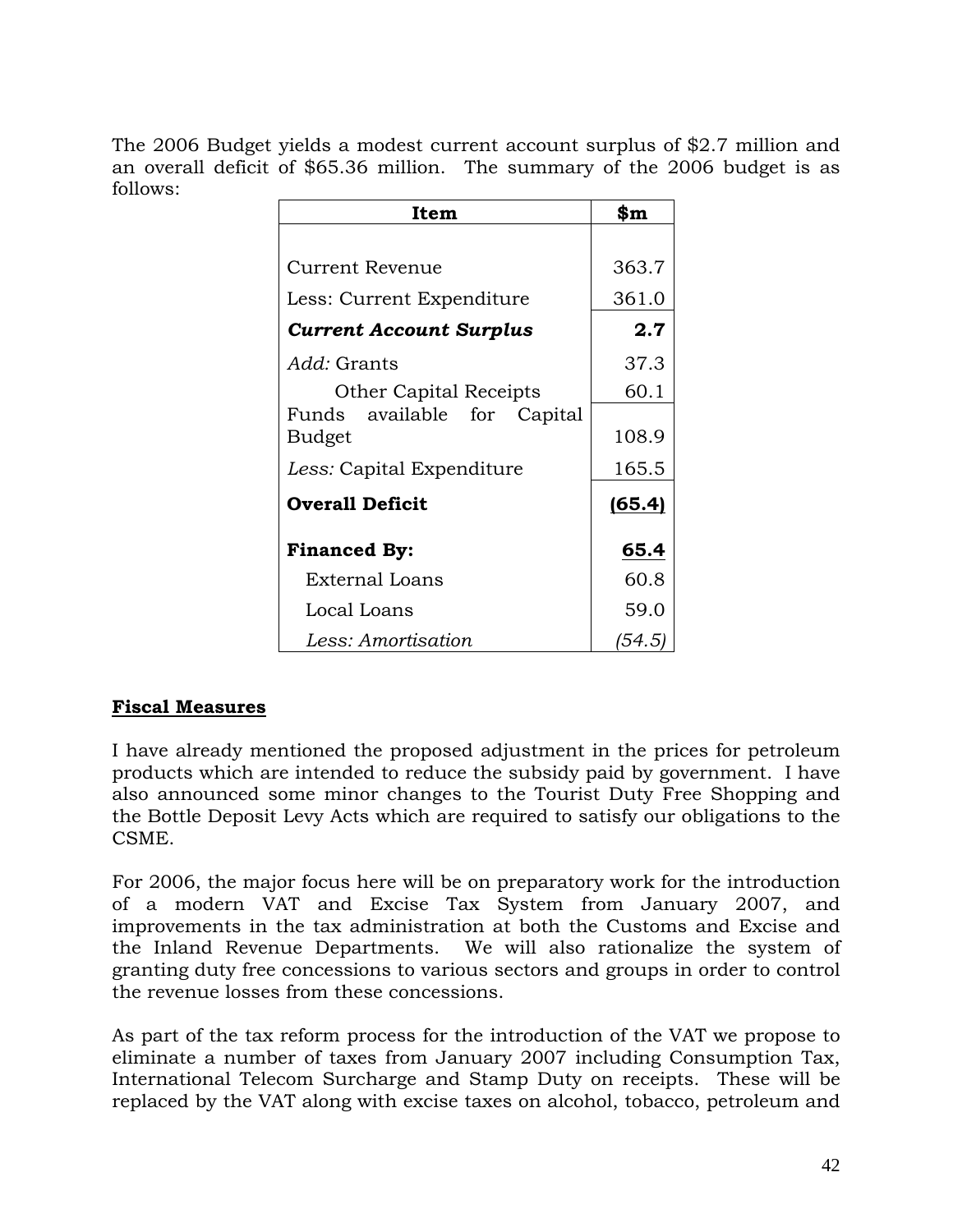The 2006 Budget yields a modest current account surplus of \$2.7 million and an overall deficit of \$65.36 million. The summary of the 2006 budget is as follows:

| Item                           | \$m    |
|--------------------------------|--------|
|                                |        |
| <b>Current Revenue</b>         | 363.7  |
| Less: Current Expenditure      | 361.0  |
| <b>Current Account Surplus</b> | 2.7    |
| <i>Add:</i> Grants             | 37.3   |
| <b>Other Capital Receipts</b>  | 60.1   |
| Funds<br>available for Capital |        |
| Budget                         | 108.9  |
| Less: Capital Expenditure      | 165.5  |
| <b>Overall Deficit</b>         | (65.4) |
| <b>Financed By:</b>            | 65.4   |
| External Loans                 | 60.8   |
| Local Loans                    | 59.0   |
| Less: Amortisation             | (54.5) |

# **Fiscal Measures**

I have already mentioned the proposed adjustment in the prices for petroleum products which are intended to reduce the subsidy paid by government. I have also announced some minor changes to the Tourist Duty Free Shopping and the Bottle Deposit Levy Acts which are required to satisfy our obligations to the CSME.

For 2006, the major focus here will be on preparatory work for the introduction of a modern VAT and Excise Tax System from January 2007, and improvements in the tax administration at both the Customs and Excise and the Inland Revenue Departments. We will also rationalize the system of granting duty free concessions to various sectors and groups in order to control the revenue losses from these concessions.

As part of the tax reform process for the introduction of the VAT we propose to eliminate a number of taxes from January 2007 including Consumption Tax, International Telecom Surcharge and Stamp Duty on receipts. These will be replaced by the VAT along with excise taxes on alcohol, tobacco, petroleum and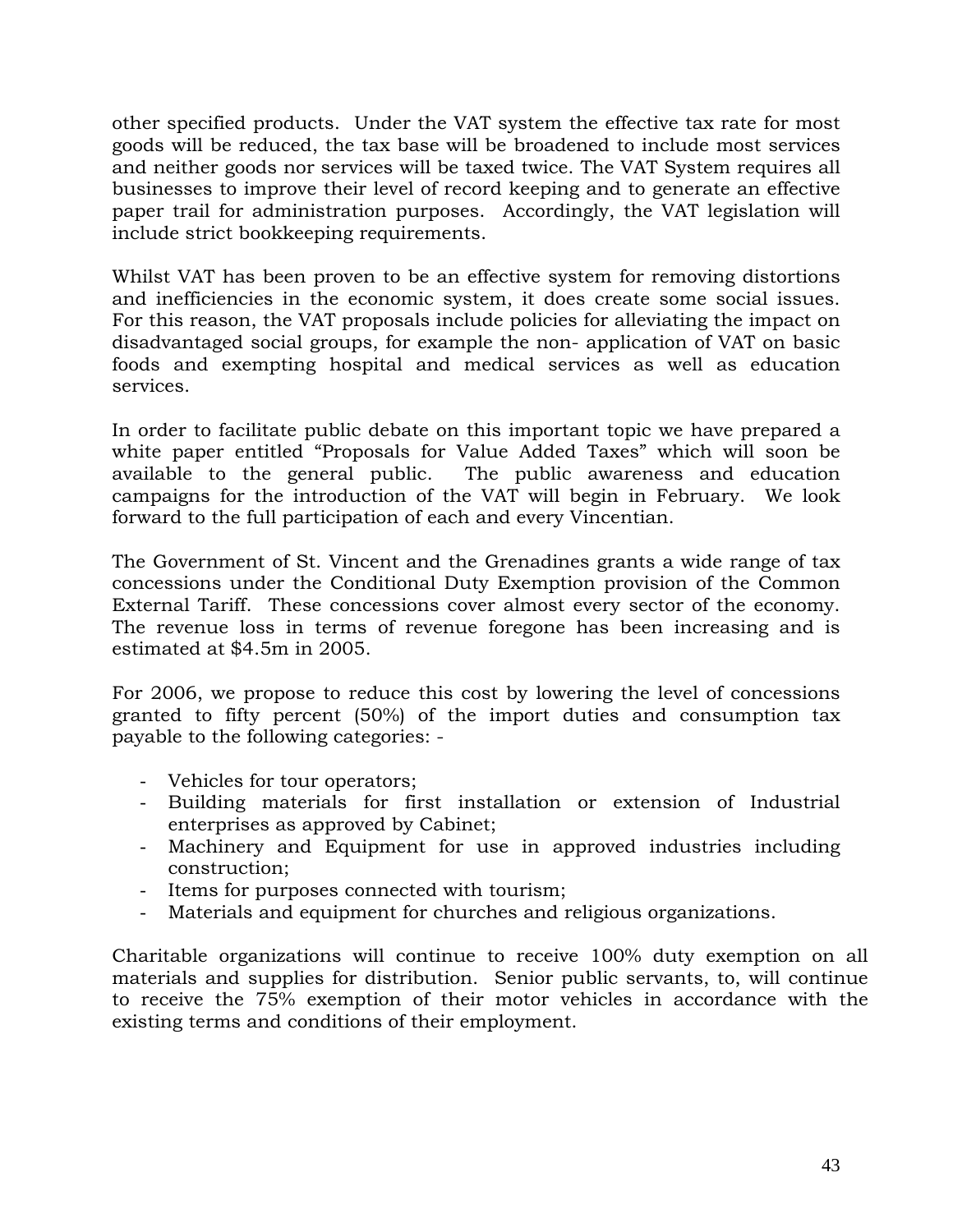other specified products. Under the VAT system the effective tax rate for most goods will be reduced, the tax base will be broadened to include most services and neither goods nor services will be taxed twice. The VAT System requires all businesses to improve their level of record keeping and to generate an effective paper trail for administration purposes. Accordingly, the VAT legislation will include strict bookkeeping requirements.

Whilst VAT has been proven to be an effective system for removing distortions and inefficiencies in the economic system, it does create some social issues. For this reason, the VAT proposals include policies for alleviating the impact on disadvantaged social groups, for example the non- application of VAT on basic foods and exempting hospital and medical services as well as education services.

In order to facilitate public debate on this important topic we have prepared a white paper entitled "Proposals for Value Added Taxes" which will soon be available to the general public. The public awareness and education campaigns for the introduction of the VAT will begin in February. We look forward to the full participation of each and every Vincentian.

The Government of St. Vincent and the Grenadines grants a wide range of tax concessions under the Conditional Duty Exemption provision of the Common External Tariff. These concessions cover almost every sector of the economy. The revenue loss in terms of revenue foregone has been increasing and is estimated at \$4.5m in 2005.

For 2006, we propose to reduce this cost by lowering the level of concessions granted to fifty percent (50%) of the import duties and consumption tax payable to the following categories: -

- Vehicles for tour operators;
- Building materials for first installation or extension of Industrial enterprises as approved by Cabinet;
- Machinery and Equipment for use in approved industries including construction;
- Items for purposes connected with tourism;
- Materials and equipment for churches and religious organizations.

Charitable organizations will continue to receive 100% duty exemption on all materials and supplies for distribution. Senior public servants, to, will continue to receive the 75% exemption of their motor vehicles in accordance with the existing terms and conditions of their employment.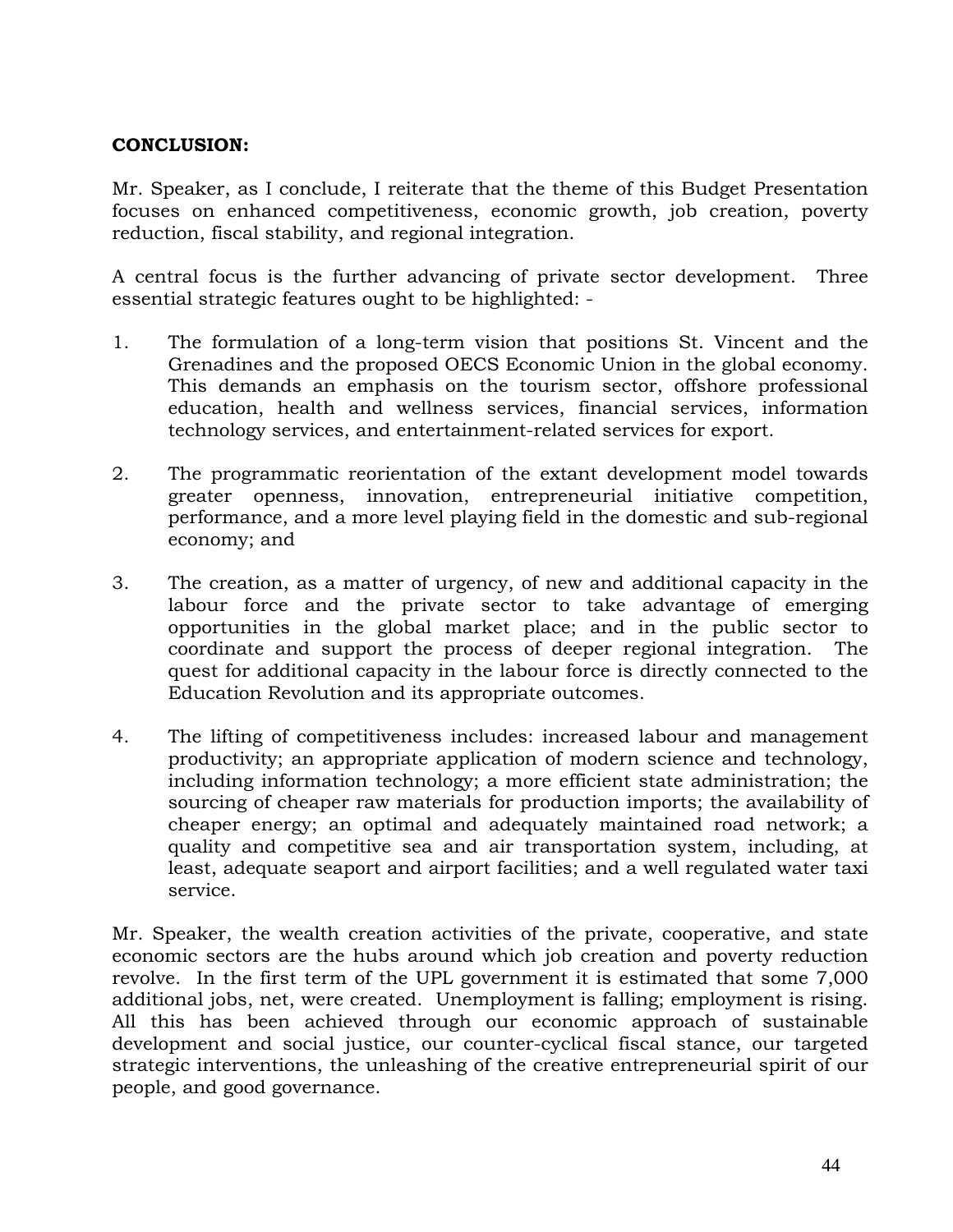# **CONCLUSION:**

Mr. Speaker, as I conclude, I reiterate that the theme of this Budget Presentation focuses on enhanced competitiveness, economic growth, job creation, poverty reduction, fiscal stability, and regional integration.

A central focus is the further advancing of private sector development. Three essential strategic features ought to be highlighted: -

- 1. The formulation of a long-term vision that positions St. Vincent and the Grenadines and the proposed OECS Economic Union in the global economy. This demands an emphasis on the tourism sector, offshore professional education, health and wellness services, financial services, information technology services, and entertainment-related services for export.
- 2. The programmatic reorientation of the extant development model towards greater openness, innovation, entrepreneurial initiative competition, performance, and a more level playing field in the domestic and sub-regional economy; and
- 3. The creation, as a matter of urgency, of new and additional capacity in the labour force and the private sector to take advantage of emerging opportunities in the global market place; and in the public sector to coordinate and support the process of deeper regional integration. The quest for additional capacity in the labour force is directly connected to the Education Revolution and its appropriate outcomes.
- 4. The lifting of competitiveness includes: increased labour and management productivity; an appropriate application of modern science and technology, including information technology; a more efficient state administration; the sourcing of cheaper raw materials for production imports; the availability of cheaper energy; an optimal and adequately maintained road network; a quality and competitive sea and air transportation system, including, at least, adequate seaport and airport facilities; and a well regulated water taxi service.

Mr. Speaker, the wealth creation activities of the private, cooperative, and state economic sectors are the hubs around which job creation and poverty reduction revolve. In the first term of the UPL government it is estimated that some 7,000 additional jobs, net, were created. Unemployment is falling; employment is rising. All this has been achieved through our economic approach of sustainable development and social justice, our counter-cyclical fiscal stance, our targeted strategic interventions, the unleashing of the creative entrepreneurial spirit of our people, and good governance.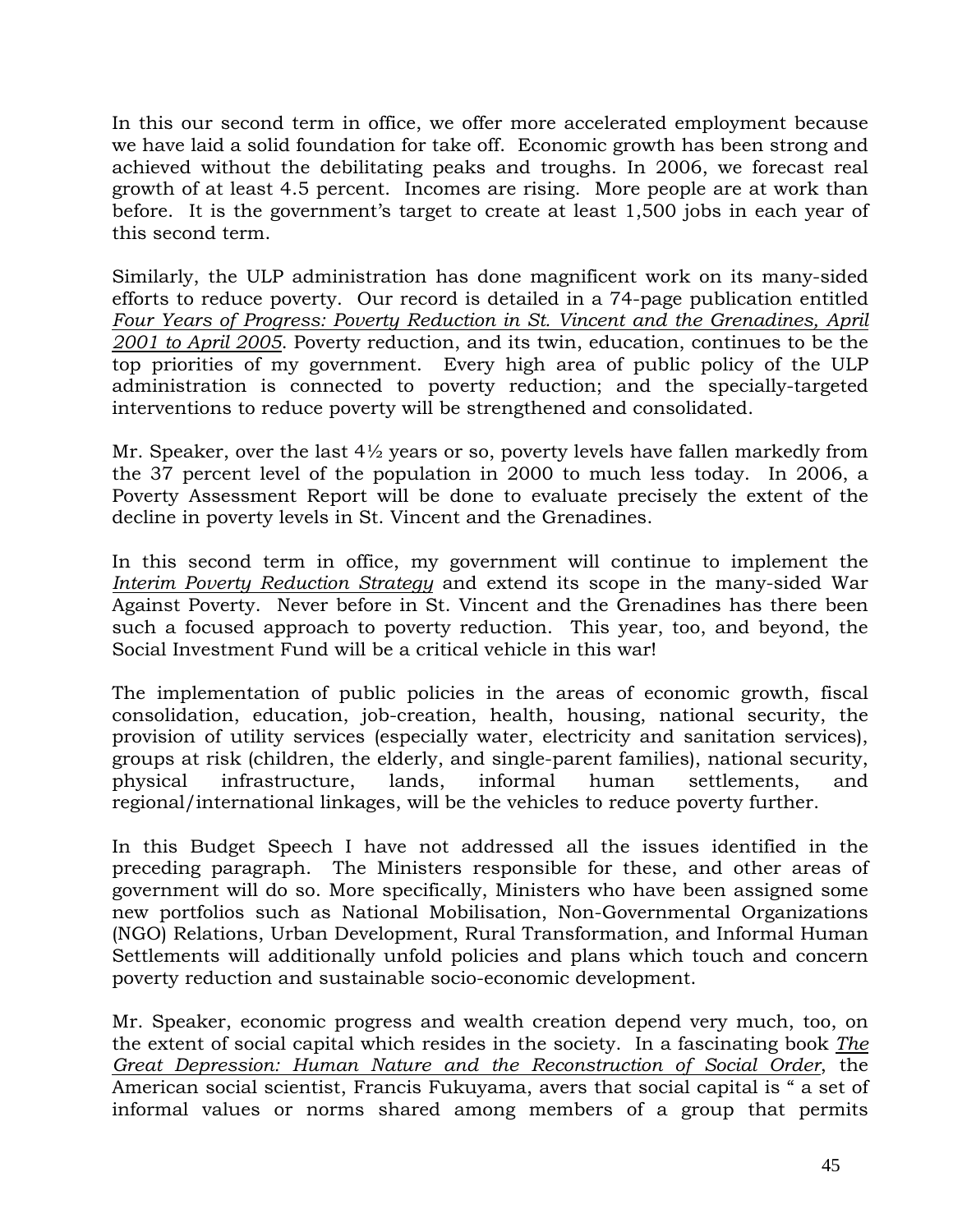In this our second term in office, we offer more accelerated employment because we have laid a solid foundation for take off. Economic growth has been strong and achieved without the debilitating peaks and troughs. In 2006, we forecast real growth of at least 4.5 percent. Incomes are rising. More people are at work than before. It is the government's target to create at least 1,500 jobs in each year of this second term.

Similarly, the ULP administration has done magnificent work on its many-sided efforts to reduce poverty. Our record is detailed in a 74-page publication entitled *Four Years of Progress: Poverty Reduction in St. Vincent and the Grenadines, April 2001 to April 2005*. Poverty reduction, and its twin, education, continues to be the top priorities of my government. Every high area of public policy of the ULP administration is connected to poverty reduction; and the specially-targeted interventions to reduce poverty will be strengthened and consolidated.

Mr. Speaker, over the last 4½ years or so, poverty levels have fallen markedly from the 37 percent level of the population in 2000 to much less today. In 2006, a Poverty Assessment Report will be done to evaluate precisely the extent of the decline in poverty levels in St. Vincent and the Grenadines.

In this second term in office, my government will continue to implement the *Interim Poverty Reduction Strategy* and extend its scope in the many-sided War Against Poverty. Never before in St. Vincent and the Grenadines has there been such a focused approach to poverty reduction. This year, too, and beyond, the Social Investment Fund will be a critical vehicle in this war!

The implementation of public policies in the areas of economic growth, fiscal consolidation, education, job-creation, health, housing, national security, the provision of utility services (especially water, electricity and sanitation services), groups at risk (children, the elderly, and single-parent families), national security, physical infrastructure, lands, informal human settlements, and regional/international linkages, will be the vehicles to reduce poverty further.

In this Budget Speech I have not addressed all the issues identified in the preceding paragraph. The Ministers responsible for these, and other areas of government will do so. More specifically, Ministers who have been assigned some new portfolios such as National Mobilisation, Non-Governmental Organizations (NGO) Relations, Urban Development, Rural Transformation, and Informal Human Settlements will additionally unfold policies and plans which touch and concern poverty reduction and sustainable socio-economic development.

Mr. Speaker, economic progress and wealth creation depend very much, too, on the extent of social capital which resides in the society. In a fascinating book *The Great Depression: Human Nature and the Reconstruction of Social Order*, the American social scientist, Francis Fukuyama, avers that social capital is " a set of informal values or norms shared among members of a group that permits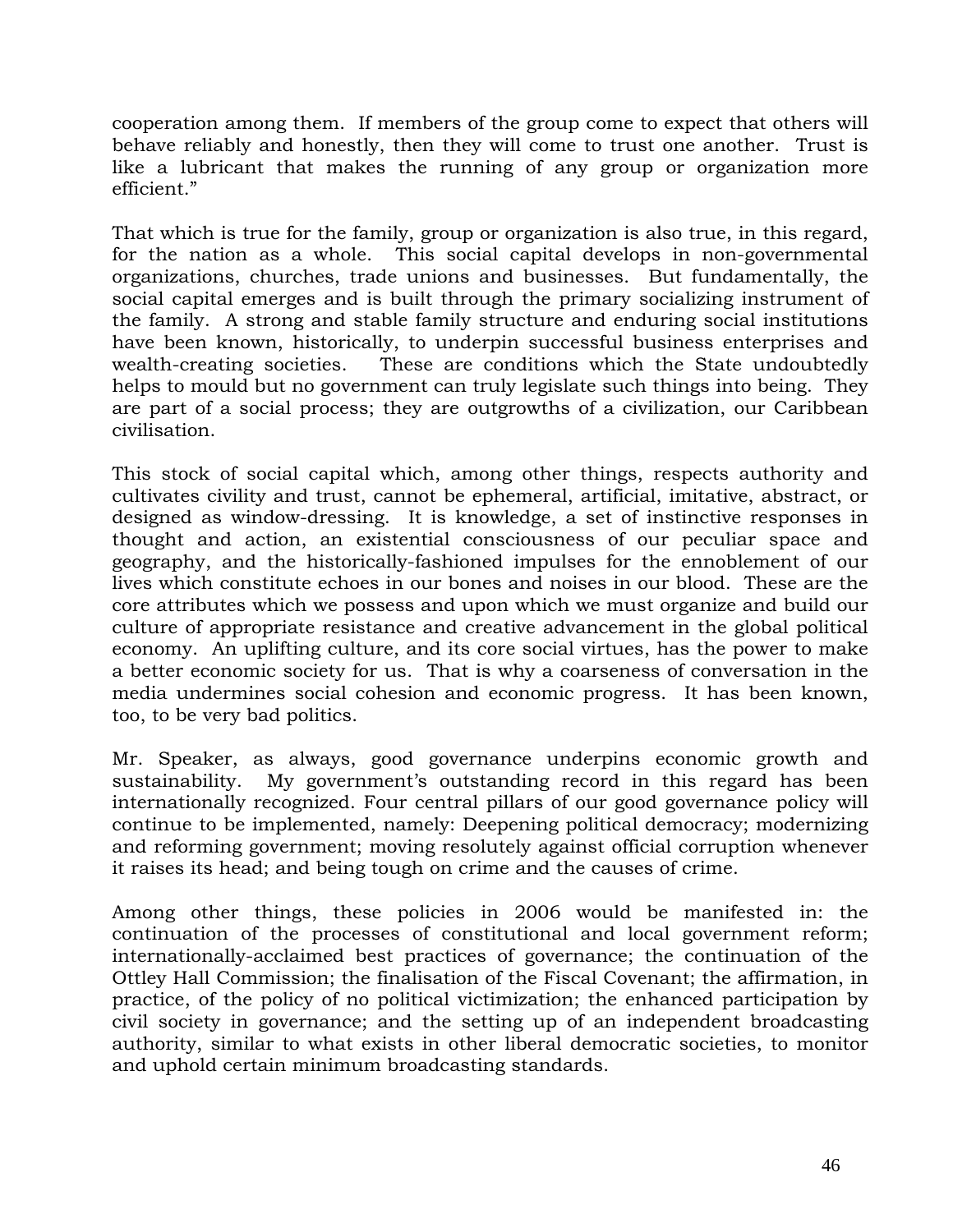cooperation among them. If members of the group come to expect that others will behave reliably and honestly, then they will come to trust one another. Trust is like a lubricant that makes the running of any group or organization more efficient."

That which is true for the family, group or organization is also true, in this regard, for the nation as a whole. This social capital develops in non-governmental organizations, churches, trade unions and businesses. But fundamentally, the social capital emerges and is built through the primary socializing instrument of the family. A strong and stable family structure and enduring social institutions have been known, historically, to underpin successful business enterprises and wealth-creating societies. These are conditions which the State undoubtedly helps to mould but no government can truly legislate such things into being. They are part of a social process; they are outgrowths of a civilization, our Caribbean civilisation.

This stock of social capital which, among other things, respects authority and cultivates civility and trust, cannot be ephemeral, artificial, imitative, abstract, or designed as window-dressing. It is knowledge, a set of instinctive responses in thought and action, an existential consciousness of our peculiar space and geography, and the historically-fashioned impulses for the ennoblement of our lives which constitute echoes in our bones and noises in our blood. These are the core attributes which we possess and upon which we must organize and build our culture of appropriate resistance and creative advancement in the global political economy. An uplifting culture, and its core social virtues, has the power to make a better economic society for us. That is why a coarseness of conversation in the media undermines social cohesion and economic progress. It has been known, too, to be very bad politics.

Mr. Speaker, as always, good governance underpins economic growth and sustainability. My government's outstanding record in this regard has been internationally recognized. Four central pillars of our good governance policy will continue to be implemented, namely: Deepening political democracy; modernizing and reforming government; moving resolutely against official corruption whenever it raises its head; and being tough on crime and the causes of crime.

Among other things, these policies in 2006 would be manifested in: the continuation of the processes of constitutional and local government reform; internationally-acclaimed best practices of governance; the continuation of the Ottley Hall Commission; the finalisation of the Fiscal Covenant; the affirmation, in practice, of the policy of no political victimization; the enhanced participation by civil society in governance; and the setting up of an independent broadcasting authority, similar to what exists in other liberal democratic societies, to monitor and uphold certain minimum broadcasting standards.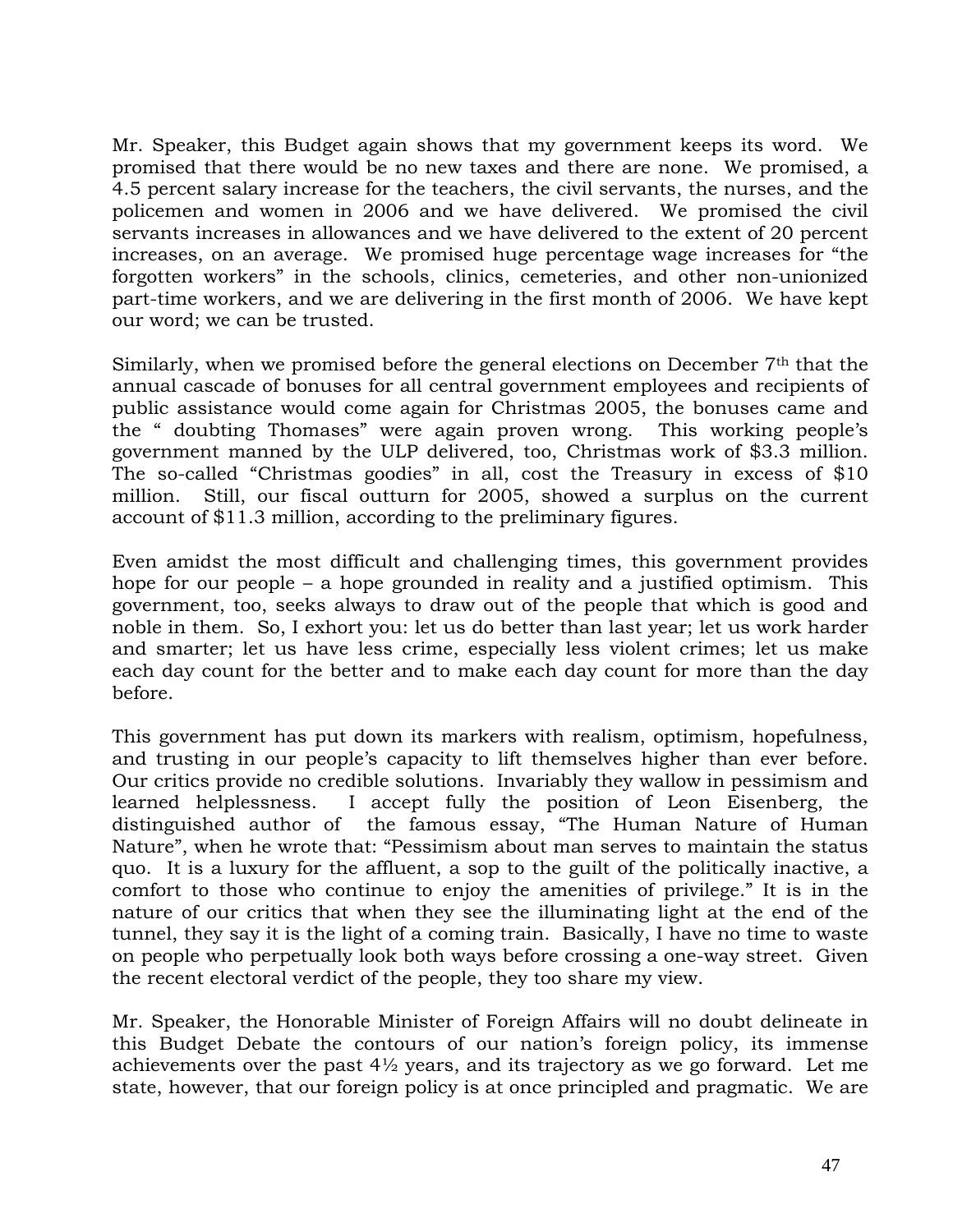Mr. Speaker, this Budget again shows that my government keeps its word. We promised that there would be no new taxes and there are none. We promised, a 4.5 percent salary increase for the teachers, the civil servants, the nurses, and the policemen and women in 2006 and we have delivered. We promised the civil servants increases in allowances and we have delivered to the extent of 20 percent increases, on an average. We promised huge percentage wage increases for "the forgotten workers" in the schools, clinics, cemeteries, and other non-unionized part-time workers, and we are delivering in the first month of 2006. We have kept our word; we can be trusted.

Similarly, when we promised before the general elections on December 7th that the annual cascade of bonuses for all central government employees and recipients of public assistance would come again for Christmas 2005, the bonuses came and the " doubting Thomases" were again proven wrong. This working people's government manned by the ULP delivered, too, Christmas work of \$3.3 million. The so-called "Christmas goodies" in all, cost the Treasury in excess of \$10 million. Still, our fiscal outturn for 2005, showed a surplus on the current account of \$11.3 million, according to the preliminary figures.

Even amidst the most difficult and challenging times, this government provides hope for our people – a hope grounded in reality and a justified optimism. This government, too, seeks always to draw out of the people that which is good and noble in them. So, I exhort you: let us do better than last year; let us work harder and smarter; let us have less crime, especially less violent crimes; let us make each day count for the better and to make each day count for more than the day before.

This government has put down its markers with realism, optimism, hopefulness, and trusting in our people's capacity to lift themselves higher than ever before. Our critics provide no credible solutions. Invariably they wallow in pessimism and learned helplessness. I accept fully the position of Leon Eisenberg, the distinguished author of the famous essay, "The Human Nature of Human Nature", when he wrote that: "Pessimism about man serves to maintain the status quo. It is a luxury for the affluent, a sop to the guilt of the politically inactive, a comfort to those who continue to enjoy the amenities of privilege." It is in the nature of our critics that when they see the illuminating light at the end of the tunnel, they say it is the light of a coming train. Basically, I have no time to waste on people who perpetually look both ways before crossing a one-way street. Given the recent electoral verdict of the people, they too share my view.

Mr. Speaker, the Honorable Minister of Foreign Affairs will no doubt delineate in this Budget Debate the contours of our nation's foreign policy, its immense achievements over the past  $4\frac{1}{2}$  years, and its trajectory as we go forward. Let me state, however, that our foreign policy is at once principled and pragmatic. We are